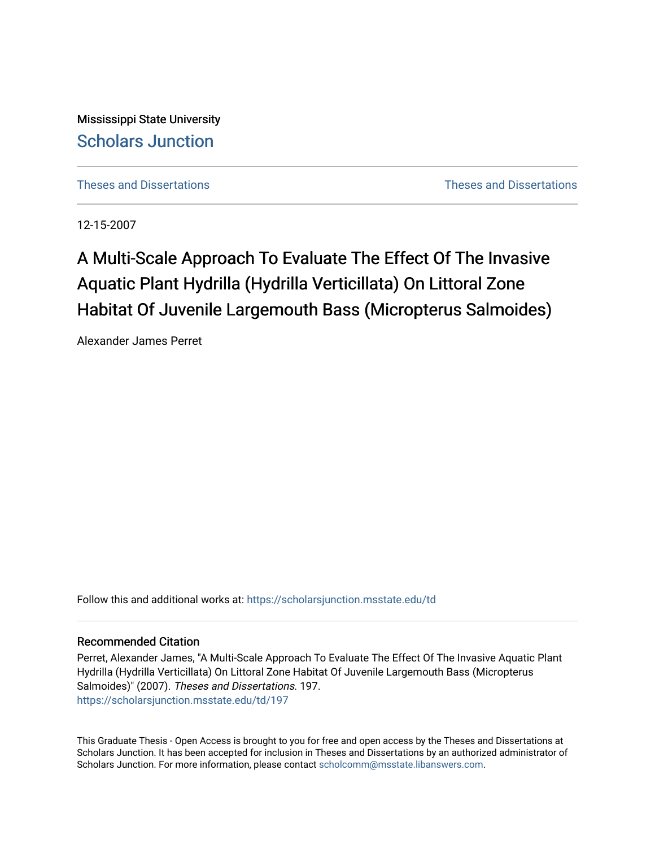Mississippi State University [Scholars Junction](https://scholarsjunction.msstate.edu/) 

[Theses and Dissertations](https://scholarsjunction.msstate.edu/td) [Theses and Dissertations](https://scholarsjunction.msstate.edu/theses-dissertations) 

12-15-2007

# A Multi-Scale Approach To Evaluate The Effect Of The Invasive Aquatic Plant Hydrilla (Hydrilla Verticillata) On Littoral Zone Habitat Of Juvenile Largemouth Bass (Micropterus Salmoides)

Alexander James Perret

Follow this and additional works at: [https://scholarsjunction.msstate.edu/td](https://scholarsjunction.msstate.edu/td?utm_source=scholarsjunction.msstate.edu%2Ftd%2F197&utm_medium=PDF&utm_campaign=PDFCoverPages) 

#### Recommended Citation

Perret, Alexander James, "A Multi-Scale Approach To Evaluate The Effect Of The Invasive Aquatic Plant Hydrilla (Hydrilla Verticillata) On Littoral Zone Habitat Of Juvenile Largemouth Bass (Micropterus Salmoides)" (2007). Theses and Dissertations. 197. [https://scholarsjunction.msstate.edu/td/197](https://scholarsjunction.msstate.edu/td/197?utm_source=scholarsjunction.msstate.edu%2Ftd%2F197&utm_medium=PDF&utm_campaign=PDFCoverPages) 

This Graduate Thesis - Open Access is brought to you for free and open access by the Theses and Dissertations at Scholars Junction. It has been accepted for inclusion in Theses and Dissertations by an authorized administrator of Scholars Junction. For more information, please contact [scholcomm@msstate.libanswers.com.](mailto:scholcomm@msstate.libanswers.com)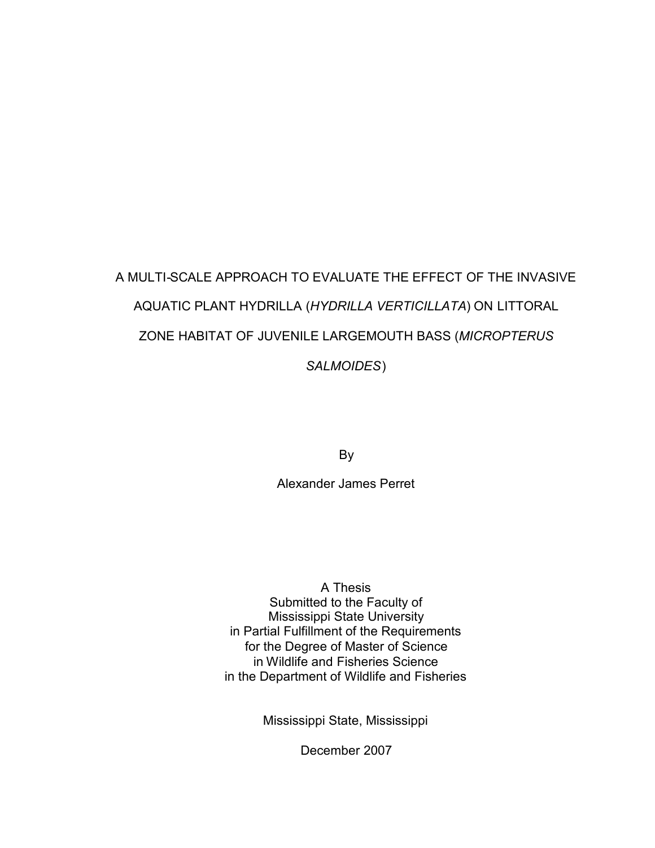# A MULTI-SCALE APPROACH TO EVALUATE THE EFFECT OF THE INVASIVE AQUATIC PLANT HYDRILLA (*HYDRILLA VERTICILLATA*) ON LITTORAL ZONE HABITAT OF JUVENILE LARGEMOUTH BASS (*MICROPTERUS SALMOIDES*)

By

Alexander James Perret

A Thesis Submitted to the Faculty of Mississippi State University in Partial Fulfillment of the Requirements for the Degree of Master of Science in Wildlife and Fisheries Science in the Department of Wildlife and Fisheries

Mississippi State, Mississippi

December 2007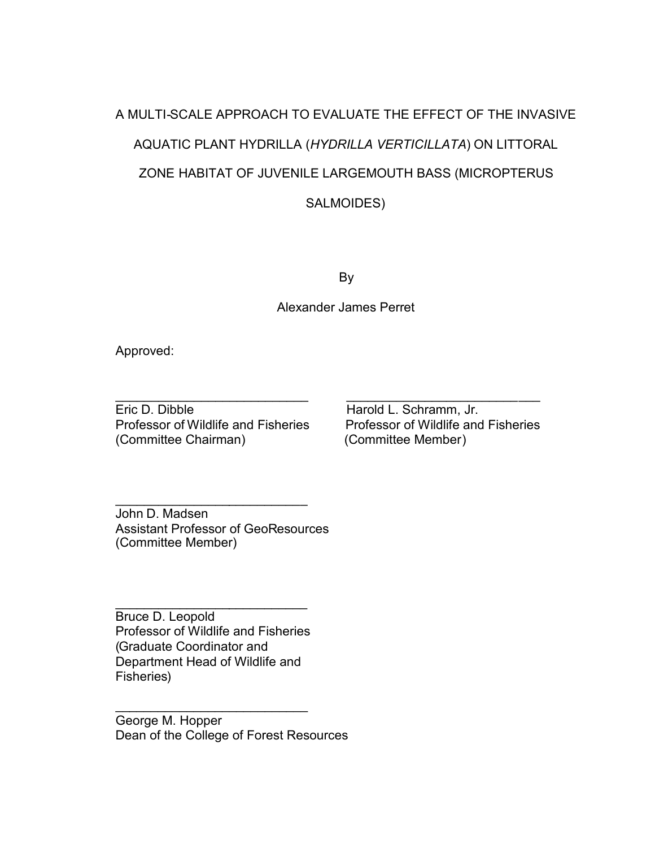# A MULTI-SCALE APPROACH TO EVALUATE THE EFFECT OF THE INVASIVE AQUATIC PLANT HYDRILLA (*HYDRILLA VERTICILLATA*) ON LITTORAL ZONE HABITAT OF JUVENILE LARGEMOUTH BASS (MICROPTERUS SALMOIDES)

By

Alexander James Perret

 $\overline{\phantom{a}}$  , and the contract of the contract of the contract of the contract of the contract of the contract of the contract of the contract of the contract of the contract of the contract of the contract of the contrac

Approved:

Eric D. Dibble Harold L. Schramm, Jr. Professor of Wildlife and Fisheries Professor of Wildlife and Fisheries (Committee Chairman) (Committee Member)

John D. Madsen Assistant Professor of GeoResources (Committee Member)

\_\_\_\_\_\_\_\_\_\_\_\_\_\_\_\_\_\_\_\_\_\_\_\_\_\_\_

 $\overline{\phantom{a}}$  , where  $\overline{\phantom{a}}$  , where  $\overline{\phantom{a}}$  , where  $\overline{\phantom{a}}$  , where  $\overline{\phantom{a}}$ Bruce D. Leopold Professor of Wildlife and Fisheries (Graduate Coordinator and Department Head of Wildlife and Fisheries)

 $\overline{\phantom{a}}$  , where  $\overline{\phantom{a}}$  , where  $\overline{\phantom{a}}$  , where  $\overline{\phantom{a}}$  , we have  $\overline{\phantom{a}}$ 

George M. Hopper Dean of the College of Forest Resources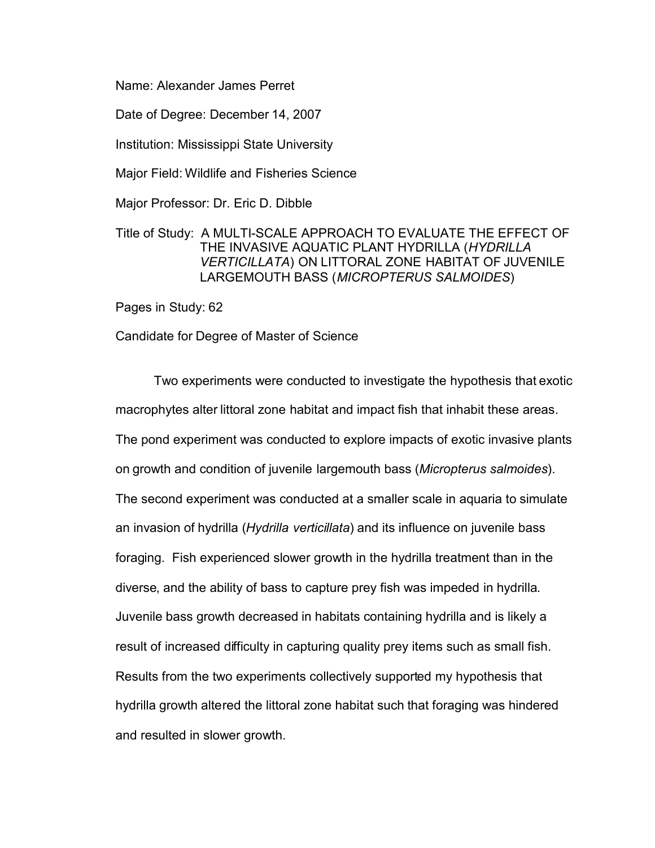Name: Alexander James Perret

Date of Degree: December 14, 2007

Institution: Mississippi State University

Major Field: Wildlife and Fisheries Science

Major Professor: Dr. Eric D. Dibble

# Title of Study: A MULTI-SCALE APPROACH TO EVALUATE THE EFFECT OF THE INVASIVE AQUATIC PLANT HYDRILLA (*HYDRILLA VERTICILLATA*) ON LITTORAL ZONE HABITAT OF JUVENILE LARGEMOUTH BASS (*MICROPTERUS SALMOIDES*)

Pages in Study: 62

Candidate for Degree of Master of Science

Two experiments were conducted to investigate the hypothesis that exotic macrophytes alter littoral zone habitat and impact fish that inhabit these areas. The pond experiment was conducted to explore impacts of exotic invasive plants on growth and condition of juvenile largemouth bass (*Micropterus salmoides*). The second experiment was conducted at a smaller scale in aquaria to simulate an invasion of hydrilla (*Hydrilla verticillata*) and its influence on juvenile bass foraging. Fish experienced slower growth in the hydrilla treatment than in the diverse, and the ability of bass to capture prey fish was impeded in hydrilla. Juvenile bass growth decreased in habitats containing hydrilla and is likely a result of increased difficulty in capturing quality prey items such as small fish. Results from the two experiments collectively supported my hypothesis that hydrilla growth altered the littoral zone habitat such that foraging was hindered and resulted in slower growth.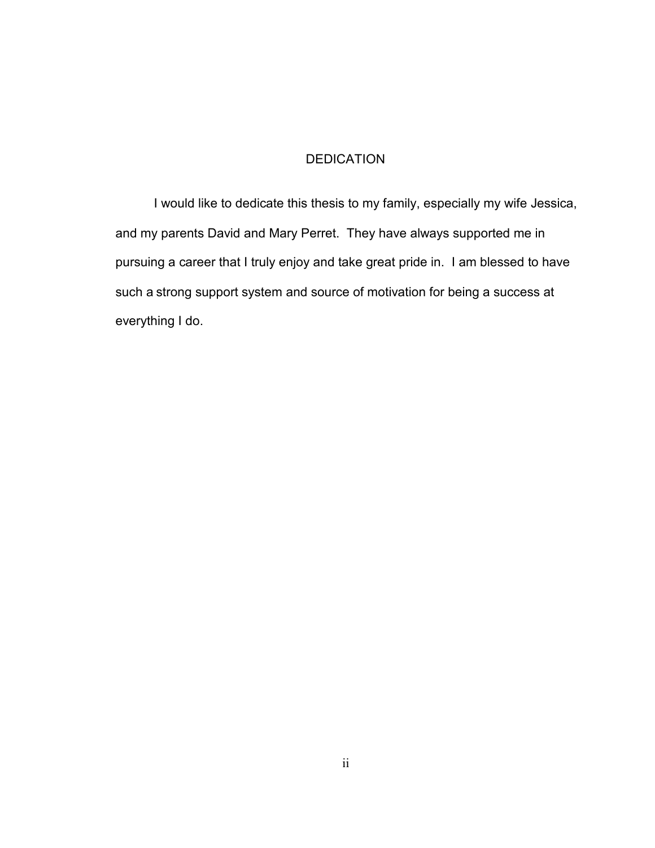# DEDICATION

<span id="page-4-0"></span>I would like to dedicate this thesis to my family, especially my wife Jessica, and my parents David and Mary Perret. They have always supported me in pursuing a career that I truly enjoy and take great pride in. I am blessed to have such a strong support system and source of motivation for being a success at everything I do.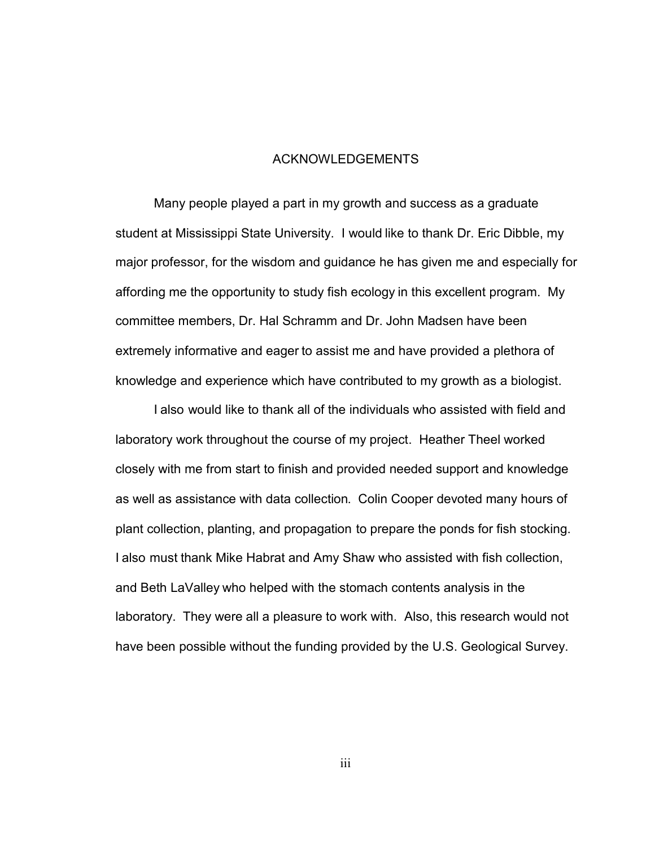#### ACKNOWLEDGEMENTS

<span id="page-5-0"></span>Many people played a part in my growth and success as a graduate student at Mississippi State University. I would like to thank Dr. Eric Dibble, my major professor, for the wisdom and guidance he has given me and especially for affording me the opportunity to study fish ecology in this excellent program. My committee members, Dr. Hal Schramm and Dr. John Madsen have been extremely informative and eager to assist me and have provided a plethora of knowledge and experience which have contributed to my growth as a biologist.

I also would like to thank all of the individuals who assisted with field and laboratory work throughout the course of my project. Heather Theel worked closely with me from start to finish and provided needed support and knowledge as well as assistance with data collection. Colin Cooper devoted many hours of plant collection, planting, and propagation to prepare the ponds for fish stocking. I also must thank Mike Habrat and Amy Shaw who assisted with fish collection, and Beth LaValley who helped with the stomach contents analysis in the laboratory. They were all a pleasure to work with. Also, this research would not have been possible without the funding provided by the U.S. Geological Survey.

iii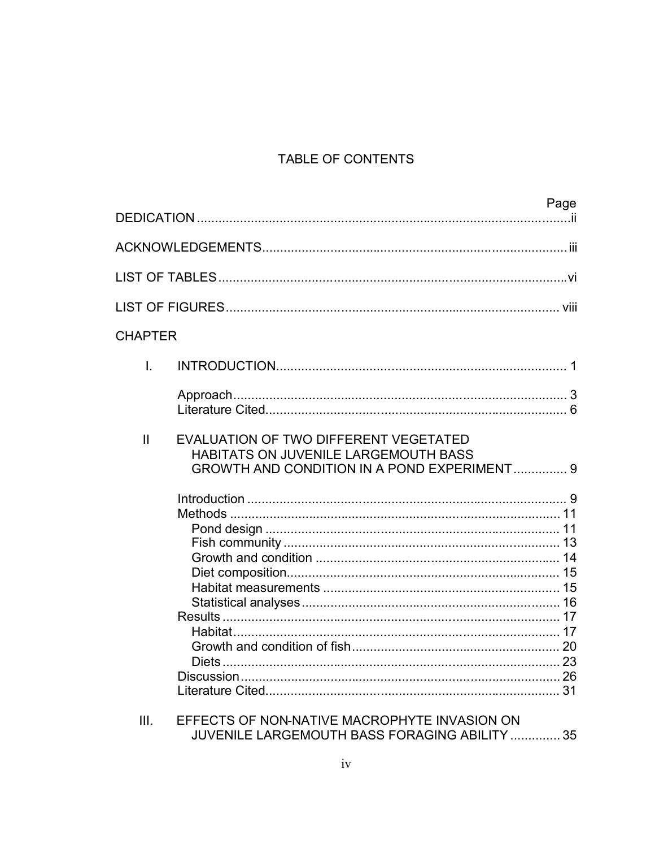# TABLE OF CONTENTS

|                |                                                                                                                                     | Page |
|----------------|-------------------------------------------------------------------------------------------------------------------------------------|------|
|                |                                                                                                                                     |      |
|                |                                                                                                                                     |      |
|                |                                                                                                                                     |      |
| <b>CHAPTER</b> |                                                                                                                                     |      |
| I.             |                                                                                                                                     |      |
|                |                                                                                                                                     |      |
| $\mathbf{II}$  | EVALUATION OF TWO DIFFERENT VEGETATED<br>HABITATS ON JUVENILE LARGEMOUTH BASS<br><b>GROWTH AND CONDITION IN A POND EXPERIMENT 9</b> |      |
|                |                                                                                                                                     |      |
|                | . <b>.</b>                                                                                                                          |      |

| EFFECTS OF NON-NATIVE MACROPHYTE INVASION ON  |  |
|-----------------------------------------------|--|
| JUVENILE LARGEMOUTH BASS FORAGING ABILITY  35 |  |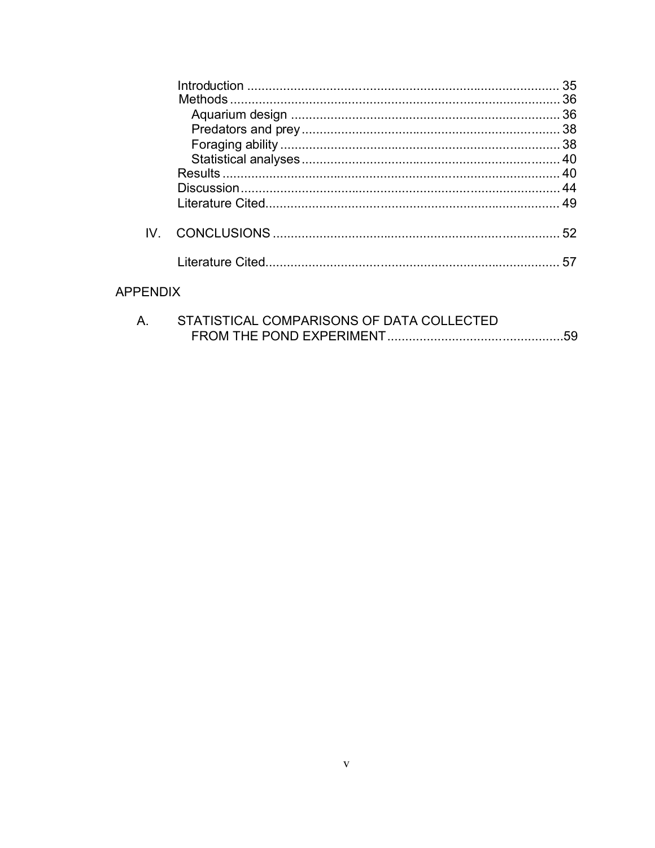|               | 35 |
|---------------|----|
|               |    |
|               |    |
|               |    |
|               |    |
|               |    |
|               |    |
|               |    |
|               |    |
|               | 52 |
|               | 57 |
| <b>APPEND</b> |    |

| STATISTICAL COMPARISONS OF DATA COLLECTED |  |
|-------------------------------------------|--|
|                                           |  |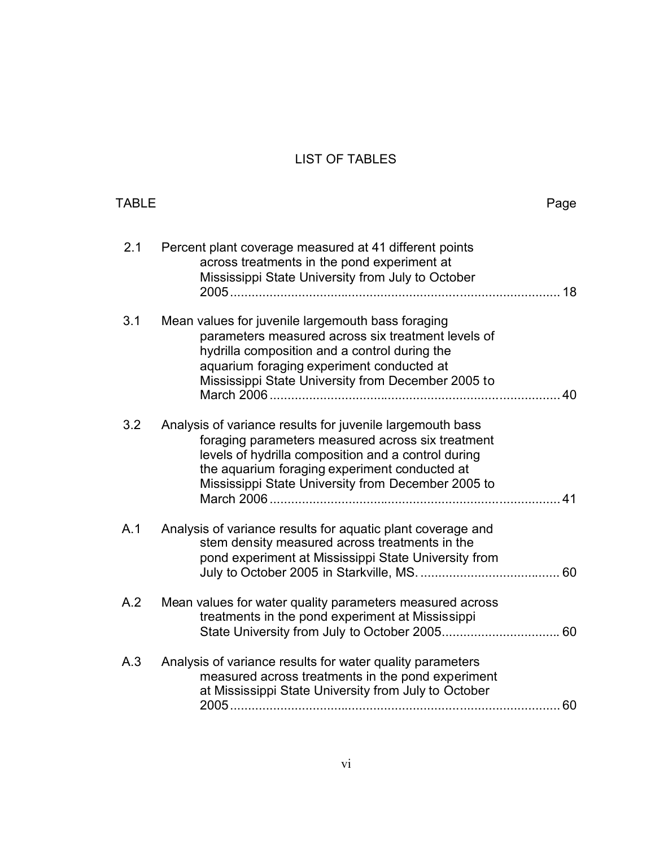# LIST OF TABLES

<span id="page-8-0"></span>

| <b>TABLE</b> |                                                                                                                                                                                                                                                                              | Page |
|--------------|------------------------------------------------------------------------------------------------------------------------------------------------------------------------------------------------------------------------------------------------------------------------------|------|
| 2.1          | Percent plant coverage measured at 41 different points<br>across treatments in the pond experiment at<br>Mississippi State University from July to October                                                                                                                   |      |
| 3.1          | Mean values for juvenile largemouth bass foraging<br>parameters measured across six treatment levels of<br>hydrilla composition and a control during the<br>aquarium foraging experiment conducted at<br>Mississippi State University from December 2005 to                  |      |
| 3.2          | Analysis of variance results for juvenile largemouth bass<br>foraging parameters measured across six treatment<br>levels of hydrilla composition and a control during<br>the aquarium foraging experiment conducted at<br>Mississippi State University from December 2005 to | 41   |
| A.1          | Analysis of variance results for aquatic plant coverage and<br>stem density measured across treatments in the<br>pond experiment at Mississippi State University from                                                                                                        |      |
| A.2          | Mean values for water quality parameters measured across<br>treatments in the pond experiment at Mississippi                                                                                                                                                                 |      |
| A.3          | Analysis of variance results for water quality parameters<br>measured across treatments in the pond experiment<br>at Mississippi State University from July to October                                                                                                       | 60   |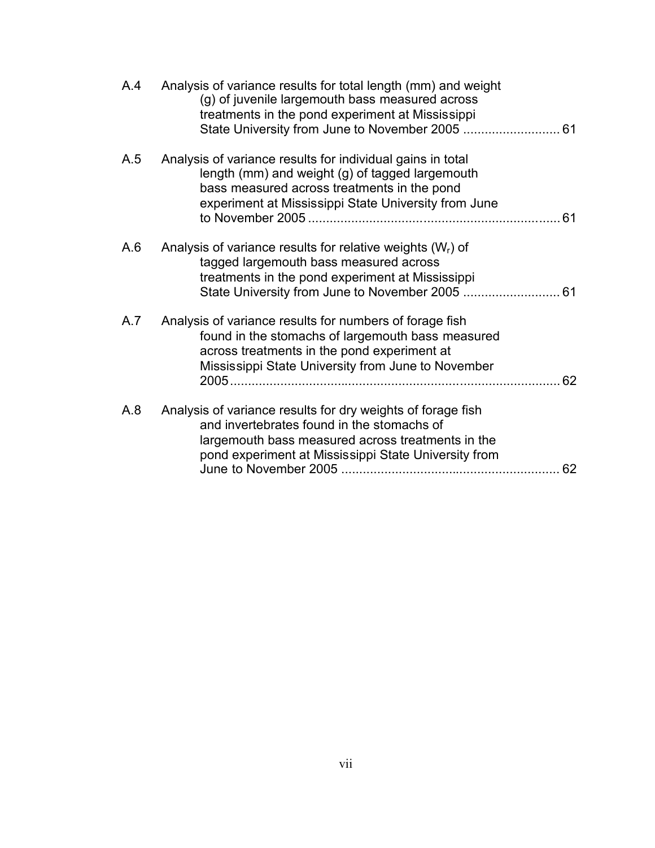| A.4 | Analysis of variance results for total length (mm) and weight<br>(g) of juvenile largemouth bass measured across<br>treatments in the pond experiment at Mississippi                                                         |
|-----|------------------------------------------------------------------------------------------------------------------------------------------------------------------------------------------------------------------------------|
| A.5 | Analysis of variance results for individual gains in total<br>length (mm) and weight (g) of tagged largemouth<br>bass measured across treatments in the pond<br>experiment at Mississippi State University from June         |
| A.6 | Analysis of variance results for relative weights $(W_r)$ of<br>tagged largemouth bass measured across<br>treatments in the pond experiment at Mississippi                                                                   |
| A.7 | Analysis of variance results for numbers of forage fish<br>found in the stomachs of largemouth bass measured<br>across treatments in the pond experiment at<br>Mississippi State University from June to November<br>62      |
| A.8 | Analysis of variance results for dry weights of forage fish<br>and invertebrates found in the stomachs of<br>largemouth bass measured across treatments in the<br>pond experiment at Mississippi State University from<br>62 |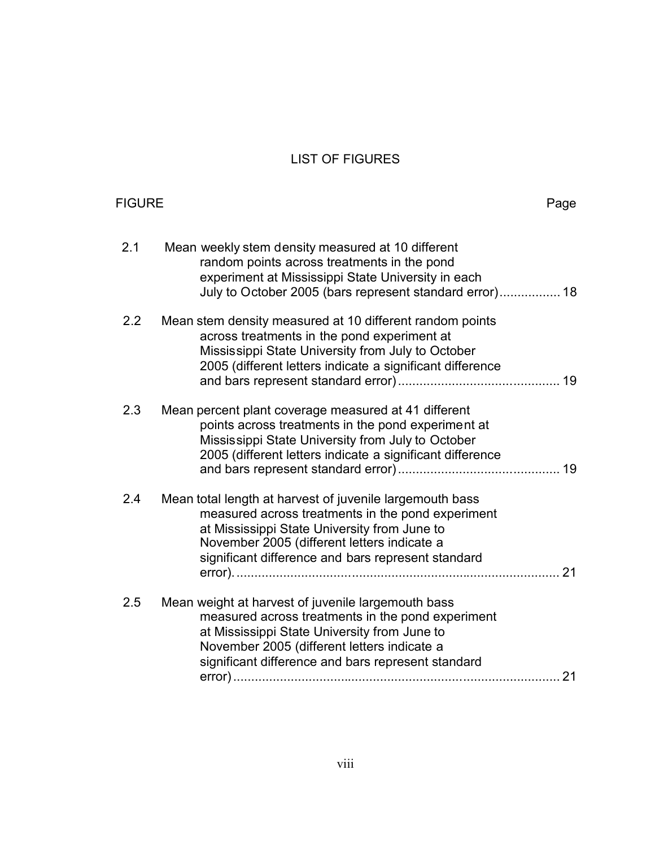# LIST OF FIGURES

<span id="page-10-0"></span>

| <b>FIGURE</b> |                                                                                                                                                                                                                                                                    | Page |
|---------------|--------------------------------------------------------------------------------------------------------------------------------------------------------------------------------------------------------------------------------------------------------------------|------|
| 2.1           | Mean weekly stem density measured at 10 different<br>random points across treatments in the pond<br>experiment at Mississippi State University in each<br>July to October 2005 (bars represent standard error) 18                                                  |      |
| 2.2           | Mean stem density measured at 10 different random points<br>across treatments in the pond experiment at<br>Mississippi State University from July to October<br>2005 (different letters indicate a significant difference                                          |      |
| 2.3           | Mean percent plant coverage measured at 41 different<br>points across treatments in the pond experiment at<br>Mississippi State University from July to October<br>2005 (different letters indicate a significant difference                                       |      |
| 2.4           | Mean total length at harvest of juvenile largemouth bass<br>measured across treatments in the pond experiment<br>at Mississippi State University from June to<br>November 2005 (different letters indicate a<br>significant difference and bars represent standard | 21   |
| 2.5           | Mean weight at harvest of juvenile largemouth bass<br>measured across treatments in the pond experiment<br>at Mississippi State University from June to<br>November 2005 (different letters indicate a<br>significant difference and bars represent standard       |      |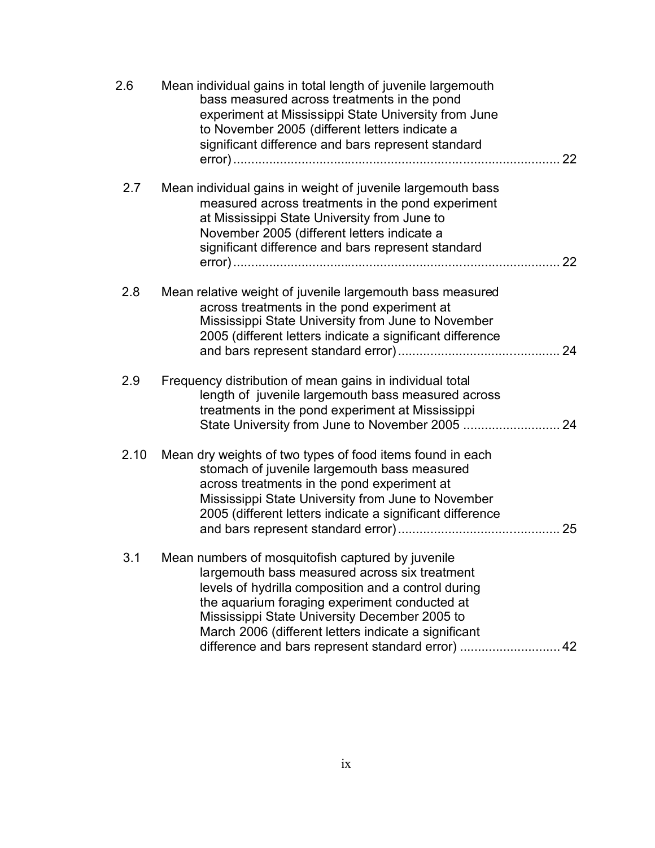| 2.6  | Mean individual gains in total length of juvenile largemouth<br>bass measured across treatments in the pond<br>experiment at Mississippi State University from June<br>to November 2005 (different letters indicate a<br>significant difference and bars represent standard                                         | 22 |
|------|---------------------------------------------------------------------------------------------------------------------------------------------------------------------------------------------------------------------------------------------------------------------------------------------------------------------|----|
| 2.7  | Mean individual gains in weight of juvenile largemouth bass<br>measured across treatments in the pond experiment<br>at Mississippi State University from June to<br>November 2005 (different letters indicate a<br>significant difference and bars represent standard                                               | 22 |
| 2.8  | Mean relative weight of juvenile largemouth bass measured<br>across treatments in the pond experiment at<br>Mississippi State University from June to November<br>2005 (different letters indicate a significant difference                                                                                         |    |
| 2.9  | Frequency distribution of mean gains in individual total<br>length of juvenile largemouth bass measured across<br>treatments in the pond experiment at Mississippi                                                                                                                                                  |    |
| 2.10 | Mean dry weights of two types of food items found in each<br>stomach of juvenile largemouth bass measured<br>across treatments in the pond experiment at<br>Mississippi State University from June to November<br>2005 (different letters indicate a significant difference                                         | 25 |
| 3.1  | Mean numbers of mosquitofish captured by juvenile<br>largemouth bass measured across six treatment<br>levels of hydrilla composition and a control during<br>the aquarium foraging experiment conducted at<br>Mississippi State University December 2005 to<br>March 2006 (different letters indicate a significant |    |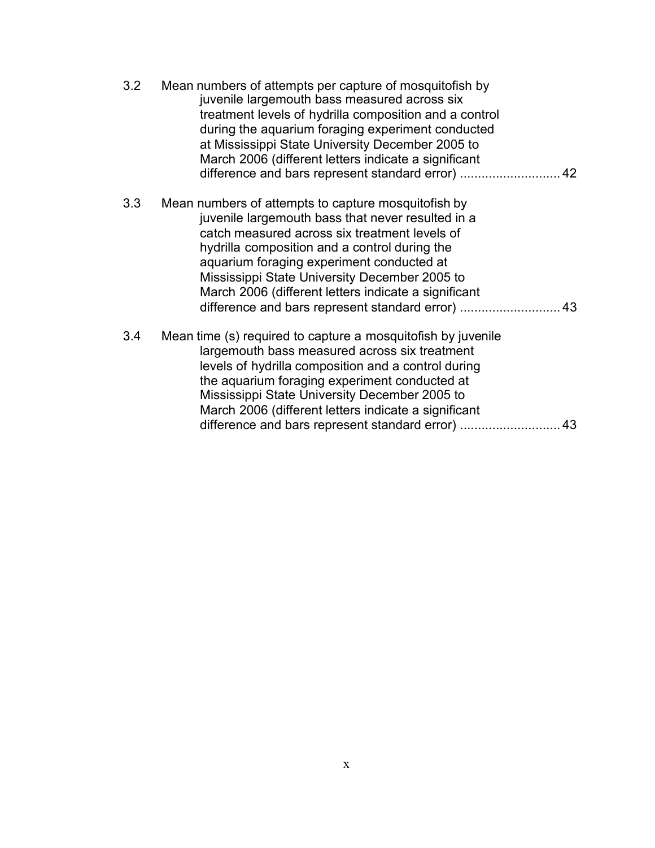| 3.2 | Mean numbers of attempts per capture of mosquitofish by<br>juvenile largemouth bass measured across six<br>treatment levels of hydrilla composition and a control<br>during the aquarium foraging experiment conducted<br>at Mississippi State University December 2005 to<br>March 2006 (different letters indicate a significant<br>difference and bars represent standard error)  42 |
|-----|-----------------------------------------------------------------------------------------------------------------------------------------------------------------------------------------------------------------------------------------------------------------------------------------------------------------------------------------------------------------------------------------|
| 3.3 | Mean numbers of attempts to capture mosquitofish by<br>juvenile largemouth bass that never resulted in a<br>catch measured across six treatment levels of<br>hydrilla composition and a control during the<br>aquarium foraging experiment conducted at<br>Mississippi State University December 2005 to<br>March 2006 (different letters indicate a significant                        |
| 3.4 | Mean time (s) required to capture a mosquitofish by juvenile<br>largemouth bass measured across six treatment<br>levels of hydrilla composition and a control during<br>the aquarium foraging experiment conducted at<br>Mississippi State University December 2005 to<br>March 2006 (different letters indicate a significant                                                          |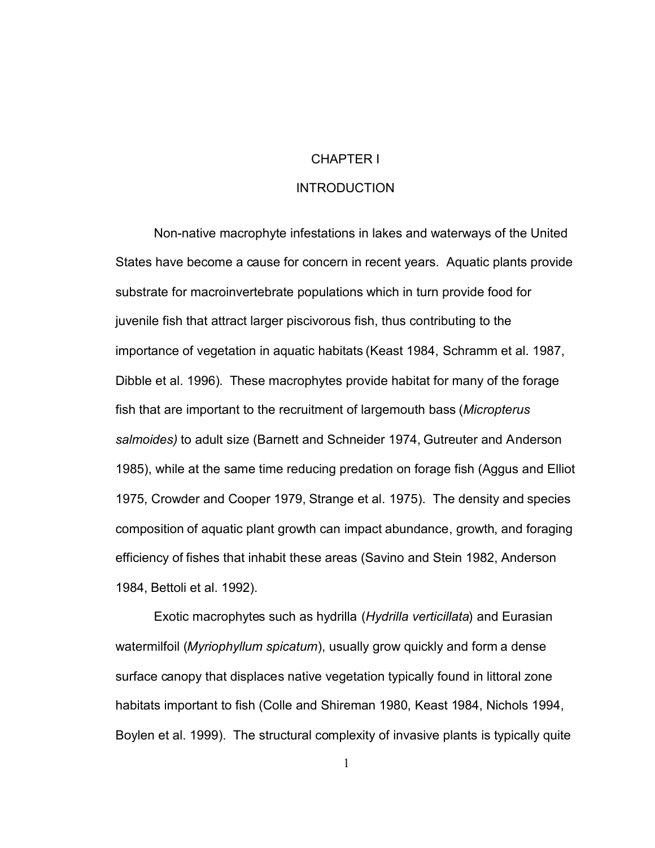### CHAPTER I

## **INTRODUCTION**

<span id="page-13-0"></span>Non-native macrophyte infestations in lakes and waterways of the United States have become a cause for concern in recent years. Aquatic plants provide substrate for macroinvertebrate populations which in turn provide food for juvenile fish that attract larger piscivorous fish, thus contributing to the importance of vegetation in aquatic habitats (Keast 1984, Schramm et al. 1987, Dibble et al. 1996). These macrophytes provide habitat for many of the forage fish that are important to the recruitment of largemouth bass (*Micropterus salmoides)* to adult size (Barnett and Schneider 1974, Gutreuter and Anderson 1985), while at the same time reducing predation on forage fish (Aggus and Elliot 1975, Crowder and Cooper 1979, Strange et al. 1975). The density and species composition of aquatic plant growth can impact abundance, growth, and foraging efficiency of fishes that inhabit these areas (Savino and Stein 1982, Anderson 1984, Bettoli et al. 1992).

Exotic macrophytes such as hydrilla (*Hydrilla verticillata*) and Eurasian watermilfoil (*Myriophyllum spicatum*), usually grow quickly and form a dense surface canopy that displaces native vegetation typically found in littoral zone habitats important to fish (Colle and Shireman 1980, Keast 1984, Nichols 1994, Boylen et al. 1999). The structural complexity of invasive plants is typically quite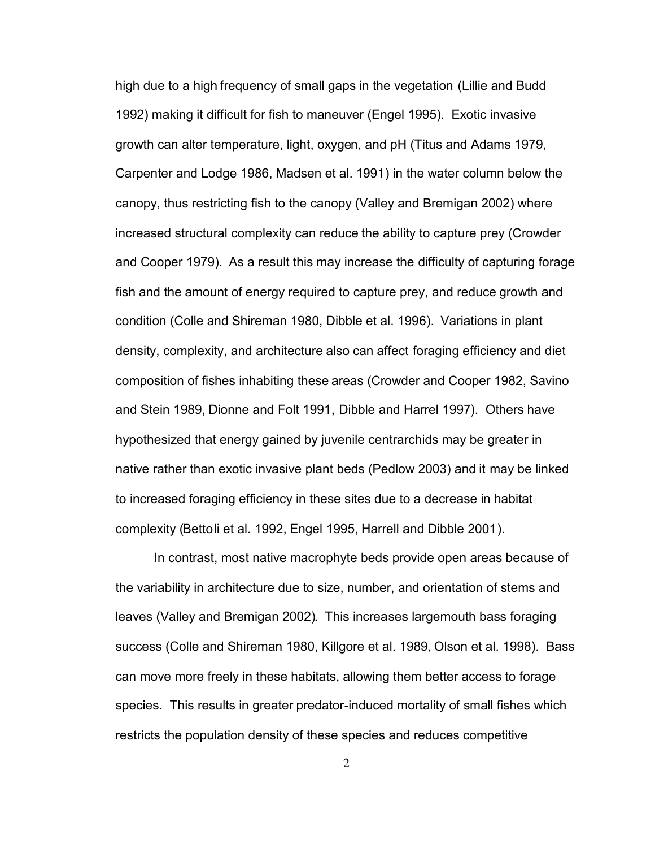high due to a high frequency of small gaps in the vegetation (Lillie and Budd 1992) making it difficult for fish to maneuver (Engel 1995). Exotic invasive growth can alter temperature, light, oxygen, and pH (Titus and Adams 1979, Carpenter and Lodge 1986, Madsen et al. 1991) in the water column below the canopy, thus restricting fish to the canopy (Valley and Bremigan 2002) where increased structural complexity can reduce the ability to capture prey (Crowder and Cooper 1979). As a result this may increase the difficulty of capturing forage fish and the amount of energy required to capture prey, and reduce growth and condition (Colle and Shireman 1980, Dibble et al. 1996). Variations in plant density, complexity, and architecture also can affect foraging efficiency and diet composition of fishes inhabiting these areas (Crowder and Cooper 1982, Savino and Stein 1989, Dionne and Folt 1991, Dibble and Harrel 1997). Others have hypothesized that energy gained by juvenile centrarchids may be greater in native rather than exotic invasive plant beds (Pedlow 2003) and it may be linked to increased foraging efficiency in these sites due to a decrease in habitat complexity (Bettoli et al. 1992, Engel 1995, Harrell and Dibble 2001).

In contrast, most native macrophyte beds provide open areas because of the variability in architecture due to size, number, and orientation of stems and leaves (Valley and Bremigan 2002). This increases largemouth bass foraging success (Colle and Shireman 1980, Killgore et al. 1989, Olson et al. 1998). Bass can move more freely in these habitats, allowing them better access to forage species. This results in greater predator-induced mortality of small fishes which restricts the population density of these species and reduces competitive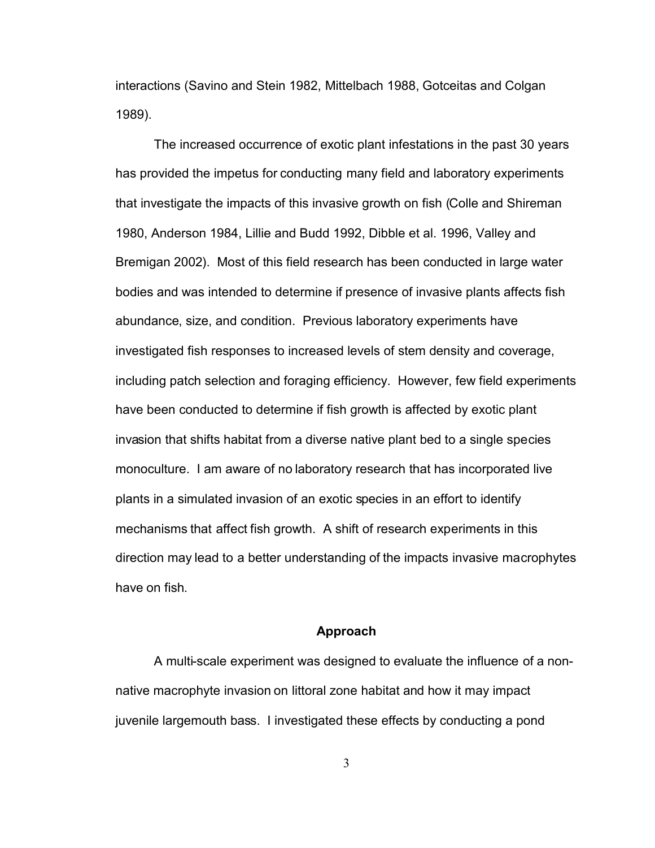<span id="page-15-0"></span>interactions (Savino and Stein 1982, Mittelbach 1988, Gotceitas and Colgan 1989).

The increased occurrence of exotic plant infestations in the past 30 years has provided the impetus for conducting many field and laboratory experiments that investigate the impacts of this invasive growth on fish (Colle and Shireman 1980, Anderson 1984, Lillie and Budd 1992, Dibble et al. 1996, Valley and Bremigan 2002). Most of this field research has been conducted in large water bodies and was intended to determine if presence of invasive plants affects fish abundance, size, and condition. Previous laboratory experiments have investigated fish responses to increased levels of stem density and coverage, including patch selection and foraging efficiency. However, few field experiments have been conducted to determine if fish growth is affected by exotic plant invasion that shifts habitat from a diverse native plant bed to a single species monoculture. I am aware of no laboratory research that has incorporated live plants in a simulated invasion of an exotic species in an effort to identify mechanisms that affect fish growth. A shift of research experiments in this direction may lead to a better understanding of the impacts invasive macrophytes have on fish.

#### **Approach**

A multi-scale experiment was designed to evaluate the influence of a nonnative macrophyte invasion on littoral zone habitat and how it may impact juvenile largemouth bass. I investigated these effects by conducting a pond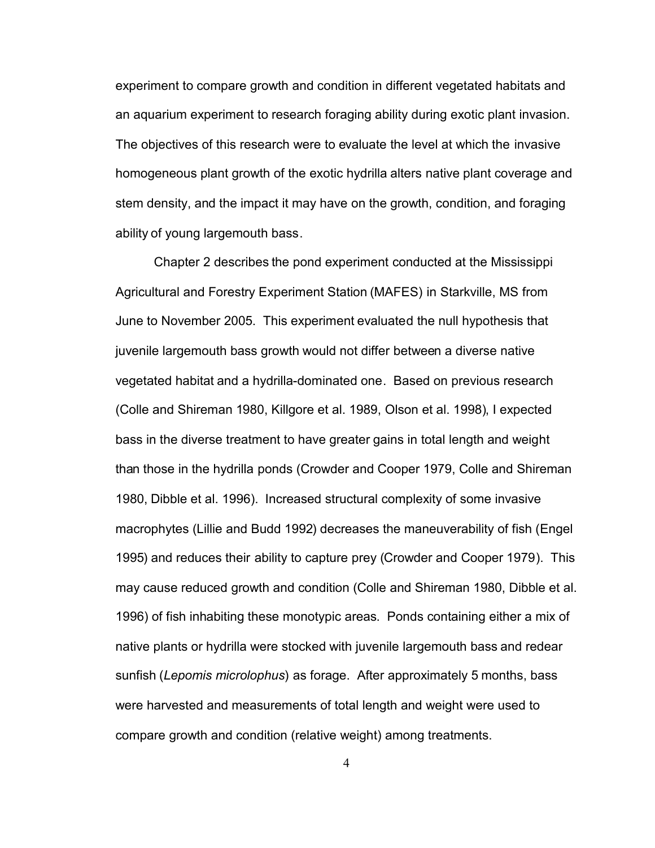experiment to compare growth and condition in different vegetated habitats and an aquarium experiment to research foraging ability during exotic plant invasion. The objectives of this research were to evaluate the level at which the invasive homogeneous plant growth of the exotic hydrilla alters native plant coverage and stem density, and the impact it may have on the growth, condition, and foraging ability of young largemouth bass.

Chapter 2 describes the pond experiment conducted at the Mississippi Agricultural and Forestry Experiment Station (MAFES) in Starkville, MS from June to November 2005. This experiment evaluated the null hypothesis that juvenile largemouth bass growth would not differ between a diverse native vegetated habitat and a hydrilla-dominated one. Based on previous research (Colle and Shireman 1980, Killgore et al. 1989, Olson et al. 1998), I expected bass in the diverse treatment to have greater gains in total length and weight than those in the hydrilla ponds (Crowder and Cooper 1979, Colle and Shireman 1980, Dibble et al. 1996). Increased structural complexity of some invasive macrophytes (Lillie and Budd 1992) decreases the maneuverability of fish (Engel 1995) and reduces their ability to capture prey (Crowder and Cooper 1979). This may cause reduced growth and condition (Colle and Shireman 1980, Dibble et al. 1996) of fish inhabiting these monotypic areas. Ponds containing either a mix of native plants or hydrilla were stocked with juvenile largemouth bass and redear sunfish (*Lepomis microlophus*) as forage. After approximately 5 months, bass were harvested and measurements of total length and weight were used to compare growth and condition (relative weight) among treatments.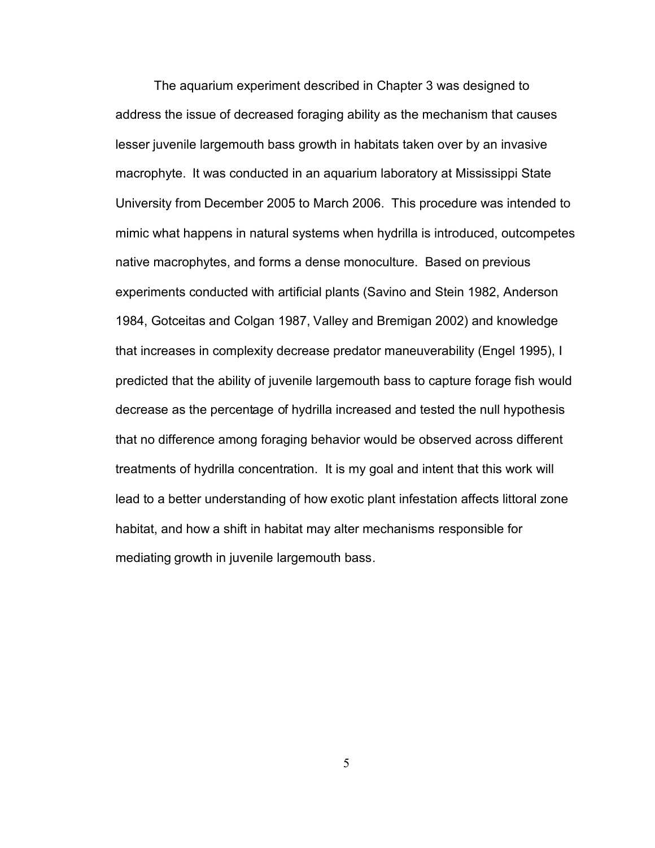The aquarium experiment described in Chapter 3 was designed to address the issue of decreased foraging ability as the mechanism that causes lesser juvenile largemouth bass growth in habitats taken over by an invasive macrophyte. It was conducted in an aquarium laboratory at Mississippi State University from December 2005 to March 2006. This procedure was intended to mimic what happens in natural systems when hydrilla is introduced, outcompetes native macrophytes, and forms a dense monoculture. Based on previous experiments conducted with artificial plants (Savino and Stein 1982, Anderson 1984, Gotceitas and Colgan 1987, Valley and Bremigan 2002) and knowledge that increases in complexity decrease predator maneuverability (Engel 1995), I predicted that the ability of juvenile largemouth bass to capture forage fish would decrease as the percentage of hydrilla increased and tested the null hypothesis that no difference among foraging behavior would be observed across different treatments of hydrilla concentration. It is my goal and intent that this work will lead to a better understanding of how exotic plant infestation affects littoral zone habitat, and how a shift in habitat may alter mechanisms responsible for mediating growth in juvenile largemouth bass.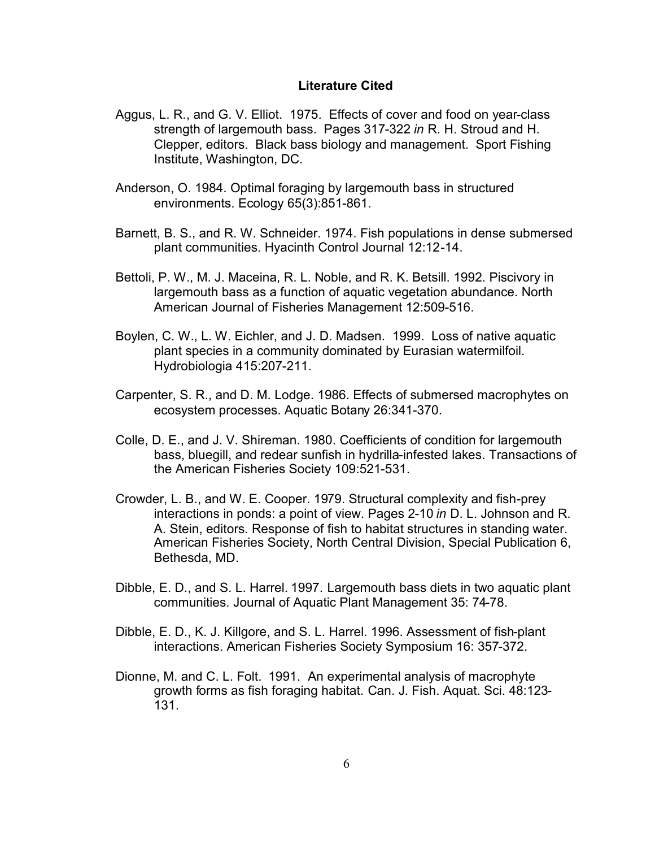### **Literature Cited**

- <span id="page-18-0"></span>Aggus, L. R., and G. V. Elliot. 1975. Effects of cover and food on year-class strength of largemouth bass. Pages 317-322 *in* R. H. Stroud and H. Clepper, editors. Black bass biology and management. Sport Fishing Institute, Washington, DC.
- Anderson, O. 1984. Optimal foraging by largemouth bass in structured environments. Ecology 65(3):851-861.
- Barnett, B. S., and R. W. Schneider. 1974. Fish populations in dense submersed plant communities. Hyacinth Control Journal 12:12-14.
- Bettoli, P. W., M. J. Maceina, R. L. Noble, and R. K. Betsill. 1992. Piscivory in largemouth bass as a function of aquatic vegetation abundance. North American Journal of Fisheries Management 12:509-516.
- Boylen, C. W., L. W. Eichler, and J. D. Madsen. 1999. Loss of native aquatic plant species in a community dominated by Eurasian watermilfoil. Hydrobiologia 415:207-211.
- Carpenter, S. R., and D. M. Lodge. 1986. Effects of submersed macrophytes on ecosystem processes. Aquatic Botany 26:341-370.
- Colle, D. E., and J. V. Shireman. 1980. Coefficients of condition for largemouth bass, bluegill, and redear sunfish in hydrilla-infested lakes. Transactions of the American Fisheries Society 109:521-531.
- Crowder, L. B., and W. E. Cooper. 1979. Structural complexity and fish-prey interactions in ponds: a point of view. Pages 2-10 *in* D. L. Johnson and R. A. Stein, editors. Response of fish to habitat structures in standing water. American Fisheries Society, North Central Division, Special Publication 6, Bethesda, MD.
- Dibble, E. D., and S. L. Harrel. 1997. Largemouth bass diets in two aquatic plant communities. Journal of Aquatic Plant Management 35: 74-78.
- Dibble, E. D., K. J. Killgore, and S. L. Harrel. 1996. Assessment of fish-plant interactions. American Fisheries Society Symposium 16: 357-372.
- Dionne, M. and C. L. Folt. 1991. An experimental analysis of macrophyte growth forms as fish foraging habitat. Can. J. Fish. Aquat. Sci. 48:123- 131.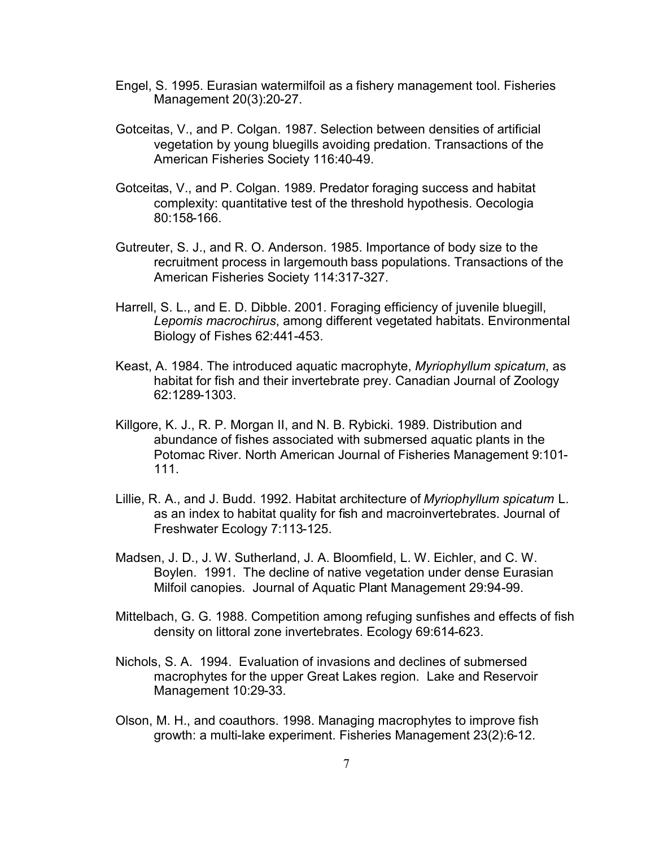- Engel, S. 1995. Eurasian watermilfoil as a fishery management tool. Fisheries Management 20(3):20-27.
- Gotceitas, V., and P. Colgan. 1987. Selection between densities of artificial vegetation by young bluegills avoiding predation. Transactions of the American Fisheries Society 116:40-49.
- Gotceitas, V., and P. Colgan. 1989. Predator foraging success and habitat complexity: quantitative test of the threshold hypothesis. Oecologia 80:158-166.
- Gutreuter, S. J., and R. O. Anderson. 1985. Importance of body size to the recruitment process in largemouth bass populations. Transactions of the American Fisheries Society 114:317-327.
- Harrell, S. L., and E. D. Dibble. 2001. Foraging efficiency of juvenile bluegill, *Lepomis macrochirus*, among different vegetated habitats. Environmental Biology of Fishes 62:441-453.
- Keast, A. 1984. The introduced aquatic macrophyte, *Myriophyllum spicatum*, as habitat for fish and their invertebrate prey. Canadian Journal of Zoology 62:1289-1303.
- Killgore, K. J., R. P. Morgan II, and N. B. Rybicki. 1989. Distribution and abundance of fishes associated with submersed aquatic plants in the Potomac River. North American Journal of Fisheries Management 9:101- 111.
- Lillie, R. A., and J. Budd. 1992. Habitat architecture of *Myriophyllum spicatum* L. as an index to habitat quality for fish and macroinvertebrates. Journal of Freshwater Ecology 7:113-125.
- Madsen, J. D., J. W. Sutherland, J. A. Bloomfield, L. W. Eichler, and C. W. Boylen. 1991. The decline of native vegetation under dense Eurasian Milfoil canopies. Journal of Aquatic Plant Management 29:94-99.
- Mittelbach, G. G. 1988. Competition among refuging sunfishes and effects of fish density on littoral zone invertebrates. Ecology 69:614-623.
- Nichols, S. A. 1994. Evaluation of invasions and declines of submersed macrophytes for the upper Great Lakes region. Lake and Reservoir Management 10:29-33.
- Olson, M. H., and coauthors. 1998. Managing macrophytes to improve fish growth: a multi-lake experiment. Fisheries Management 23(2):6-12.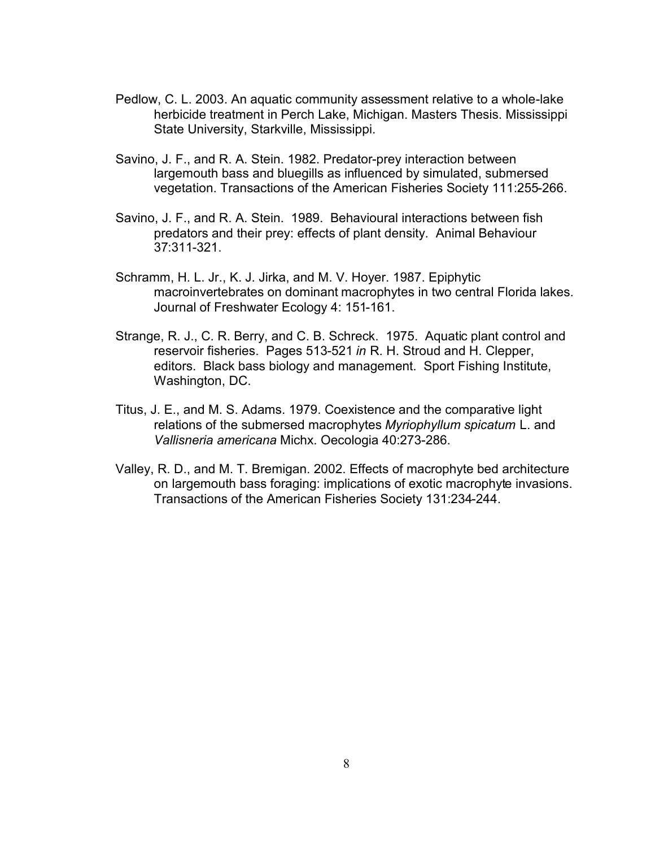- Pedlow, C. L. 2003. An aquatic community assessment relative to a whole-lake herbicide treatment in Perch Lake, Michigan. Masters Thesis. Mississippi State University, Starkville, Mississippi.
- Savino, J. F., and R. A. Stein. 1982. Predator-prey interaction between largemouth bass and bluegills as influenced by simulated, submersed vegetation. Transactions of the American Fisheries Society 111:255-266.
- Savino, J. F., and R. A. Stein. 1989. Behavioural interactions between fish predators and their prey: effects of plant density. Animal Behaviour 37:311-321.
- Schramm, H. L. Jr., K. J. Jirka, and M. V. Hoyer. 1987. Epiphytic macroinvertebrates on dominant macrophytes in two central Florida lakes. Journal of Freshwater Ecology 4: 151-161.
- Strange, R. J., C. R. Berry, and C. B. Schreck. 1975. Aquatic plant control and reservoir fisheries. Pages 513-521 *in* R. H. Stroud and H. Clepper, editors. Black bass biology and management. Sport Fishing Institute, Washington, DC.
- Titus, J. E., and M. S. Adams. 1979. Coexistence and the comparative light relations of the submersed macrophytes *Myriophyllum spicatum* L. and *Vallisneria americana* Michx. Oecologia 40:273-286.
- Valley, R. D., and M. T. Bremigan. 2002. Effects of macrophyte bed architecture on largemouth bass foraging: implications of exotic macrophyte invasions. Transactions of the American Fisheries Society 131:234-244.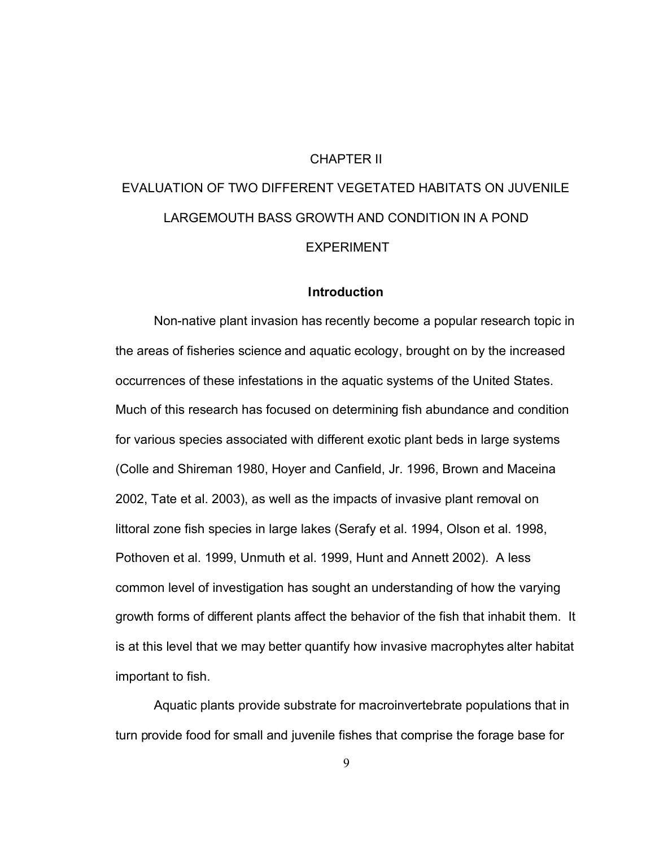#### CHAPTER II

# <span id="page-21-0"></span>EVALUATION OF TWO DIFFERENT VEGETATED HABITATS ON JUVENILE LARGEMOUTH BASS GROWTH AND CONDITION IN A POND EXPERIMENT

#### **Introduction**

Non-native plant invasion has recently become a popular research topic in the areas of fisheries science and aquatic ecology, brought on by the increased occurrences of these infestations in the aquatic systems of the United States. Much of this research has focused on determining fish abundance and condition for various species associated with different exotic plant beds in large systems (Colle and Shireman 1980, Hoyer and Canfield, Jr. 1996, Brown and Maceina 2002, Tate et al. 2003), as well as the impacts of invasive plant removal on littoral zone fish species in large lakes (Serafy et al. 1994, Olson et al. 1998, Pothoven et al. 1999, Unmuth et al. 1999, Hunt and Annett 2002). A less common level of investigation has sought an understanding of how the varying growth forms of different plants affect the behavior of the fish that inhabit them. It is at this level that we may better quantify how invasive macrophytes alter habitat important to fish.

Aquatic plants provide substrate for macroinvertebrate populations that in turn provide food for small and juvenile fishes that comprise the forage base for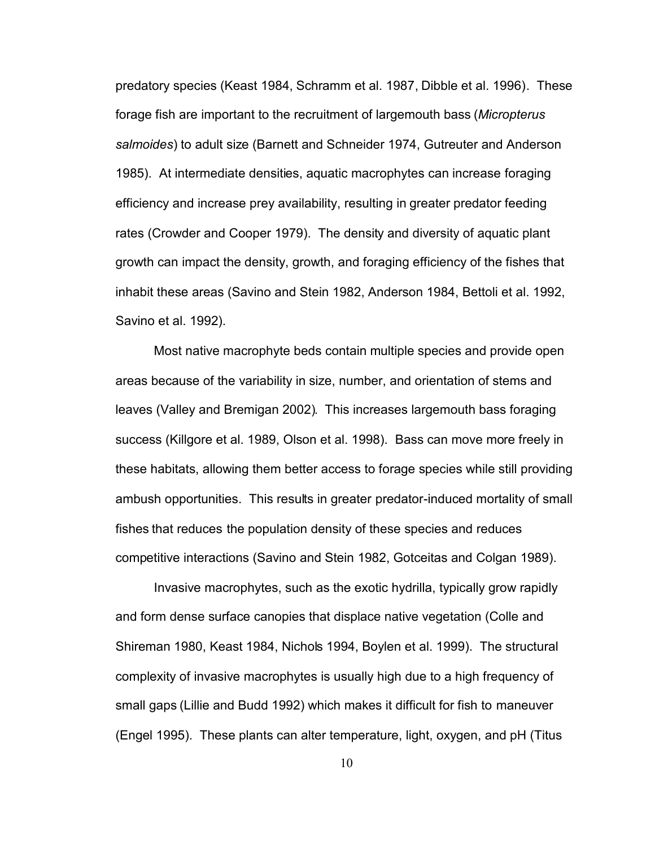predatory species (Keast 1984, Schramm et al. 1987, Dibble et al. 1996). These forage fish are important to the recruitment of largemouth bass (*Micropterus salmoides*) to adult size (Barnett and Schneider 1974, Gutreuter and Anderson 1985). At intermediate densities, aquatic macrophytes can increase foraging efficiency and increase prey availability, resulting in greater predator feeding rates (Crowder and Cooper 1979). The density and diversity of aquatic plant growth can impact the density, growth, and foraging efficiency of the fishes that inhabit these areas (Savino and Stein 1982, Anderson 1984, Bettoli et al. 1992, Savino et al. 1992).

Most native macrophyte beds contain multiple species and provide open areas because of the variability in size, number, and orientation of stems and leaves (Valley and Bremigan 2002). This increases largemouth bass foraging success (Killgore et al. 1989, Olson et al. 1998). Bass can move more freely in these habitats, allowing them better access to forage species while still providing ambush opportunities. This results in greater predator-induced mortality of small fishes that reduces the population density of these species and reduces competitive interactions (Savino and Stein 1982, Gotceitas and Colgan 1989).

Invasive macrophytes, such as the exotic hydrilla, typically grow rapidly and form dense surface canopies that displace native vegetation (Colle and Shireman 1980, Keast 1984, Nichols 1994, Boylen et al. 1999). The structural complexity of invasive macrophytes is usually high due to a high frequency of small gaps (Lillie and Budd 1992) which makes it difficult for fish to maneuver (Engel 1995). These plants can alter temperature, light, oxygen, and pH (Titus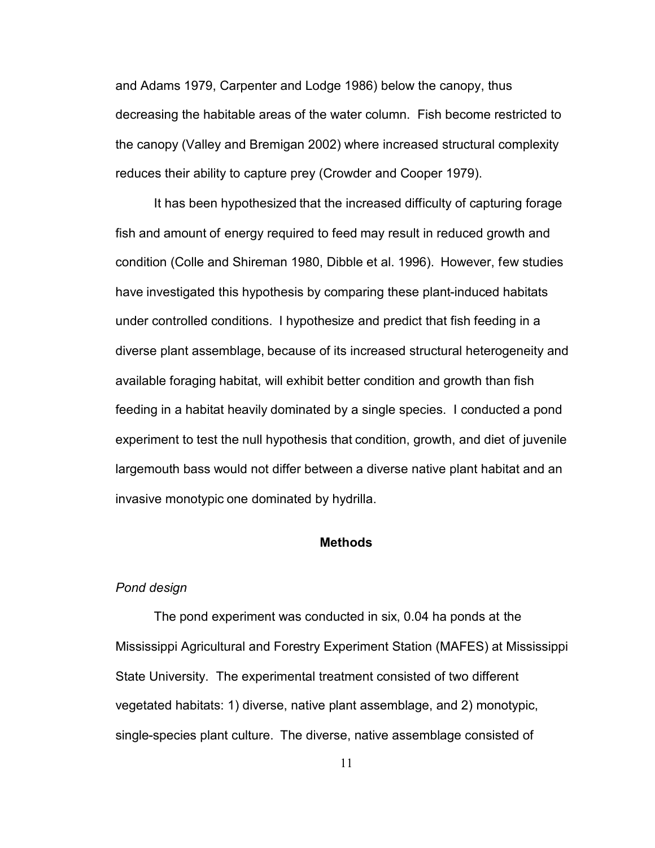<span id="page-23-0"></span>and Adams 1979, Carpenter and Lodge 1986) below the canopy, thus decreasing the habitable areas of the water column. Fish become restricted to the canopy (Valley and Bremigan 2002) where increased structural complexity reduces their ability to capture prey (Crowder and Cooper 1979).

It has been hypothesized that the increased difficulty of capturing forage fish and amount of energy required to feed may result in reduced growth and condition (Colle and Shireman 1980, Dibble et al. 1996). However, few studies have investigated this hypothesis by comparing these plant-induced habitats under controlled conditions. I hypothesize and predict that fish feeding in a diverse plant assemblage, because of its increased structural heterogeneity and available foraging habitat, will exhibit better condition and growth than fish feeding in a habitat heavily dominated by a single species. I conducted a pond experiment to test the null hypothesis that condition, growth, and diet of juvenile largemouth bass would not differ between a diverse native plant habitat and an invasive monotypic one dominated by hydrilla.

### **Methods**

#### *Pond design*

The pond experiment was conducted in six, 0.04 ha ponds at the Mississippi Agricultural and Forestry Experiment Station (MAFES) at Mississippi State University. The experimental treatment consisted of two different vegetated habitats: 1) diverse, native plant assemblage, and 2) monotypic, single-species plant culture. The diverse, native assemblage consisted of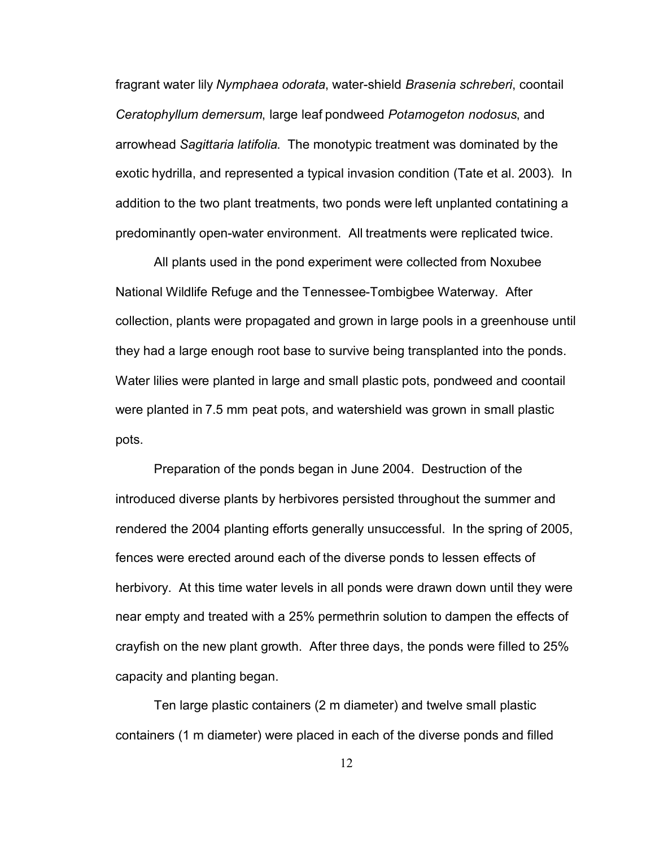fragrant water lily *Nymphaea odorata*, water-shield *Brasenia schreberi*, coontail *Ceratophyllum demersum*, large leaf pondweed *Potamogeton nodosus*, and arrowhead *Sagittaria latifolia*. The monotypic treatment was dominated by the exotic hydrilla, and represented a typical invasion condition (Tate et al. 2003). In addition to the two plant treatments, two ponds were left unplanted contatining a predominantly open-water environment. All treatments were replicated twice.

All plants used in the pond experiment were collected from Noxubee National Wildlife Refuge and the Tennessee-Tombigbee Waterway. After collection, plants were propagated and grown in large pools in a greenhouse until they had a large enough root base to survive being transplanted into the ponds. Water lilies were planted in large and small plastic pots, pondweed and coontail were planted in 7.5 mm peat pots, and watershield was grown in small plastic pots.

Preparation of the ponds began in June 2004. Destruction of the introduced diverse plants by herbivores persisted throughout the summer and rendered the 2004 planting efforts generally unsuccessful. In the spring of 2005, fences were erected around each of the diverse ponds to lessen effects of herbivory. At this time water levels in all ponds were drawn down until they were near empty and treated with a 25% permethrin solution to dampen the effects of crayfish on the new plant growth. After three days, the ponds were filled to 25% capacity and planting began.

Ten large plastic containers (2 m diameter) and twelve small plastic containers (1 m diameter) were placed in each of the diverse ponds and filled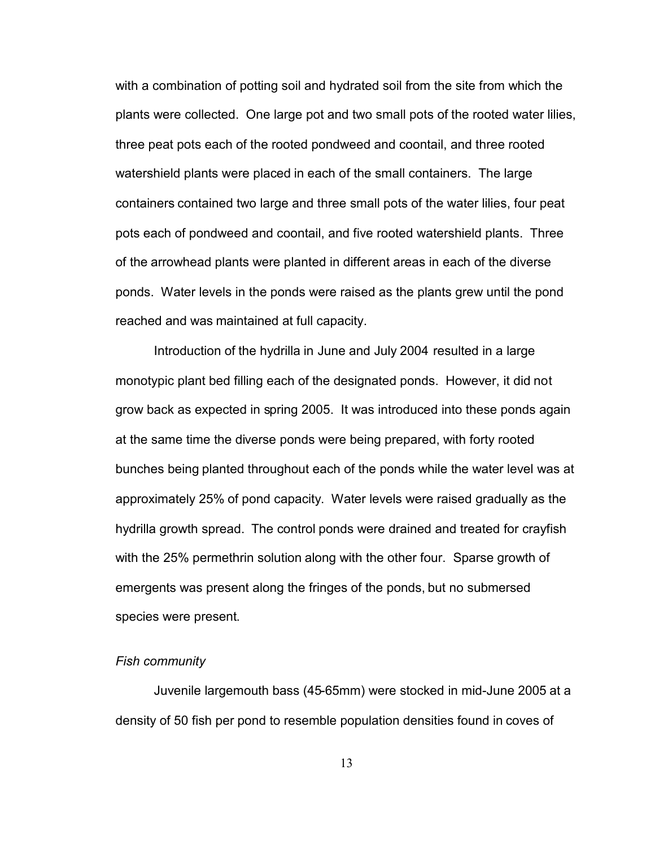<span id="page-25-0"></span>with a combination of potting soil and hydrated soil from the site from which the plants were collected. One large pot and two small pots of the rooted water lilies, three peat pots each of the rooted pondweed and coontail, and three rooted watershield plants were placed in each of the small containers. The large containers contained two large and three small pots of the water lilies, four peat pots each of pondweed and coontail, and five rooted watershield plants. Three of the arrowhead plants were planted in different areas in each of the diverse ponds. Water levels in the ponds were raised as the plants grew until the pond reached and was maintained at full capacity.

Introduction of the hydrilla in June and July 2004 resulted in a large monotypic plant bed filling each of the designated ponds. However, it did not grow back as expected in spring 2005. It was introduced into these ponds again at the same time the diverse ponds were being prepared, with forty rooted bunches being planted throughout each of the ponds while the water level was at approximately 25% of pond capacity. Water levels were raised gradually as the hydrilla growth spread. The control ponds were drained and treated for crayfish with the 25% permethrin solution along with the other four. Sparse growth of emergents was present along the fringes of the ponds, but no submersed species were present.

#### *Fish community*

Juvenile largemouth bass (45-65mm) were stocked in mid-June 2005 at a density of 50 fish per pond to resemble population densities found in coves of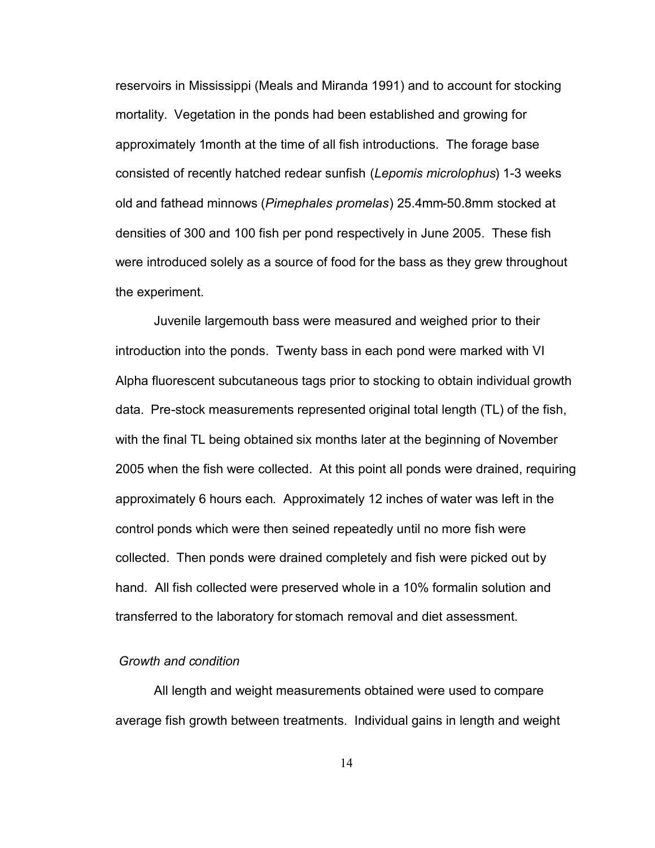<span id="page-26-0"></span>reservoirs in Mississippi (Meals and Miranda 1991) and to account for stocking mortality. Vegetation in the ponds had been established and growing for approximately 1month at the time of all fish introductions. The forage base consisted of recently hatched redear sunfish (*Lepomis microlophus*) 1-3 weeks old and fathead minnows (*Pimephales promelas*) 25.4mm-50.8mm stocked at densities of 300 and 100 fish per pond respectively in June 2005. These fish were introduced solely as a source of food for the bass as they grew throughout the experiment.

Juvenile largemouth bass were measured and weighed prior to their introduction into the ponds. Twenty bass in each pond were marked with VI Alpha fluorescent subcutaneous tags prior to stocking to obtain individual growth data. Pre-stock measurements represented original total length (TL) of the fish, with the final TL being obtained six months later at the beginning of November 2005 when the fish were collected. At this point all ponds were drained, requiring approximately 6 hours each. Approximately 12 inches of water was left in the control ponds which were then seined repeatedly until no more fish were collected. Then ponds were drained completely and fish were picked out by hand. All fish collected were preserved whole in a 10% formalin solution and transferred to the laboratory for stomach removal and diet assessment.

# *Growth and condition*

All length and weight measurements obtained were used to compare average fish growth between treatments. Individual gains in length and weight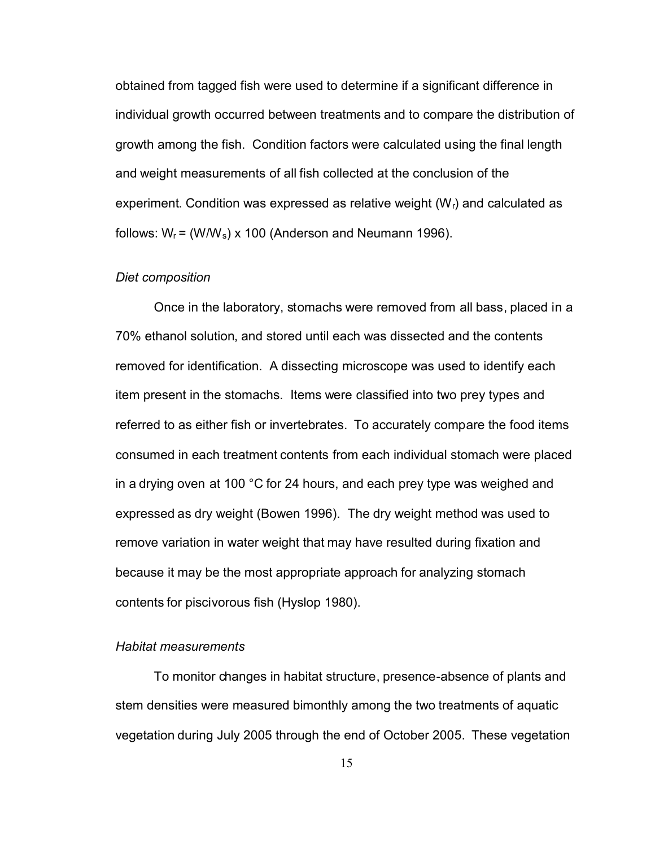<span id="page-27-0"></span>obtained from tagged fish were used to determine if a significant difference in individual growth occurred between treatments and to compare the distribution of growth among the fish. Condition factors were calculated using the final length and weight measurements of all fish collected at the conclusion of the experiment. Condition was expressed as relative weight  $(W<sub>r</sub>)$  and calculated as follows:  $W_r = (WW_s) \times 100$  (Anderson and Neumann 1996).

#### *Diet composition*

Once in the laboratory, stomachs were removed from all bass, placed in a 70% ethanol solution, and stored until each was dissected and the contents removed for identification. A dissecting microscope was used to identify each item present in the stomachs. Items were classified into two prey types and referred to as either fish or invertebrates. To accurately compare the food items consumed in each treatment contents from each individual stomach were placed in a drying oven at 100 °C for 24 hours, and each prey type was weighed and expressed as dry weight (Bowen 1996). The dry weight method was used to remove variation in water weight that may have resulted during fixation and because it may be the most appropriate approach for analyzing stomach contents for piscivorous fish (Hyslop 1980).

#### *Habitat measurements*

To monitor changes in habitat structure, presence-absence of plants and stem densities were measured bimonthly among the two treatments of aquatic vegetation during July 2005 through the end of October 2005. These vegetation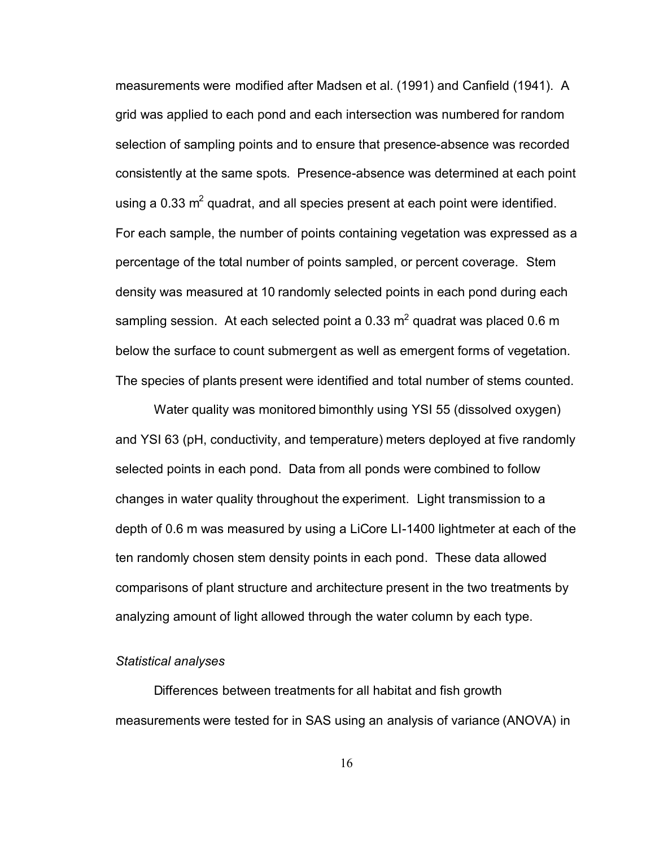<span id="page-28-0"></span>measurements were modified after Madsen et al. (1991) and Canfield (1941). A grid was applied to each pond and each intersection was numbered for random selection of sampling points and to ensure that presence-absence was recorded consistently at the same spots. Presence-absence was determined at each point using a 0.33  $m^2$  quadrat, and all species present at each point were identified. For each sample, the number of points containing vegetation was expressed as a percentage of the total number of points sampled, or percent coverage. Stem density was measured at 10 randomly selected points in each pond during each sampling session. At each selected point a 0.33  $m<sup>2</sup>$  quadrat was placed 0.6 m below the surface to count submergent as well as emergent forms of vegetation. The species of plants present were identified and total number of stems counted.

Water quality was monitored bimonthly using YSI 55 (dissolved oxygen) and YSI 63 (pH, conductivity, and temperature) meters deployed at five randomly selected points in each pond. Data from all ponds were combined to follow changes in water quality throughout the experiment. Light transmission to a depth of 0.6 m was measured by using a LiCore LI-1400 lightmeter at each of the ten randomly chosen stem density points in each pond. These data allowed comparisons of plant structure and architecture present in the two treatments by analyzing amount of light allowed through the water column by each type.

#### *Statistical analyses*

Differences between treatments for all habitat and fish growth measurements were tested for in SAS using an analysis of variance (ANOVA) in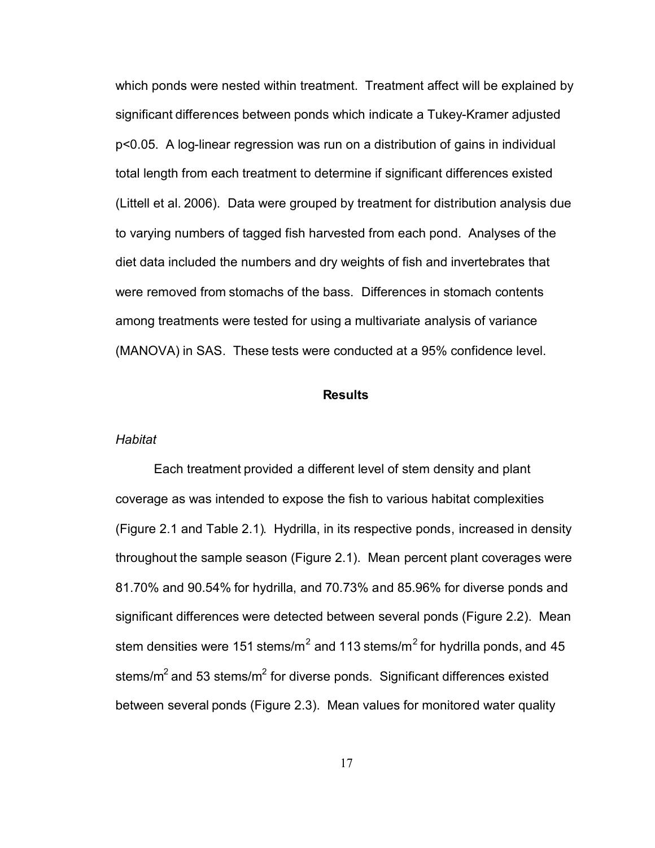<span id="page-29-0"></span>which ponds were nested within treatment. Treatment affect will be explained by significant differences between ponds which indicate a Tukey-Kramer adjusted p<0.05. A log-linear regression was run on a distribution of gains in individual total length from each treatment to determine if significant differences existed (Littell et al. 2006). Data were grouped by treatment for distribution analysis due to varying numbers of tagged fish harvested from each pond. Analyses of the diet data included the numbers and dry weights of fish and invertebrates that were removed from stomachs of the bass. Differences in stomach contents among treatments were tested for using a multivariate analysis of variance (MANOVA) in SAS. These tests were conducted at a 95% confidence level.

### **Results**

#### *Habitat*

Each treatment provided a different level of stem density and plant coverage as was intended to expose the fish to various habitat complexities (Figure 2.1 and Table 2.1). Hydrilla, in its respective ponds, increased in density throughout the sample season (Figure 2.1). Mean percent plant coverages were 81.70% and 90.54% for hydrilla, and 70.73% and 85.96% for diverse ponds and significant differences were detected between several ponds (Figure 2.2). Mean stem densities were 151 stems/m<sup>2</sup> and 113 stems/m<sup>2</sup> for hydrilla ponds, and 45 stems/ $m^2$  and 53 stems/ $m^2$  for diverse ponds. Significant differences existed between several ponds (Figure 2.3). Mean values for monitored water quality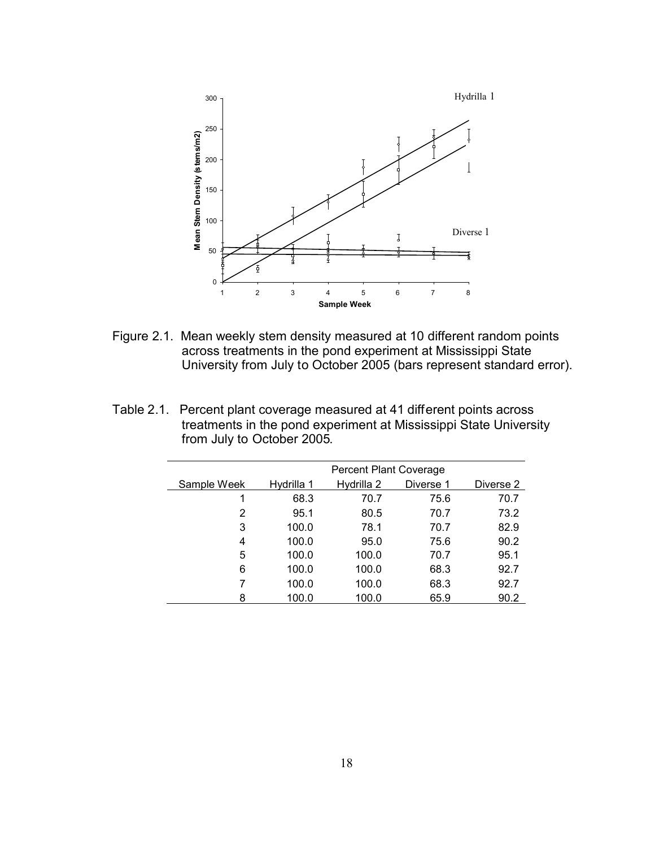

Figure 2.1. Mean weekly stem density measured at 10 different random points across treatments in the pond experiment at Mississippi State University from July to October 2005 (bars represent standard error).

| Table 2.1. Percent plant coverage measured at 41 different points across |
|--------------------------------------------------------------------------|
| treatments in the pond experiment at Mississippi State University        |
| from July to October 2005.                                               |

|             | <b>Percent Plant Coverage</b> |            |           |           |
|-------------|-------------------------------|------------|-----------|-----------|
| Sample Week | Hydrilla 1                    | Hydrilla 2 | Diverse 1 | Diverse 2 |
|             | 68.3                          | 70.7       | 75.6      | 70.7      |
| 2           | 95.1                          | 80.5       | 70.7      | 73.2      |
| 3           | 100.0                         | 78.1       | 70.7      | 82.9      |
| 4           | 100.0                         | 95.0       | 75.6      | 90.2      |
| 5           | 100.0                         | 100.0      | 70.7      | 95.1      |
| 6           | 100.0                         | 100.0      | 68.3      | 92.7      |
| 7           | 100.0                         | 100.0      | 68.3      | 92.7      |
| 8           | 100.0                         | 100.0      | 65.9      | 90.2      |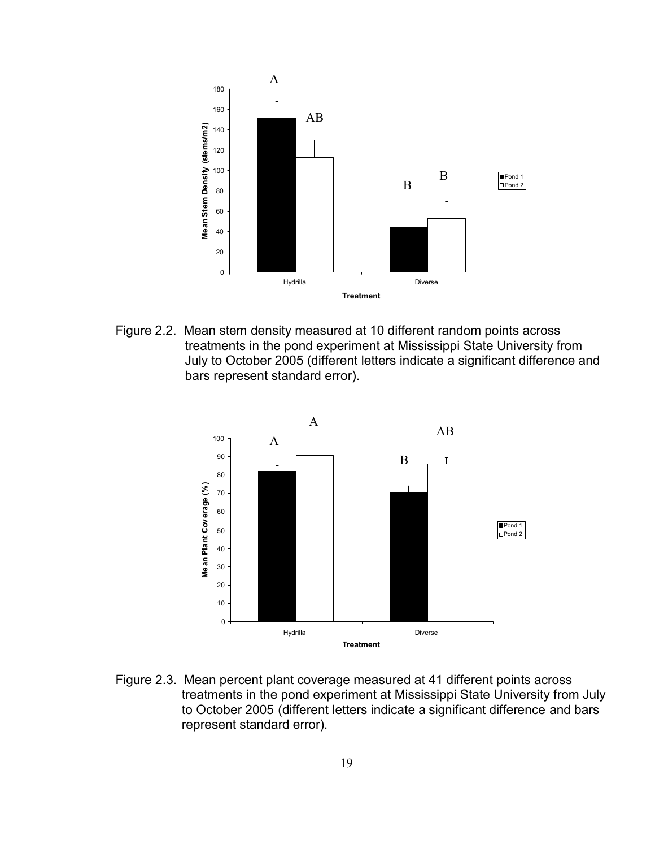

Figure 2.2. Mean stem density measured at 10 different random points across treatments in the pond experiment at Mississippi State University from July to October 2005 (different letters indicate a significant difference and bars represent standard error).



Figure 2.3. Mean percent plant coverage measured at 41 different points across treatments in the pond experiment at Mississippi State University from July to October 2005 (different letters indicate a significant difference and bars represent standard error).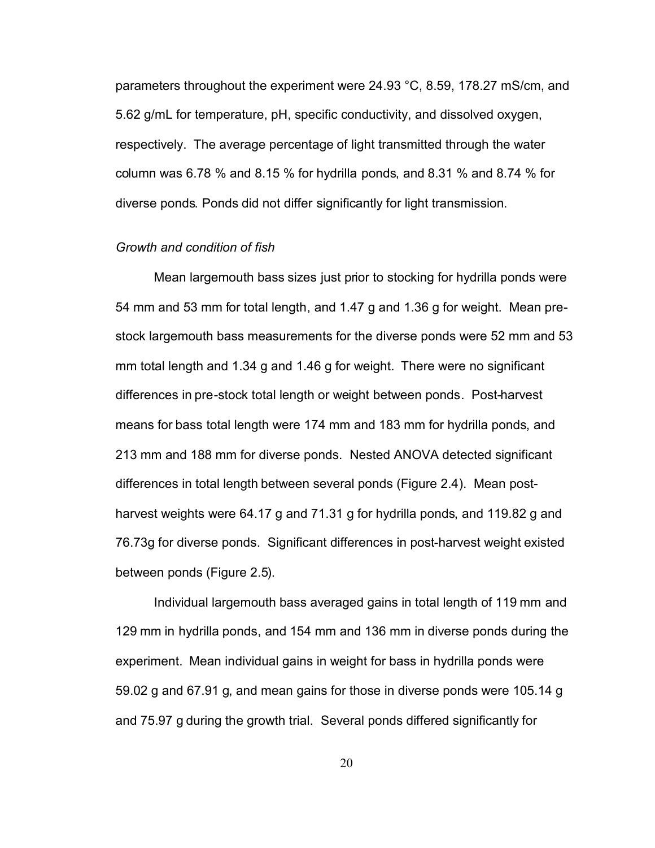<span id="page-32-0"></span>parameters throughout the experiment were 24.93 °C, 8.59, 178.27 mS/cm, and 5.62 g/mL for temperature, pH, specific conductivity, and dissolved oxygen, respectively. The average percentage of light transmitted through the water column was 6.78 % and 8.15 % for hydrilla ponds, and 8.31 % and 8.74 % for diverse ponds. Ponds did not differ significantly for light transmission.

## *Growth and condition of fish*

Mean largemouth bass sizes just prior to stocking for hydrilla ponds were 54 mm and 53 mm for total length, and 1.47 g and 1.36 g for weight. Mean prestock largemouth bass measurements for the diverse ponds were 52 mm and 53 mm total length and 1.34 g and 1.46 g for weight. There were no significant differences in pre-stock total length or weight between ponds. Post-harvest means for bass total length were 174 mm and 183 mm for hydrilla ponds, and 213 mm and 188 mm for diverse ponds. Nested ANOVA detected significant differences in total length between several ponds (Figure 2.4). Mean postharvest weights were 64.17 g and 71.31 g for hydrilla ponds, and 119.82 g and 76.73g for diverse ponds. Significant differences in post-harvest weight existed between ponds (Figure 2.5).

Individual largemouth bass averaged gains in total length of 119 mm and 129 mm in hydrilla ponds, and 154 mm and 136 mm in diverse ponds during the experiment. Mean individual gains in weight for bass in hydrilla ponds were 59.02 g and 67.91 g, and mean gains for those in diverse ponds were 105.14 g and 75.97 g during the growth trial. Several ponds differed significantly for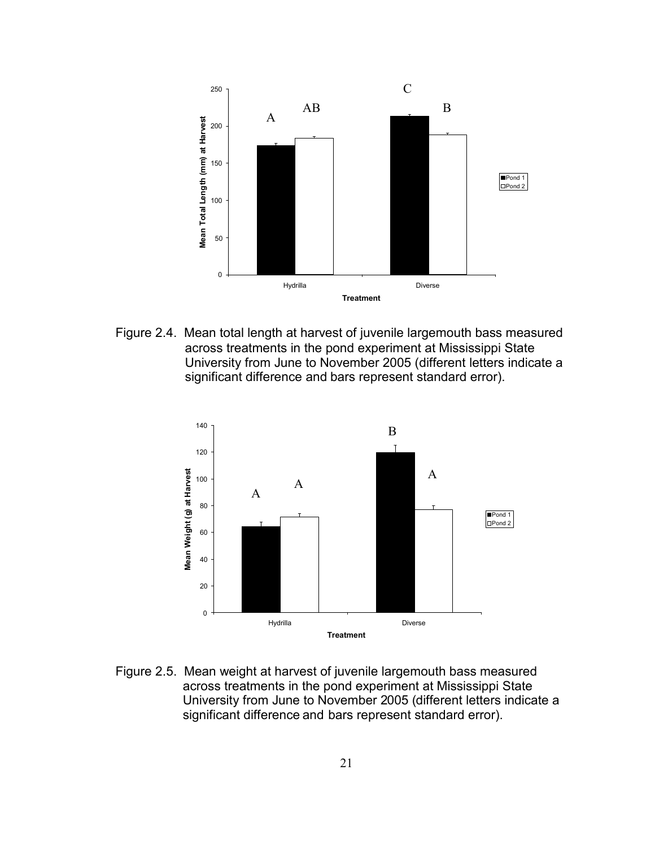

Figure 2.4. Mean total length at harvest of juvenile largemouth bass measured across treatments in the pond experiment at Mississippi State University from June to November 2005 (different letters indicate a significant difference and bars represent standard error).



Figure 2.5. Mean weight at harvest of juvenile largemouth bass measured across treatments in the pond experiment at Mississippi State University from June to November 2005 (different letters indicate a significant difference and bars represent standard error).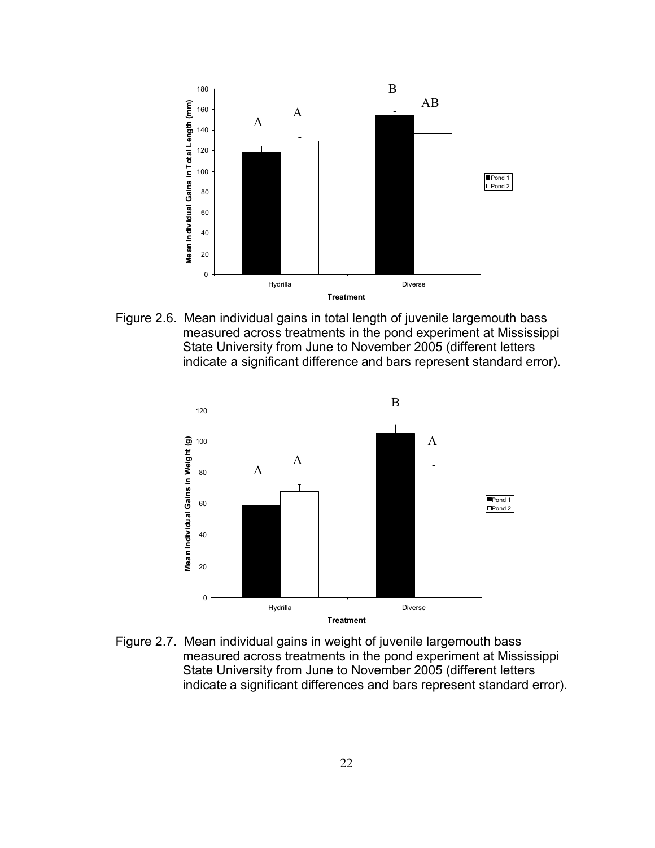

Figure 2.6. Mean individual gains in total length of juvenile largemouth bass measured across treatments in the pond experiment at Mississippi State University from June to November 2005 (different letters indicate a significant difference and bars represent standard error).



Figure 2.7. Mean individual gains in weight of juvenile largemouth bass measured across treatments in the pond experiment at Mississippi State University from June to November 2005 (different letters indicate a significant differences and bars represent standard error).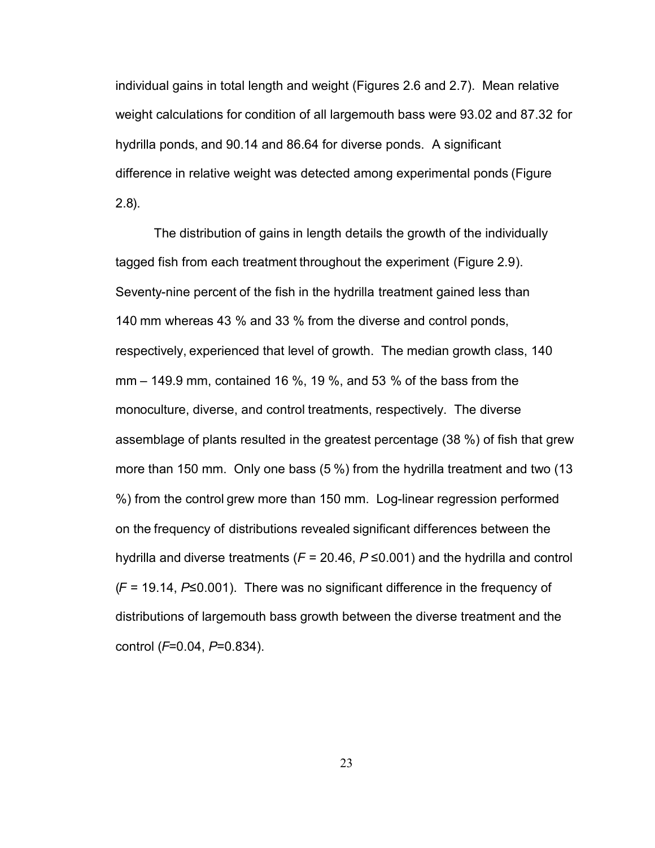<span id="page-35-0"></span>individual gains in total length and weight (Figures 2.6 and 2.7). Mean relative weight calculations for condition of all largemouth bass were 93.02 and 87.32 for hydrilla ponds, and 90.14 and 86.64 for diverse ponds. A significant difference in relative weight was detected among experimental ponds (Figure 2.8).

The distribution of gains in length details the growth of the individually tagged fish from each treatment throughout the experiment (Figure 2.9). Seventy-nine percent of the fish in the hydrilla treatment gained less than 140 mm whereas 43 % and 33 % from the diverse and control ponds, respectively, experienced that level of growth. The median growth class, 140 mm – 149.9 mm, contained 16 %, 19 %, and 53 % of the bass from the monoculture, diverse, and control treatments, respectively. The diverse assemblage of plants resulted in the greatest percentage (38 %) of fish that grew more than 150 mm. Only one bass (5 %) from the hydrilla treatment and two (13 %) from the control grew more than 150 mm. Log-linear regression performed on the frequency of distributions revealed significant differences between the hydrilla and diverse treatments (*F* = 20.46, *P* ≤0.001) and the hydrilla and control (*F* = 19.14, *P*≤0.001). There was no significant difference in the frequency of distributions of largemouth bass growth between the diverse treatment and the control (*F*=0.04, *P*=0.834).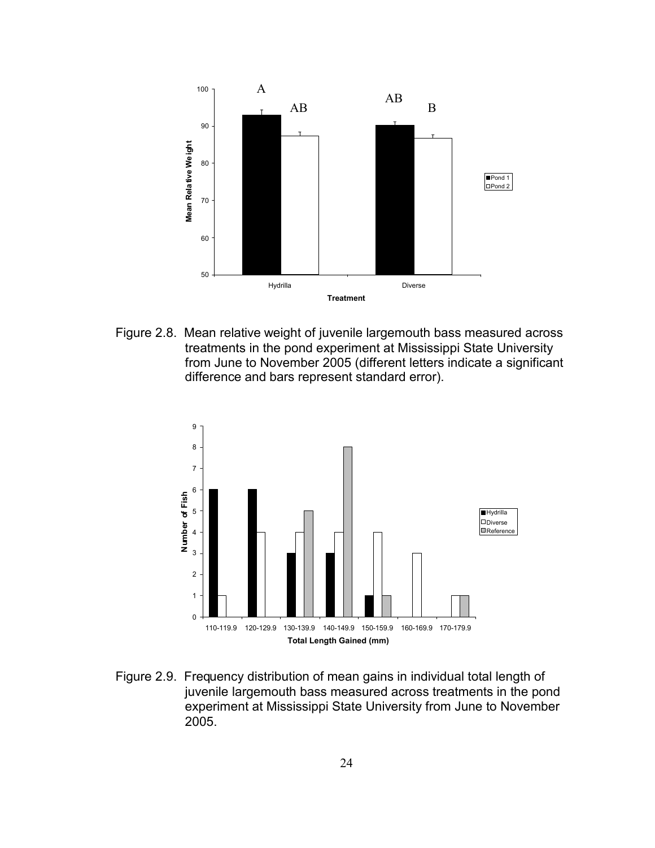

Figure 2.8. Mean relative weight of juvenile largemouth bass measured across treatments in the pond experiment at Mississippi State University from June to November 2005 (different letters indicate a significant difference and bars represent standard error).



Figure 2.9. Frequency distribution of mean gains in individual total length of juvenile largemouth bass measured across treatments in the pond experiment at Mississippi State University from June to November 2005.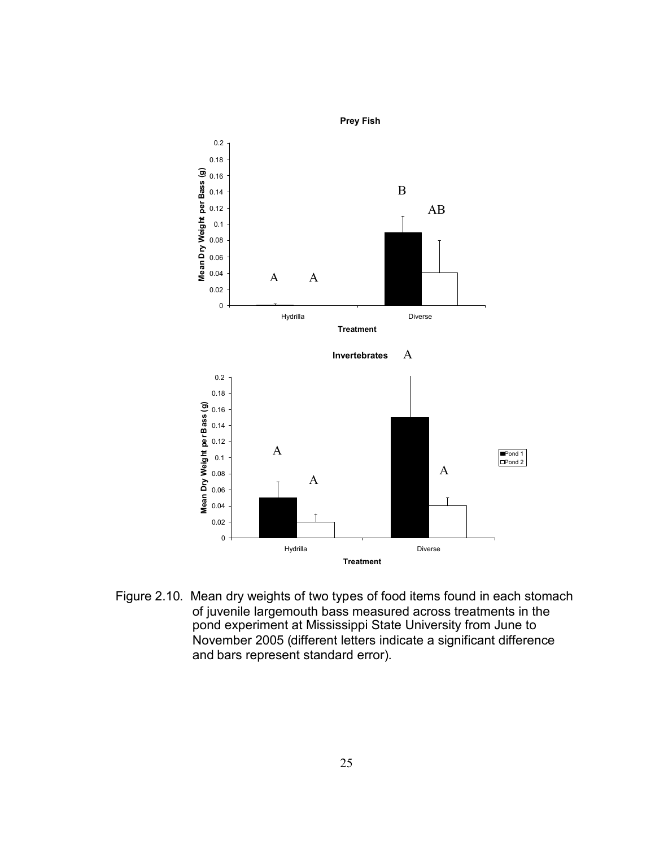

Figure 2.10. Mean dry weights of two types of food items found in each stomach of juvenile largemouth bass measured across treatments in the pond experiment at Mississippi State University from June to November 2005 (different letters indicate a significant difference and bars represent standard error).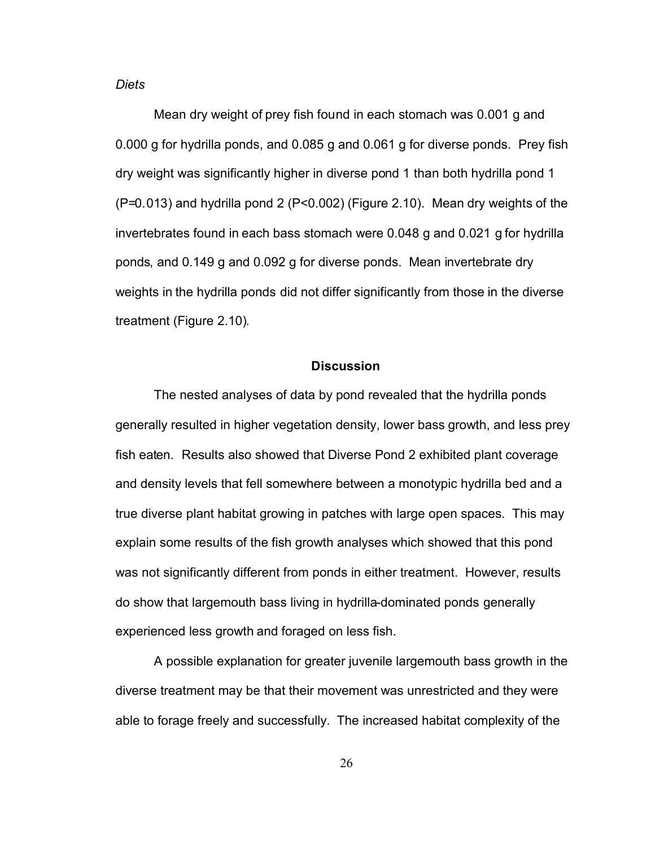*Diets* 

Mean dry weight of prey fish found in each stomach was 0.001 g and 0.000 g for hydrilla ponds, and 0.085 g and 0.061 g for diverse ponds. Prey fish dry weight was significantly higher in diverse pond 1 than both hydrilla pond 1 (P=0.013) and hydrilla pond 2 (P<0.002) (Figure 2.10). Mean dry weights of the invertebrates found in each bass stomach were 0.048 g and 0.021 g for hydrilla ponds, and 0.149 g and 0.092 g for diverse ponds. Mean invertebrate dry weights in the hydrilla ponds did not differ significantly from those in the diverse treatment (Figure 2.10).

#### **Discussion**

The nested analyses of data by pond revealed that the hydrilla ponds generally resulted in higher vegetation density, lower bass growth, and less prey fish eaten. Results also showed that Diverse Pond 2 exhibited plant coverage and density levels that fell somewhere between a monotypic hydrilla bed and a true diverse plant habitat growing in patches with large open spaces. This may explain some results of the fish growth analyses which showed that this pond was not significantly different from ponds in either treatment. However, results do show that largemouth bass living in hydrilla-dominated ponds generally experienced less growth and foraged on less fish.

A possible explanation for greater juvenile largemouth bass growth in the diverse treatment may be that their movement was unrestricted and they were able to forage freely and successfully. The increased habitat complexity of the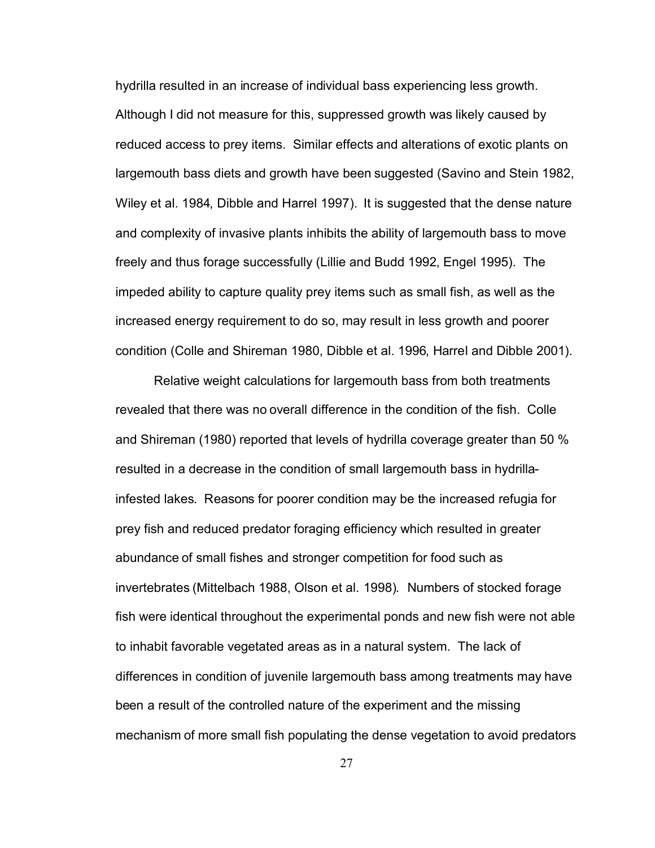hydrilla resulted in an increase of individual bass experiencing less growth. Although I did not measure for this, suppressed growth was likely caused by reduced access to prey items. Similar effects and alterations of exotic plants on largemouth bass diets and growth have been suggested (Savino and Stein 1982, Wiley et al. 1984, Dibble and Harrel 1997). It is suggested that the dense nature and complexity of invasive plants inhibits the ability of largemouth bass to move freely and thus forage successfully (Lillie and Budd 1992, Engel 1995). The impeded ability to capture quality prey items such as small fish, as well as the increased energy requirement to do so, may result in less growth and poorer condition (Colle and Shireman 1980, Dibble et al. 1996, Harrel and Dibble 2001).

Relative weight calculations for largemouth bass from both treatments revealed that there was no overall difference in the condition of the fish. Colle and Shireman (1980) reported that levels of hydrilla coverage greater than 50 % resulted in a decrease in the condition of small largemouth bass in hydrillainfested lakes. Reasons for poorer condition may be the increased refugia for prey fish and reduced predator foraging efficiency which resulted in greater abundance of small fishes and stronger competition for food such as invertebrates (Mittelbach 1988, Olson et al. 1998). Numbers of stocked forage fish were identical throughout the experimental ponds and new fish were not able to inhabit favorable vegetated areas as in a natural system. The lack of differences in condition of juvenile largemouth bass among treatments may have been a result of the controlled nature of the experiment and the missing mechanism of more small fish populating the dense vegetation to avoid predators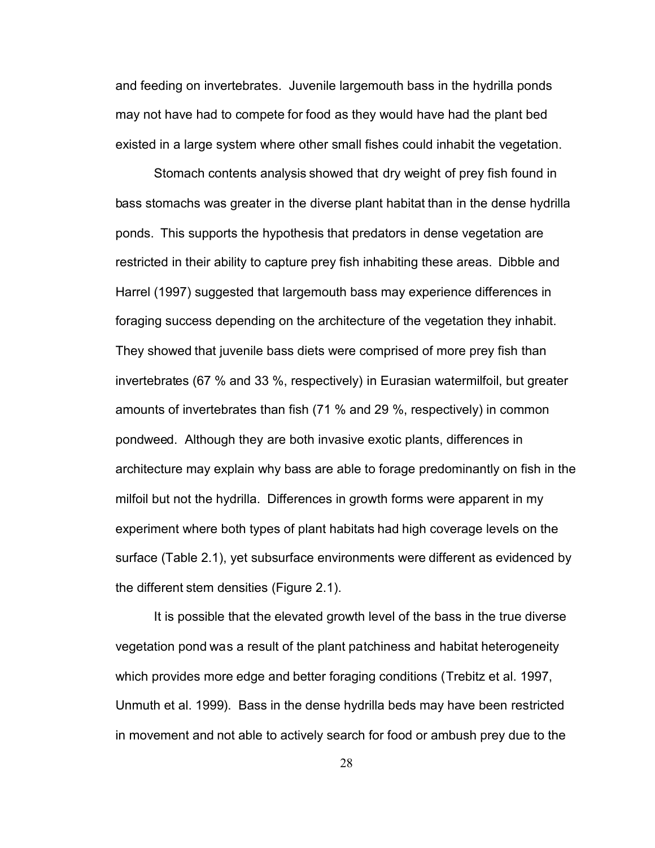and feeding on invertebrates. Juvenile largemouth bass in the hydrilla ponds may not have had to compete for food as they would have had the plant bed existed in a large system where other small fishes could inhabit the vegetation.

Stomach contents analysis showed that dry weight of prey fish found in bass stomachs was greater in the diverse plant habitat than in the dense hydrilla ponds. This supports the hypothesis that predators in dense vegetation are restricted in their ability to capture prey fish inhabiting these areas. Dibble and Harrel (1997) suggested that largemouth bass may experience differences in foraging success depending on the architecture of the vegetation they inhabit. They showed that juvenile bass diets were comprised of more prey fish than invertebrates (67 % and 33 %, respectively) in Eurasian watermilfoil, but greater amounts of invertebrates than fish (71 % and 29 %, respectively) in common pondweed. Although they are both invasive exotic plants, differences in architecture may explain why bass are able to forage predominantly on fish in the milfoil but not the hydrilla. Differences in growth forms were apparent in my experiment where both types of plant habitats had high coverage levels on the surface (Table 2.1), yet subsurface environments were different as evidenced by the different stem densities (Figure 2.1).

It is possible that the elevated growth level of the bass in the true diverse vegetation pond was a result of the plant patchiness and habitat heterogeneity which provides more edge and better foraging conditions (Trebitz et al. 1997, Unmuth et al. 1999). Bass in the dense hydrilla beds may have been restricted in movement and not able to actively search for food or ambush prey due to the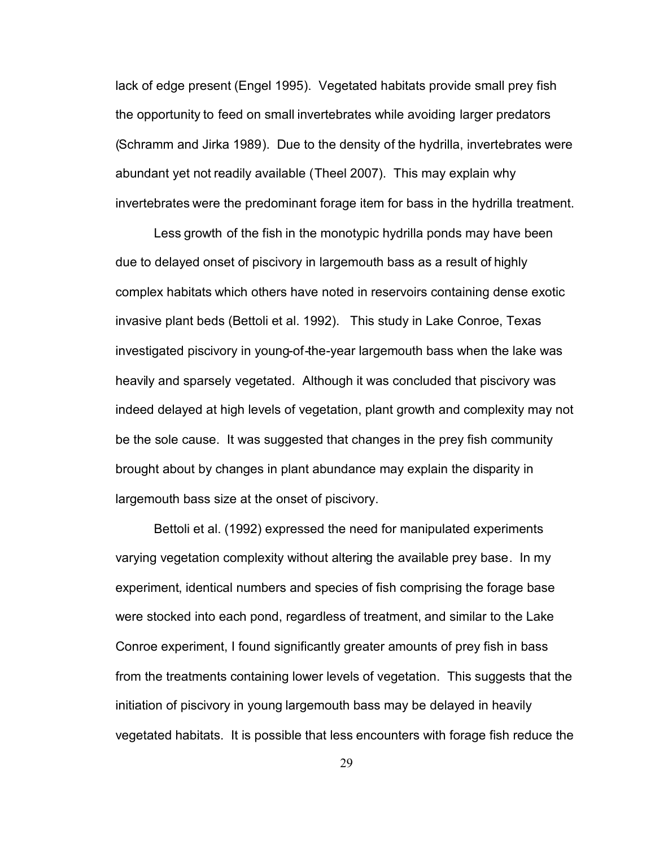lack of edge present (Engel 1995). Vegetated habitats provide small prey fish the opportunity to feed on small invertebrates while avoiding larger predators (Schramm and Jirka 1989). Due to the density of the hydrilla, invertebrates were abundant yet not readily available (Theel 2007). This may explain why invertebrates were the predominant forage item for bass in the hydrilla treatment.

Less growth of the fish in the monotypic hydrilla ponds may have been due to delayed onset of piscivory in largemouth bass as a result of highly complex habitats which others have noted in reservoirs containing dense exotic invasive plant beds (Bettoli et al. 1992). This study in Lake Conroe, Texas investigated piscivory in young-of-the-year largemouth bass when the lake was heavily and sparsely vegetated. Although it was concluded that piscivory was indeed delayed at high levels of vegetation, plant growth and complexity may not be the sole cause. It was suggested that changes in the prey fish community brought about by changes in plant abundance may explain the disparity in largemouth bass size at the onset of piscivory.

Bettoli et al. (1992) expressed the need for manipulated experiments varying vegetation complexity without altering the available prey base. In my experiment, identical numbers and species of fish comprising the forage base were stocked into each pond, regardless of treatment, and similar to the Lake Conroe experiment, I found significantly greater amounts of prey fish in bass from the treatments containing lower levels of vegetation. This suggests that the initiation of piscivory in young largemouth bass may be delayed in heavily vegetated habitats. It is possible that less encounters with forage fish reduce the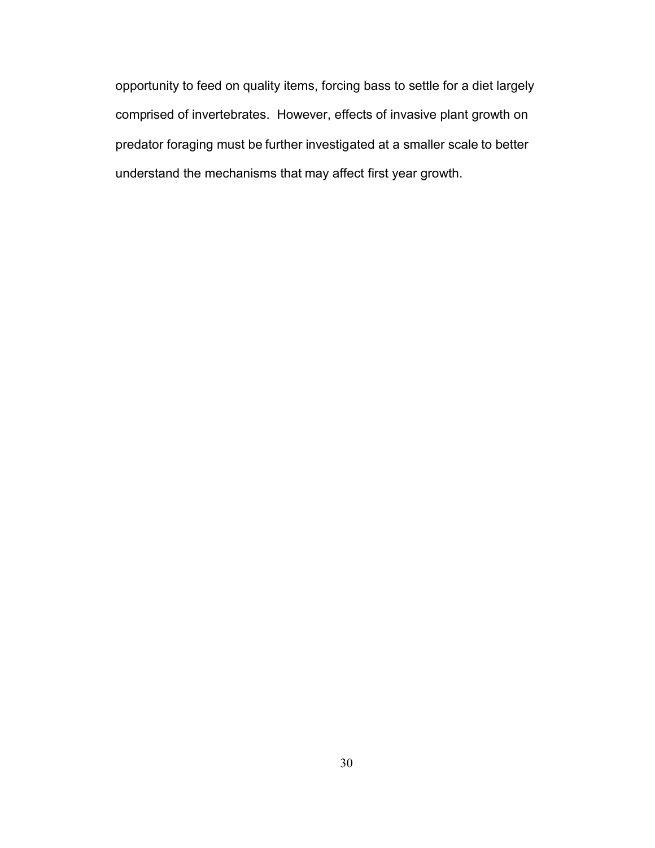opportunity to feed on quality items, forcing bass to settle for a diet largely comprised of invertebrates. However, effects of invasive plant growth on predator foraging must be further investigated at a smaller scale to better understand the mechanisms that may affect first year growth.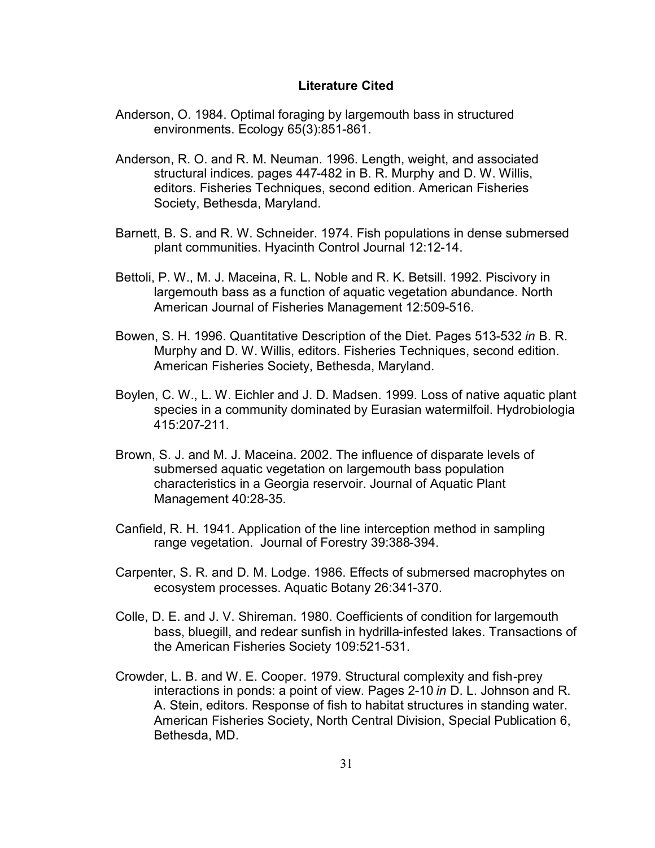#### **Literature Cited**

- Anderson, O. 1984. Optimal foraging by largemouth bass in structured environments. Ecology 65(3):851-861.
- Anderson, R. O. and R. M. Neuman. 1996. Length, weight, and associated structural indices. pages 447-482 in B. R. Murphy and D. W. Willis, editors. Fisheries Techniques, second edition. American Fisheries Society, Bethesda, Maryland.
- Barnett, B. S. and R. W. Schneider. 1974. Fish populations in dense submersed plant communities. Hyacinth Control Journal 12:12-14.
- Bettoli, P. W., M. J. Maceina, R. L. Noble and R. K. Betsill. 1992. Piscivory in largemouth bass as a function of aquatic vegetation abundance. North American Journal of Fisheries Management 12:509-516.
- Bowen, S. H. 1996. Quantitative Description of the Diet. Pages 513-532 *in* B. R. Murphy and D. W. Willis, editors. Fisheries Techniques, second edition. American Fisheries Society, Bethesda, Maryland.
- Boylen, C. W., L. W. Eichler and J. D. Madsen. 1999. Loss of native aquatic plant species in a community dominated by Eurasian watermilfoil. Hydrobiologia 415:207-211.
- Brown, S. J. and M. J. Maceina. 2002. The influence of disparate levels of submersed aquatic vegetation on largemouth bass population characteristics in a Georgia reservoir. Journal of Aquatic Plant Management 40:28-35.
- Canfield, R. H. 1941. Application of the line interception method in sampling range vegetation. Journal of Forestry 39:388-394.
- Carpenter, S. R. and D. M. Lodge. 1986. Effects of submersed macrophytes on ecosystem processes. Aquatic Botany 26:341-370.
- Colle, D. E. and J. V. Shireman. 1980. Coefficients of condition for largemouth bass, bluegill, and redear sunfish in hydrilla-infested lakes. Transactions of the American Fisheries Society 109:521-531.
- Crowder, L. B. and W. E. Cooper. 1979. Structural complexity and fish-prey interactions in ponds: a point of view. Pages 2-10 *in* D. L. Johnson and R. A. Stein, editors. Response of fish to habitat structures in standing water. American Fisheries Society, North Central Division, Special Publication 6, Bethesda, MD.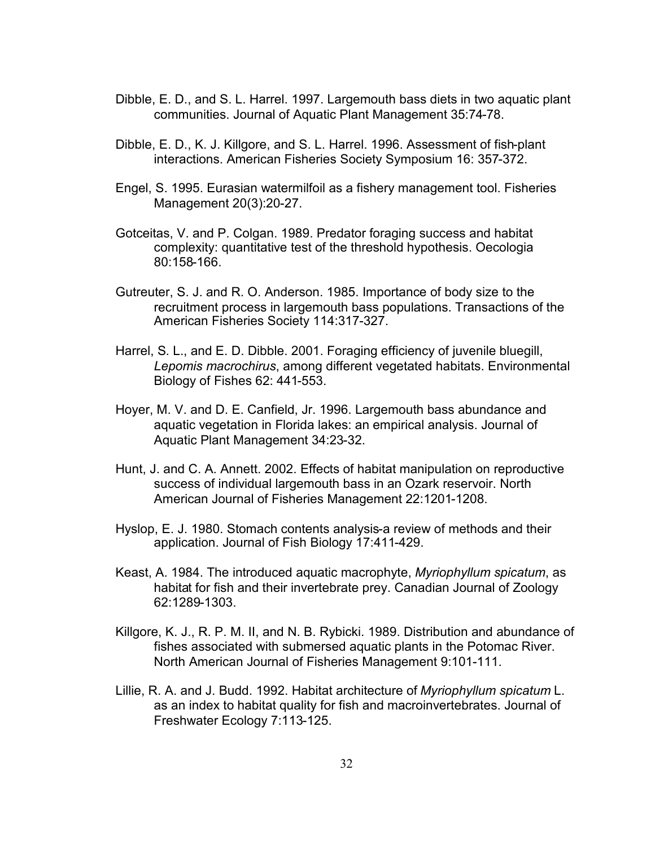- Dibble, E. D., and S. L. Harrel. 1997. Largemouth bass diets in two aquatic plant communities. Journal of Aquatic Plant Management 35:74-78.
- Dibble, E. D., K. J. Killgore, and S. L. Harrel. 1996. Assessment of fish-plant interactions. American Fisheries Society Symposium 16: 357-372.
- Engel, S. 1995. Eurasian watermilfoil as a fishery management tool. Fisheries Management 20(3):20-27.
- Gotceitas, V. and P. Colgan. 1989. Predator foraging success and habitat complexity: quantitative test of the threshold hypothesis. Oecologia 80:158-166.
- Gutreuter, S. J. and R. O. Anderson. 1985. Importance of body size to the recruitment process in largemouth bass populations. Transactions of the American Fisheries Society 114:317-327.
- Harrel, S. L., and E. D. Dibble. 2001. Foraging efficiency of juvenile bluegill, *Lepomis macrochirus*, among different vegetated habitats. Environmental Biology of Fishes 62: 441-553.
- Hoyer, M. V. and D. E. Canfield, Jr. 1996. Largemouth bass abundance and aquatic vegetation in Florida lakes: an empirical analysis. Journal of Aquatic Plant Management 34:23-32.
- Hunt, J. and C. A. Annett. 2002. Effects of habitat manipulation on reproductive success of individual largemouth bass in an Ozark reservoir. North American Journal of Fisheries Management 22:1201-1208.
- Hyslop, E. J. 1980. Stomach contents analysis-a review of methods and their application. Journal of Fish Biology 17:411-429.
- Keast, A. 1984. The introduced aquatic macrophyte, *Myriophyllum spicatum*, as habitat for fish and their invertebrate prey. Canadian Journal of Zoology 62:1289-1303.
- Killgore, K. J., R. P. M. II, and N. B. Rybicki. 1989. Distribution and abundance of fishes associated with submersed aquatic plants in the Potomac River. North American Journal of Fisheries Management 9:101-111.
- Lillie, R. A. and J. Budd. 1992. Habitat architecture of *Myriophyllum spicatum* L. as an index to habitat quality for fish and macroinvertebrates. Journal of Freshwater Ecology 7:113-125.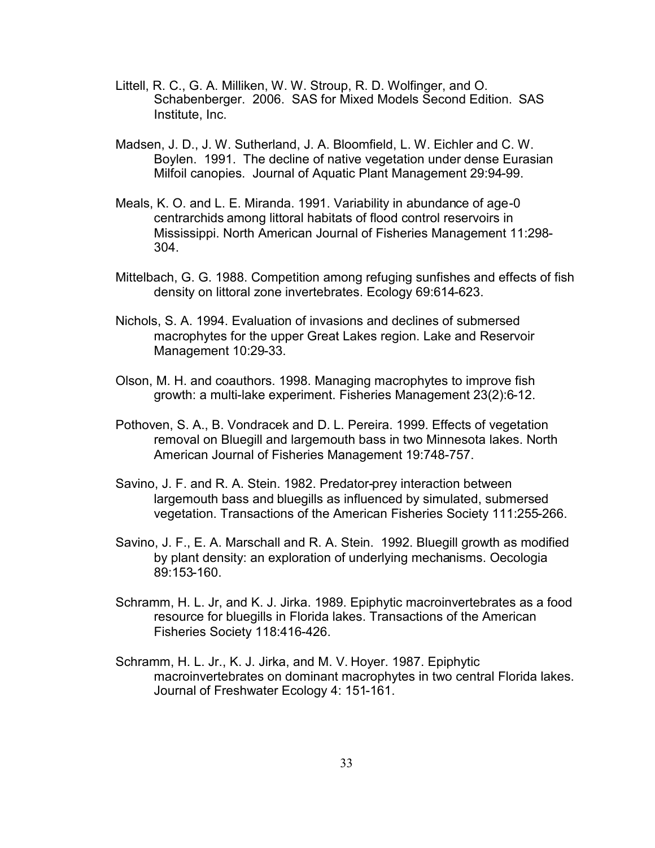- Littell, R. C., G. A. Milliken, W. W. Stroup, R. D. Wolfinger, and O. Schabenberger. 2006. SAS for Mixed Models Second Edition. SAS Institute, Inc.
- Madsen, J. D., J. W. Sutherland, J. A. Bloomfield, L. W. Eichler and C. W. Boylen. 1991. The decline of native vegetation under dense Eurasian Milfoil canopies. Journal of Aquatic Plant Management 29:94-99.
- Meals, K. O. and L. E. Miranda. 1991. Variability in abundance of age-0 centrarchids among littoral habitats of flood control reservoirs in Mississippi. North American Journal of Fisheries Management 11:298- 304.
- Mittelbach, G. G. 1988. Competition among refuging sunfishes and effects of fish density on littoral zone invertebrates. Ecology 69:614-623.
- Nichols, S. A. 1994. Evaluation of invasions and declines of submersed macrophytes for the upper Great Lakes region. Lake and Reservoir Management 10:29-33.
- Olson, M. H. and coauthors. 1998. Managing macrophytes to improve fish growth: a multi-lake experiment. Fisheries Management 23(2):6-12.
- Pothoven, S. A., B. Vondracek and D. L. Pereira. 1999. Effects of vegetation removal on Bluegill and largemouth bass in two Minnesota lakes. North American Journal of Fisheries Management 19:748-757.
- Savino, J. F. and R. A. Stein. 1982. Predator-prey interaction between largemouth bass and bluegills as influenced by simulated, submersed vegetation. Transactions of the American Fisheries Society 111:255-266.
- Savino, J. F., E. A. Marschall and R. A. Stein. 1992. Bluegill growth as modified by plant density: an exploration of underlying mechanisms. Oecologia 89:153-160.
- Schramm, H. L. Jr, and K. J. Jirka. 1989. Epiphytic macroinvertebrates as a food resource for bluegills in Florida lakes. Transactions of the American Fisheries Society 118:416-426.
- Schramm, H. L. Jr., K. J. Jirka, and M. V. Hoyer. 1987. Epiphytic macroinvertebrates on dominant macrophytes in two central Florida lakes. Journal of Freshwater Ecology 4: 151-161.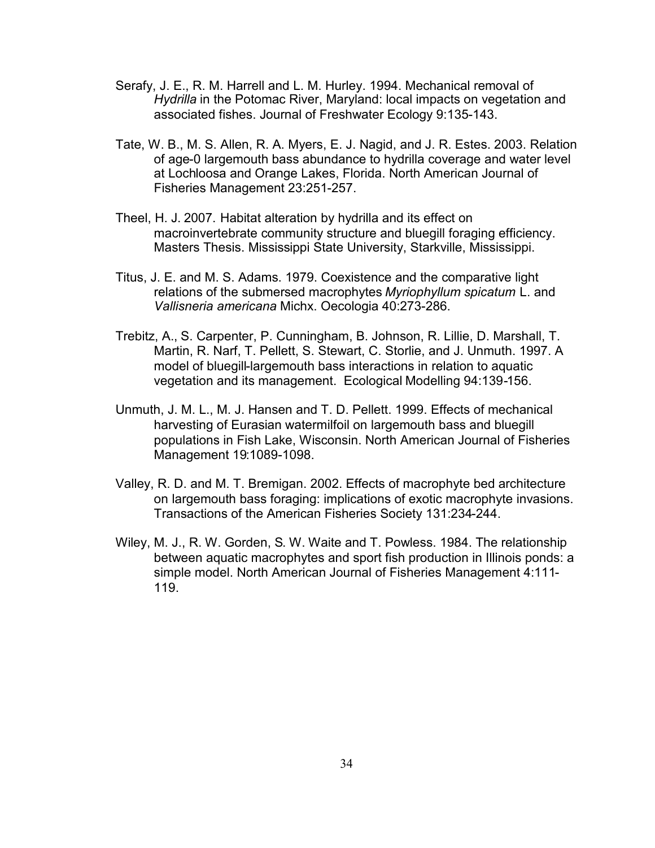- Serafy, J. E., R. M. Harrell and L. M. Hurley. 1994. Mechanical removal of Hydrilla in the Potomac River, Maryland: local impacts on vegetation and associated fishes. Journal of Freshwater Ecology 9:135-143.
- Tate, W. B., M. S. Allen, R. A. Myers, E. J. Nagid, and J. R. Estes. 2003. Relation of age-0 largemouth bass abundance to hydrilla coverage and water level at Lochloosa and Orange Lakes, Florida. North American Journal of Fisheries Management 23:251-257.
- Theel, H. J. 2007. Habitat alteration by hydrilla and its effect on macroinvertebrate community structure and bluegill foraging efficiency. Masters Thesis. Mississippi State University, Starkville, Mississippi.
- Titus, J. E. and M. S. Adams. 1979. Coexistence and the comparative light relations of the submersed macrophytes *Myriophyllum spicatum* L. and *Vallisneria americana* Michx. Oecologia 40:273-286.
- Trebitz, A., S. Carpenter, P. Cunningham, B. Johnson, R. Lillie, D. Marshall, T. Martin, R. Narf, T. Pellett, S. Stewart, C. Storlie, and J. Unmuth. 1997. A model of bluegill-largemouth bass interactions in relation to aquatic vegetation and its management. Ecological Modelling 94:139-156.
- Unmuth, J. M. L., M. J. Hansen and T. D. Pellett. 1999. Effects of mechanical harvesting of Eurasian watermilfoil on largemouth bass and bluegill populations in Fish Lake, Wisconsin. North American Journal of Fisheries Management 19:1089-1098.
- Valley, R. D. and M. T. Bremigan. 2002. Effects of macrophyte bed architecture on largemouth bass foraging: implications of exotic macrophyte invasions. Transactions of the American Fisheries Society 131:234-244.
- Wiley, M. J., R. W. Gorden, S. W. Waite and T. Powless. 1984. The relationship between aquatic macrophytes and sport fish production in Illinois ponds: a simple model. North American Journal of Fisheries Management 4:111- 119.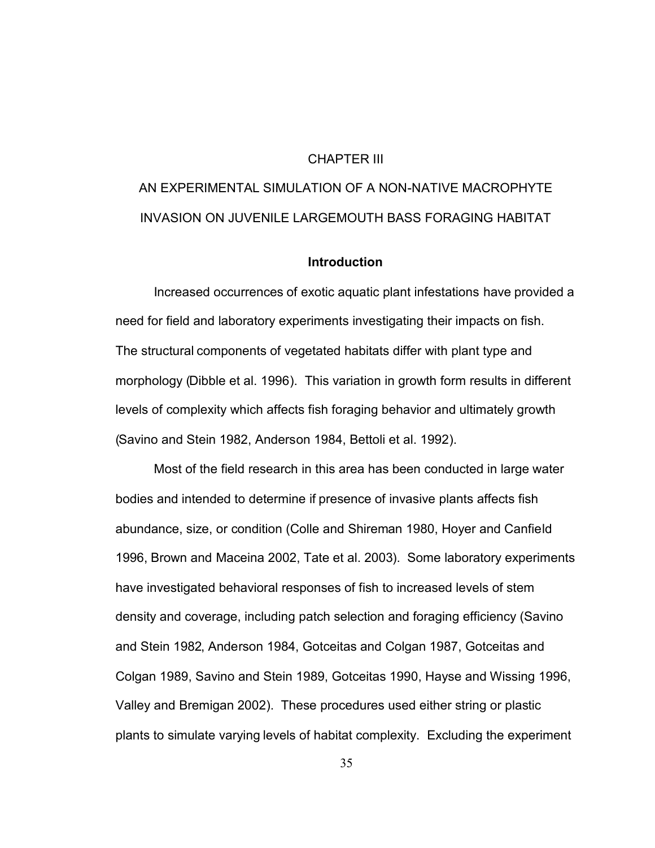#### CHAPTER III

# AN EXPERIMENTAL SIMULATION OF A NON-NATIVE MACROPHYTE INVASION ON JUVENILE LARGEMOUTH BASS FORAGING HABITAT

#### **Introduction**

Increased occurrences of exotic aquatic plant infestations have provided a need for field and laboratory experiments investigating their impacts on fish. The structural components of vegetated habitats differ with plant type and morphology (Dibble et al. 1996). This variation in growth form results in different levels of complexity which affects fish foraging behavior and ultimately growth (Savino and Stein 1982, Anderson 1984, Bettoli et al. 1992).

Most of the field research in this area has been conducted in large water bodies and intended to determine if presence of invasive plants affects fish abundance, size, or condition (Colle and Shireman 1980, Hoyer and Canfield 1996, Brown and Maceina 2002, Tate et al. 2003). Some laboratory experiments have investigated behavioral responses of fish to increased levels of stem density and coverage, including patch selection and foraging efficiency (Savino and Stein 1982, Anderson 1984, Gotceitas and Colgan 1987, Gotceitas and Colgan 1989, Savino and Stein 1989, Gotceitas 1990, Hayse and Wissing 1996, Valley and Bremigan 2002). These procedures used either string or plastic plants to simulate varying levels of habitat complexity. Excluding the experiment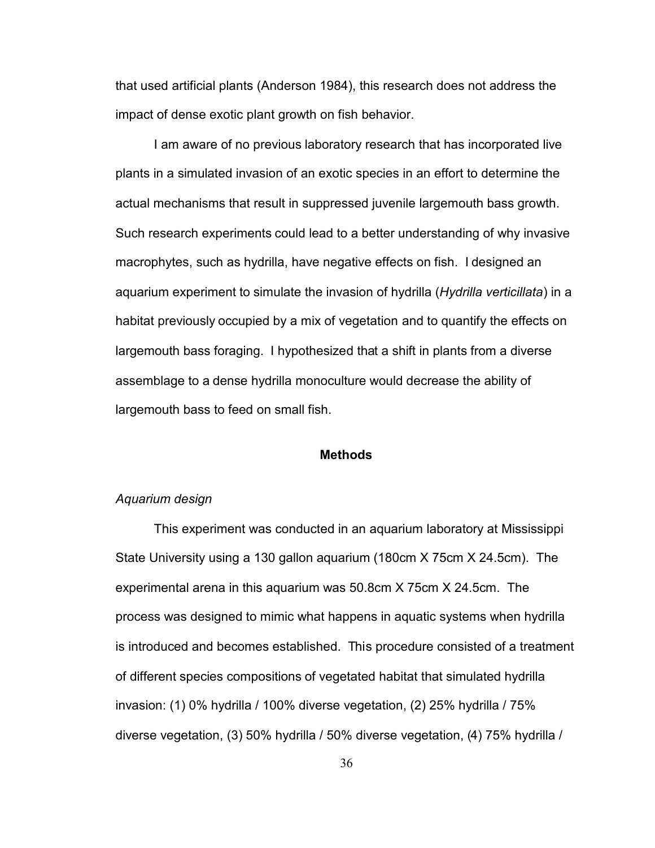that used artificial plants (Anderson 1984), this research does not address the impact of dense exotic plant growth on fish behavior.

I am aware of no previous laboratory research that has incorporated live plants in a simulated invasion of an exotic species in an effort to determine the actual mechanisms that result in suppressed juvenile largemouth bass growth. Such research experiments could lead to a better understanding of why invasive macrophytes, such as hydrilla, have negative effects on fish. I designed an aquarium experiment to simulate the invasion of hydrilla (*Hydrilla verticillata*) in a habitat previously occupied by a mix of vegetation and to quantify the effects on largemouth bass foraging. I hypothesized that a shift in plants from a diverse assemblage to a dense hydrilla monoculture would decrease the ability of largemouth bass to feed on small fish.

#### **Methods**

#### *Aquarium design*

This experiment was conducted in an aquarium laboratory at Mississippi State University using a 130 gallon aquarium (180cm X 75cm X 24.5cm). The experimental arena in this aquarium was 50.8cm X 75cm X 24.5cm. The process was designed to mimic what happens in aquatic systems when hydrilla is introduced and becomes established. This procedure consisted of a treatment of different species compositions of vegetated habitat that simulated hydrilla invasion: (1) 0% hydrilla / 100% diverse vegetation, (2) 25% hydrilla / 75% diverse vegetation, (3) 50% hydrilla / 50% diverse vegetation, (4) 75% hydrilla /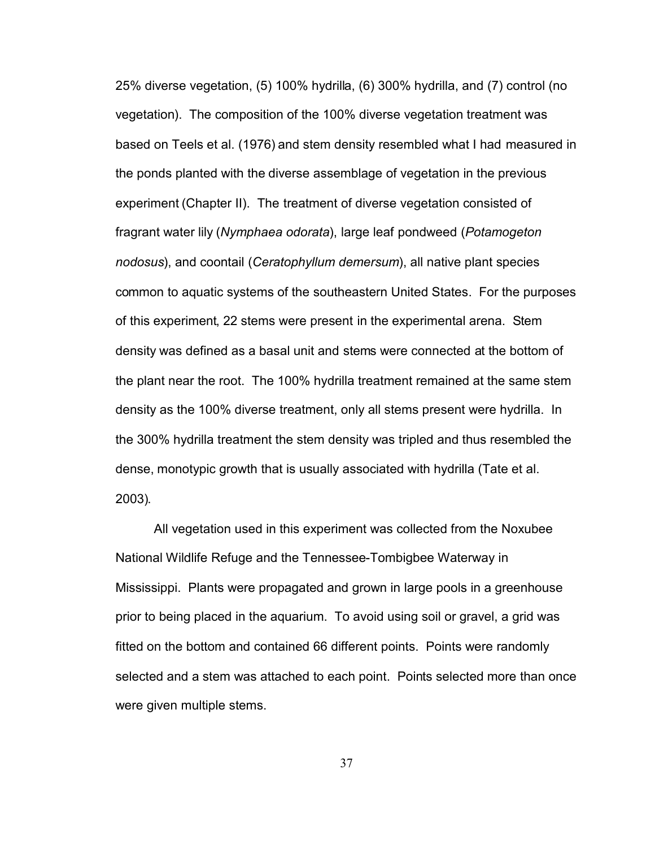25% diverse vegetation, (5) 100% hydrilla, (6) 300% hydrilla, and (7) control (no vegetation). The composition of the 100% diverse vegetation treatment was based on Teels et al. (1976) and stem density resembled what I had measured in the ponds planted with the diverse assemblage of vegetation in the previous experiment (Chapter II). The treatment of diverse vegetation consisted of fragrant water lily (*Nymphaea odorata*), large leaf pondweed (*Potamogeton nodosus*), and coontail (*Ceratophyllum demersum*), all native plant species common to aquatic systems of the southeastern United States. For the purposes of this experiment, 22 stems were present in the experimental arena. Stem density was defined as a basal unit and stems were connected at the bottom of the plant near the root. The 100% hydrilla treatment remained at the same stem density as the 100% diverse treatment, only all stems present were hydrilla. In the 300% hydrilla treatment the stem density was tripled and thus resembled the dense, monotypic growth that is usually associated with hydrilla (Tate et al. 2003).

All vegetation used in this experiment was collected from the Noxubee National Wildlife Refuge and the Tennessee-Tombigbee Waterway in Mississippi. Plants were propagated and grown in large pools in a greenhouse prior to being placed in the aquarium. To avoid using soil or gravel, a grid was fitted on the bottom and contained 66 different points. Points were randomly selected and a stem was attached to each point. Points selected more than once were given multiple stems.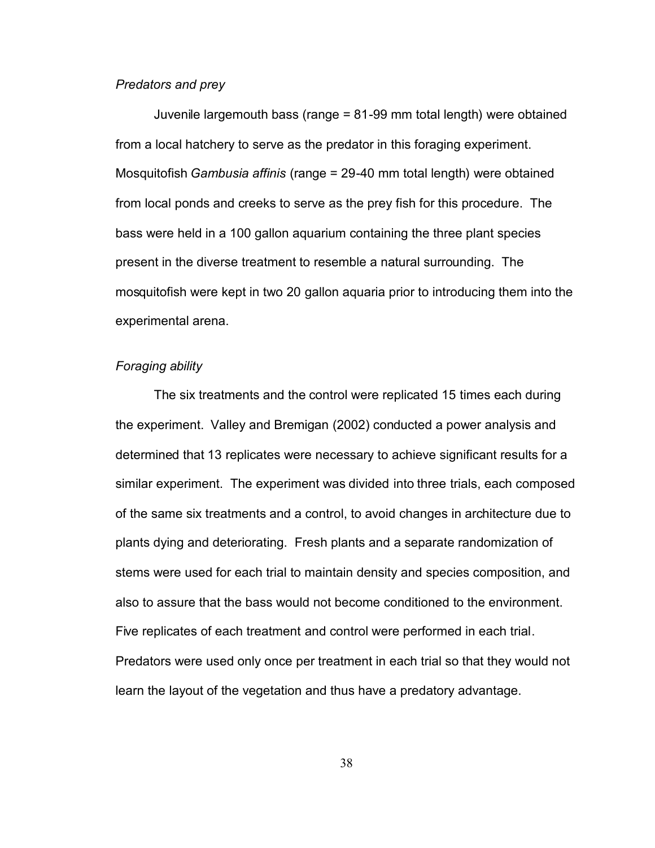#### *Predators and prey*

Juvenile largemouth bass (range = 81-99 mm total length) were obtained from a local hatchery to serve as the predator in this foraging experiment. Mosquitofish *Gambusia affinis* (range = 29-40 mm total length) were obtained from local ponds and creeks to serve as the prey fish for this procedure. The bass were held in a 100 gallon aquarium containing the three plant species present in the diverse treatment to resemble a natural surrounding. The mosquitofish were kept in two 20 gallon aquaria prior to introducing them into the experimental arena.

#### *Foraging ability*

The six treatments and the control were replicated 15 times each during the experiment. Valley and Bremigan (2002) conducted a power analysis and determined that 13 replicates were necessary to achieve significant results for a similar experiment. The experiment was divided into three trials, each composed of the same six treatments and a control, to avoid changes in architecture due to plants dying and deteriorating. Fresh plants and a separate randomization of stems were used for each trial to maintain density and species composition, and also to assure that the bass would not become conditioned to the environment. Five replicates of each treatment and control were performed in each trial. Predators were used only once per treatment in each trial so that they would not learn the layout of the vegetation and thus have a predatory advantage.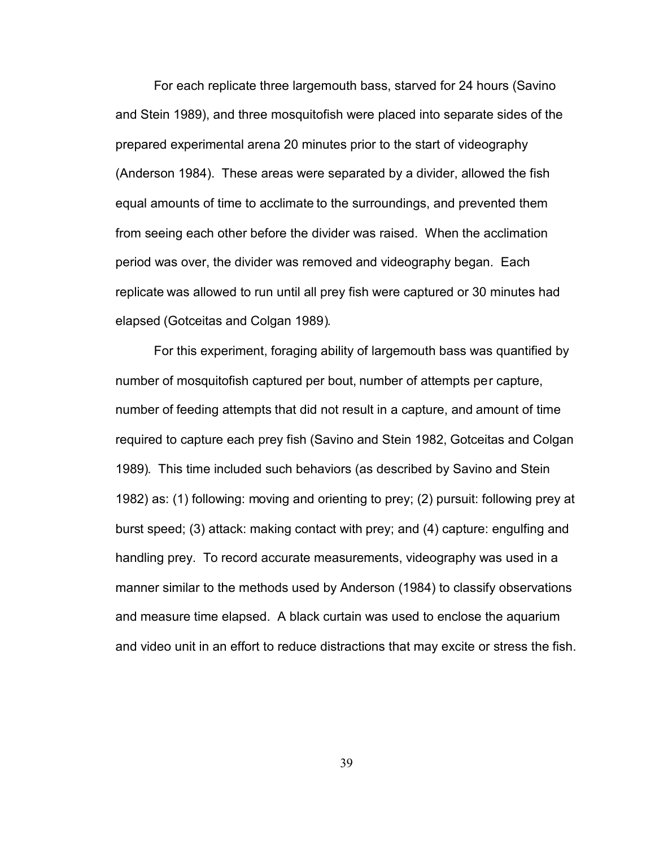For each replicate three largemouth bass, starved for 24 hours (Savino and Stein 1989), and three mosquitofish were placed into separate sides of the prepared experimental arena 20 minutes prior to the start of videography (Anderson 1984). These areas were separated by a divider, allowed the fish equal amounts of time to acclimate to the surroundings, and prevented them from seeing each other before the divider was raised. When the acclimation period was over, the divider was removed and videography began. Each replicate was allowed to run until all prey fish were captured or 30 minutes had elapsed (Gotceitas and Colgan 1989).

For this experiment, foraging ability of largemouth bass was quantified by number of mosquitofish captured per bout, number of attempts per capture, number of feeding attempts that did not result in a capture, and amount of time required to capture each prey fish (Savino and Stein 1982, Gotceitas and Colgan 1989). This time included such behaviors (as described by Savino and Stein 1982) as: (1) following: moving and orienting to prey; (2) pursuit: following prey at burst speed; (3) attack: making contact with prey; and (4) capture: engulfing and handling prey. To record accurate measurements, videography was used in a manner similar to the methods used by Anderson (1984) to classify observations and measure time elapsed. A black curtain was used to enclose the aquarium and video unit in an effort to reduce distractions that may excite or stress the fish.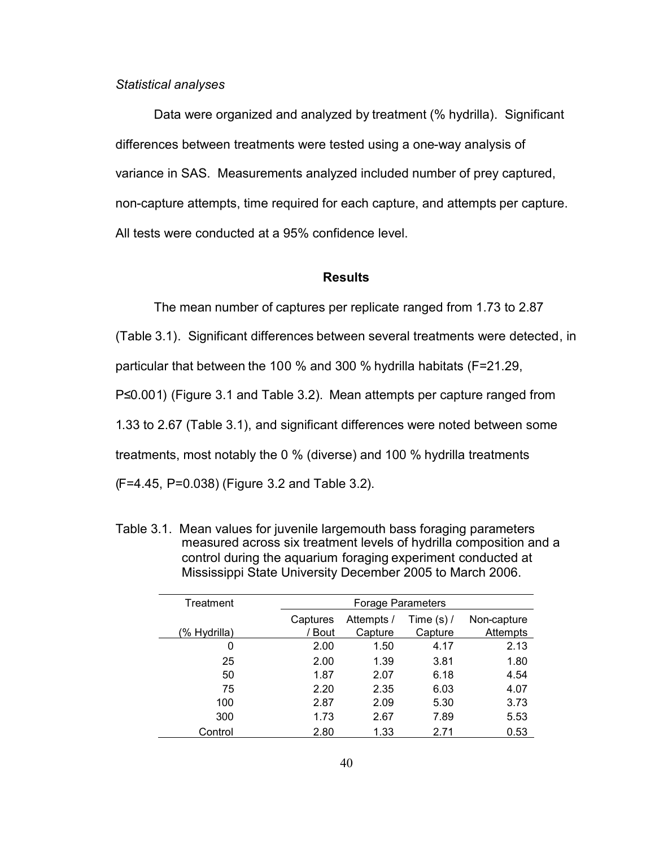#### *Statistical analyses*

Data were organized and analyzed by treatment (% hydrilla). Significant differences between treatments were tested using a one-way analysis of variance in SAS. Measurements analyzed included number of prey captured, non-capture attempts, time required for each capture, and attempts per capture. All tests were conducted at a 95% confidence level.

#### **Results**

The mean number of captures per replicate ranged from 1.73 to 2.87

(Table 3.1). Significant differences between several treatments were detected, in

particular that between the 100 % and 300 % hydrilla habitats (F=21.29,

P≤0.001) (Figure 3.1 and Table 3.2). Mean attempts per capture ranged from

1.33 to 2.67 (Table 3.1), and significant differences were noted between some

treatments, most notably the 0 % (diverse) and 100 % hydrilla treatments

(F=4.45, P=0.038) (Figure 3.2 and Table 3.2).

| Treatment    | Forage Parameters |            |              |             |  |  |  |  |
|--------------|-------------------|------------|--------------|-------------|--|--|--|--|
|              | Captures          | Attempts / | Time $(s)$ / | Non-capture |  |  |  |  |
| (% Hydrilla) | / Bout            | Capture    | Capture      | Attempts    |  |  |  |  |
| 0            | 2.00              | 1.50       | 4.17         | 2.13        |  |  |  |  |
| 25           | 2.00              | 1.39       | 3.81         | 1.80        |  |  |  |  |
| 50           | 1.87              | 2.07       | 6.18         | 4.54        |  |  |  |  |
| 75           | 2.20              | 2.35       | 6.03         | 4.07        |  |  |  |  |
| 100          | 2.87              | 2.09       | 5.30         | 3.73        |  |  |  |  |
| 300          | 1.73              | 2.67       | 7.89         | 5.53        |  |  |  |  |
| Control      | 2.80              | 1.33       | 2.71         | 0.53        |  |  |  |  |

Table 3.1. Mean values for juvenile largemouth bass foraging parameters measured across six treatment levels of hydrilla composition and a control during the aquarium foraging experiment conducted at Mississippi State University December 2005 to March 2006.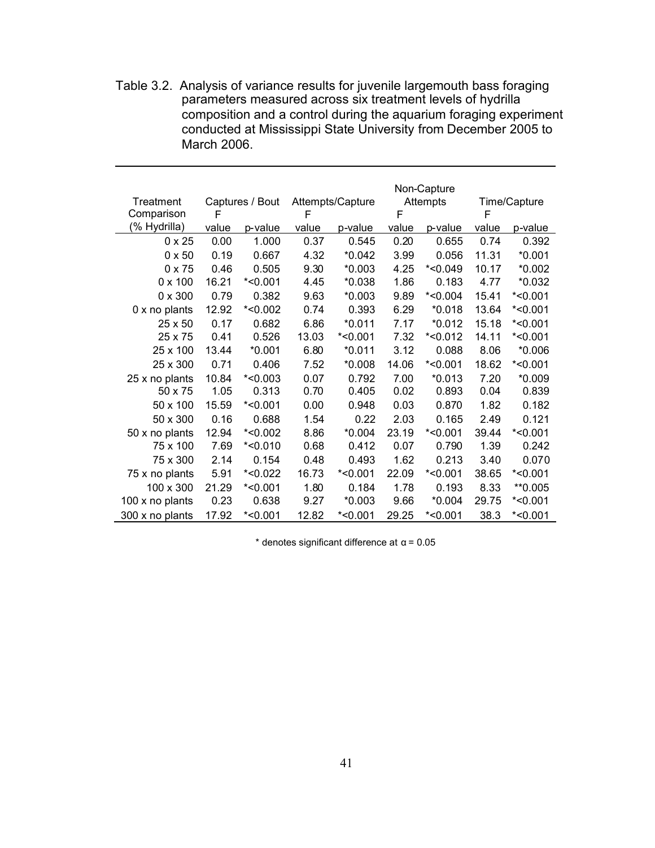Table 3.2. Analysis of variance results for juvenile largemouth bass foraging parameters measured across six treatment levels of hydrilla composition and a control during the aquarium foraging experiment conducted at Mississippi State University from December 2005 to March 2006.

| <b>Treatment</b>     | Captures / Bout |            | Attempts/Capture |            | Non-Capture<br><b>Attempts</b> |            | Time/Capture |            |
|----------------------|-----------------|------------|------------------|------------|--------------------------------|------------|--------------|------------|
| Comparison           | F               |            | F                |            | F                              |            | F            |            |
| (% Hydrilla)         | value           | p-value    | value            | p-value    | value                          | p-value    | value        | p-value    |
| $0 \times 25$        | 0.00            | 1.000      | 0.37             | 0.545      | 0.20                           | 0.655      | 0.74         | 0.392      |
| $0 \times 50$        | 0.19            | 0.667      | 4.32             | $*0.042$   | 3.99                           | 0.056      | 11.31        | $*0.001$   |
| $0 \times 75$        | 0.46            | 0.505      | 9.30             | $*0.003$   | 4.25                           | $*<0.049$  | 10.17        | $*0.002$   |
| $0 \times 100$       | 16.21           | $*$ <0.001 | 4.45             | $*0.038$   | 1.86                           | 0.183      | 4.77         | $*0.032$   |
| $0 \times 300$       | 0.79            | 0.382      | 9.63             | $*0.003$   | 9.89                           | $*$ <0.004 | 15.41        | $*$ <0.001 |
| $0 \times$ no plants | 12.92           | $*<0.002$  | 0.74             | 0.393      | 6.29                           | $*0.018$   | 13.64        | $*$ <0.001 |
| 25 x 50              | 0.17            | 0.682      | 6.86             | $*0.011$   | 7.17                           | $*0.012$   | 15.18        | $*$ <0.001 |
| 25 x 75              | 0.41            | 0.526      | 13.03            | $*$ <0.001 | 7.32                           | $*<0.012$  | 14.11        | $*$ <0.001 |
| 25 x 100             | 13.44           | $*0.001$   | 6.80             | $*0.011$   | 3.12                           | 0.088      | 8.06         | $*0.006$   |
| 25 x 300             | 0.71            | 0.406      | 7.52             | $*0.008$   | 14.06                          | $*<0.001$  | 18.62        | $*<0.001$  |
| 25 x no plants       | 10.84           | $*<0.003$  | 0.07             | 0.792      | 7.00                           | $*0.013$   | 7.20         | $*0.009$   |
| 50 x 75              | 1.05            | 0.313      | 0.70             | 0.405      | 0.02                           | 0.893      | 0.04         | 0.839      |
| 50 x 100             | 15.59           | $*<0.001$  | 0.00             | 0.948      | 0.03                           | 0.870      | 1.82         | 0.182      |
| 50 x 300             | 0.16            | 0.688      | 1.54             | 0.22       | 2.03                           | 0.165      | 2.49         | 0.121      |
| 50 x no plants       | 12.94           | $*<0.002$  | 8.86             | $*0.004$   | 23.19                          | $*$ <0.001 | 39.44        | $*<0.001$  |
| 75 x 100             | 7.69            | $*$ <0.010 | 0.68             | 0.412      | 0.07                           | 0.790      | 1.39         | 0.242      |
| 75 x 300             | 2.14            | 0.154      | 0.48             | 0.493      | 1.62                           | 0.213      | 3.40         | 0.070      |
| 75 x no plants       | 5.91            | $*<0.022$  | 16.73            | $*$ <0.001 | 22.09                          | $*<0.001$  | 38.65        | $*<0.001$  |
| 100 x 300            | 21.29           | $*$ <0.001 | 1.80             | 0.184      | 1.78                           | 0.193      | 8.33         | **0.005    |
| 100 x no plants      | 0.23            | 0.638      | 9.27             | $*0.003$   | 9.66                           | *0.004     | 29.75        | $*$ <0.001 |
| 300 x no plants      | 17.92           | $*$ <0.001 | 12.82            | $*$ <0.001 | 29.25                          | $*<0.001$  | 38.3         | $*$ <0.001 |

 $*$  denotes significant difference at  $\alpha$  = 0.05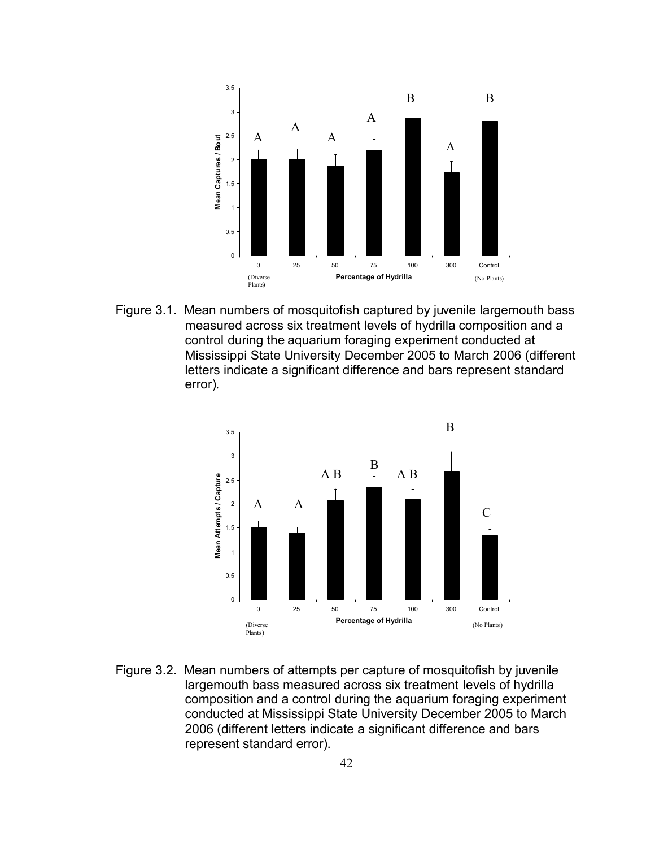

Figure 3.1. Mean numbers of mosquitofish captured by juvenile largemouth bass measured across six treatment levels of hydrilla composition and a control during the aquarium foraging experiment conducted at Mississippi State University December 2005 to March 2006 (different letters indicate a significant difference and bars represent standard error).



Figure 3.2. Mean numbers of attempts per capture of mosquitofish by juvenile largemouth bass measured across six treatment levels of hydrilla composition and a control during the aquarium foraging experiment conducted at Mississippi State University December 2005 to March 2006 (different letters indicate a significant difference and bars represent standard error).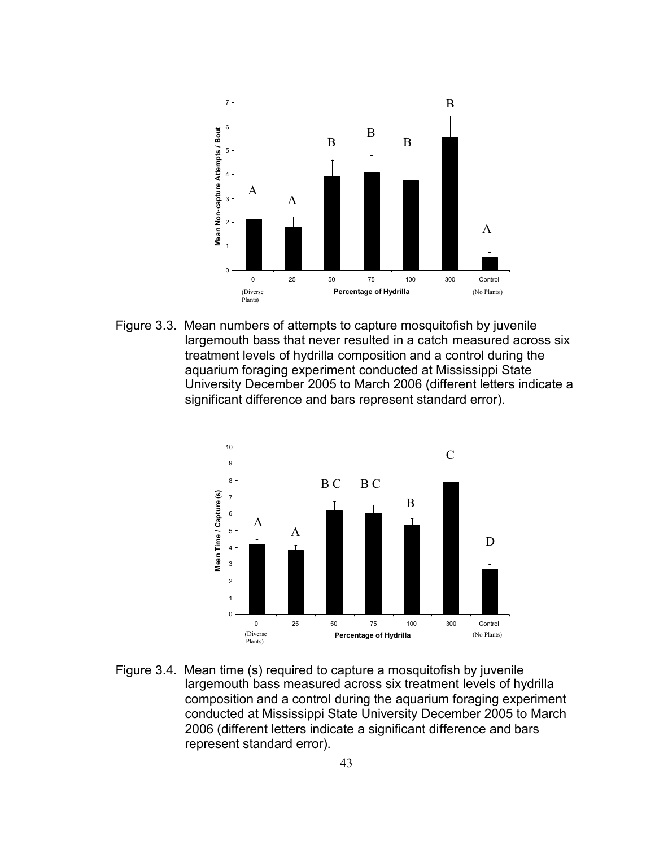

Figure 3.3. Mean numbers of attempts to capture mosquitofish by juvenile largemouth bass that never resulted in a catch measured across six treatment levels of hydrilla composition and a control during the aquarium foraging experiment conducted at Mississippi State University December 2005 to March 2006 (different letters indicate a significant difference and bars represent standard error).



Figure 3.4. Mean time (s) required to capture a mosquitofish by juvenile largemouth bass measured across six treatment levels of hydrilla composition and a control during the aquarium foraging experiment conducted at Mississippi State University December 2005 to March 2006 (different letters indicate a significant difference and bars represent standard error).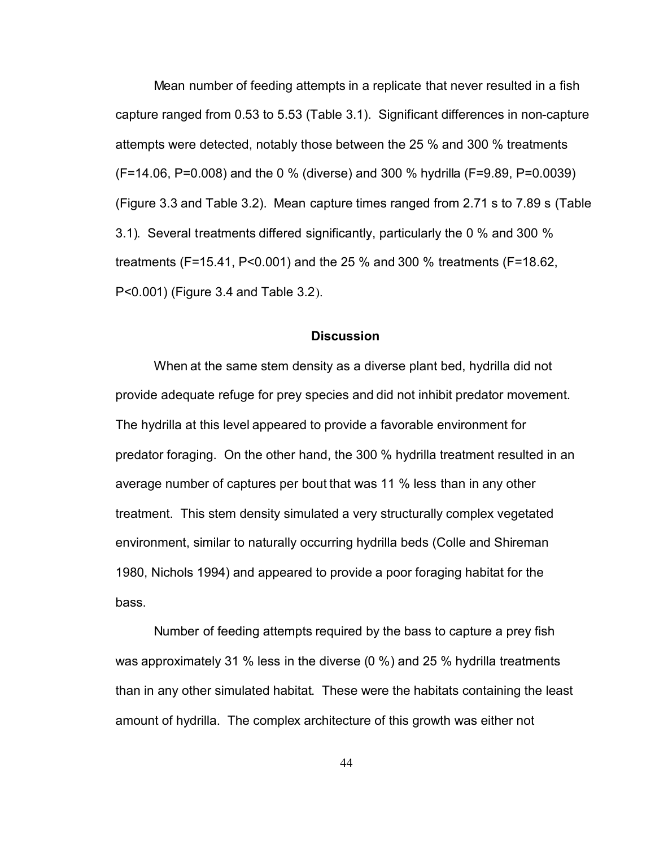Mean number of feeding attempts in a replicate that never resulted in a fish capture ranged from 0.53 to 5.53 (Table 3.1). Significant differences in non-capture attempts were detected, notably those between the 25 % and 300 % treatments (F=14.06, P=0.008) and the 0 % (diverse) and 300 % hydrilla (F=9.89, P=0.0039) (Figure 3.3 and Table 3.2). Mean capture times ranged from 2.71 s to 7.89 s (Table 3.1). Several treatments differed significantly, particularly the 0 % and 300 % treatments (F=15.41, P<0.001) and the 25 % and 300 % treatments (F=18.62, P<0.001) (Figure 3.4 and Table 3.2).

#### **Discussion**

When at the same stem density as a diverse plant bed, hydrilla did not provide adequate refuge for prey species and did not inhibit predator movement. The hydrilla at this level appeared to provide a favorable environment for predator foraging. On the other hand, the 300 % hydrilla treatment resulted in an average number of captures per bout that was 11 % less than in any other treatment. This stem density simulated a very structurally complex vegetated environment, similar to naturally occurring hydrilla beds (Colle and Shireman 1980, Nichols 1994) and appeared to provide a poor foraging habitat for the bass.

Number of feeding attempts required by the bass to capture a prey fish was approximately 31 % less in the diverse (0 %) and 25 % hydrilla treatments than in any other simulated habitat. These were the habitats containing the least amount of hydrilla. The complex architecture of this growth was either not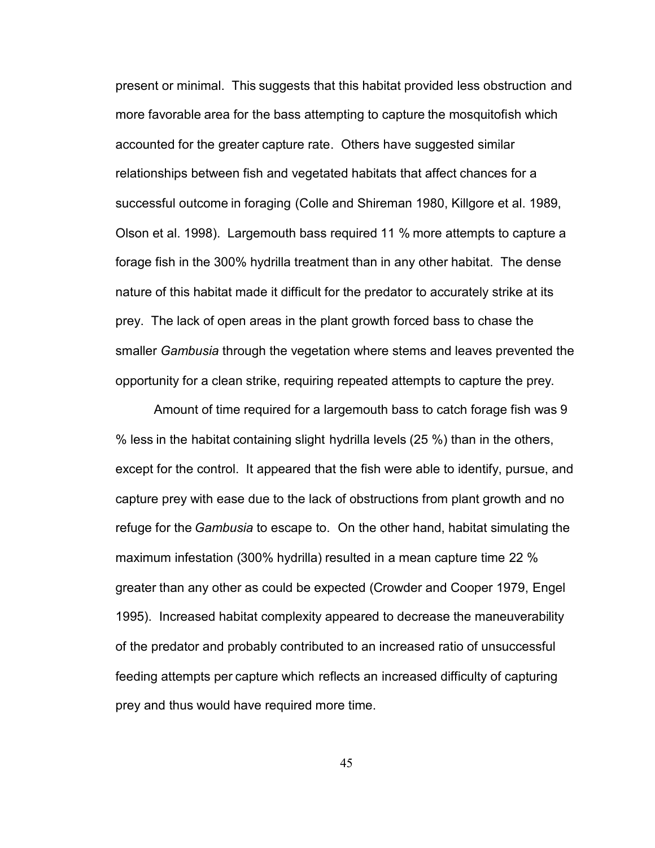present or minimal. This suggests that this habitat provided less obstruction and more favorable area for the bass attempting to capture the mosquitofish which accounted for the greater capture rate. Others have suggested similar relationships between fish and vegetated habitats that affect chances for a successful outcome in foraging (Colle and Shireman 1980, Killgore et al. 1989, Olson et al. 1998). Largemouth bass required 11 % more attempts to capture a forage fish in the 300% hydrilla treatment than in any other habitat. The dense nature of this habitat made it difficult for the predator to accurately strike at its prey. The lack of open areas in the plant growth forced bass to chase the smaller *Gambusia* through the vegetation where stems and leaves prevented the opportunity for a clean strike, requiring repeated attempts to capture the prey.

Amount of time required for a largemouth bass to catch forage fish was 9 % less in the habitat containing slight hydrilla levels (25 %) than in the others, except for the control. It appeared that the fish were able to identify, pursue, and capture prey with ease due to the lack of obstructions from plant growth and no refuge for the *Gambusia* to escape to. On the other hand, habitat simulating the maximum infestation (300% hydrilla) resulted in a mean capture time 22 % greater than any other as could be expected (Crowder and Cooper 1979, Engel 1995). Increased habitat complexity appeared to decrease the maneuverability of the predator and probably contributed to an increased ratio of unsuccessful feeding attempts per capture which reflects an increased difficulty of capturing prey and thus would have required more time.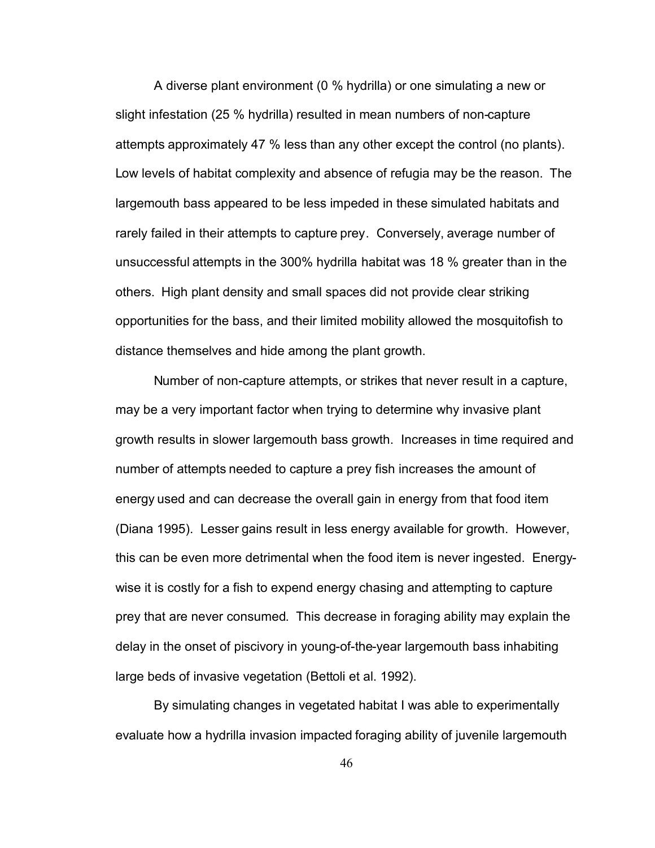A diverse plant environment (0 % hydrilla) or one simulating a new or slight infestation (25 % hydrilla) resulted in mean numbers of non-capture attempts approximately 47 % less than any other except the control (no plants). Low levels of habitat complexity and absence of refugia may be the reason. The largemouth bass appeared to be less impeded in these simulated habitats and rarely failed in their attempts to capture prey. Conversely, average number of unsuccessful attempts in the 300% hydrilla habitat was 18 % greater than in the others. High plant density and small spaces did not provide clear striking opportunities for the bass, and their limited mobility allowed the mosquitofish to distance themselves and hide among the plant growth.

Number of non-capture attempts, or strikes that never result in a capture, may be a very important factor when trying to determine why invasive plant growth results in slower largemouth bass growth. Increases in time required and number of attempts needed to capture a prey fish increases the amount of energy used and can decrease the overall gain in energy from that food item (Diana 1995). Lesser gains result in less energy available for growth. However, this can be even more detrimental when the food item is never ingested. Energywise it is costly for a fish to expend energy chasing and attempting to capture prey that are never consumed. This decrease in foraging ability may explain the delay in the onset of piscivory in young-of-the-year largemouth bass inhabiting large beds of invasive vegetation (Bettoli et al. 1992).

By simulating changes in vegetated habitat I was able to experimentally evaluate how a hydrilla invasion impacted foraging ability of juvenile largemouth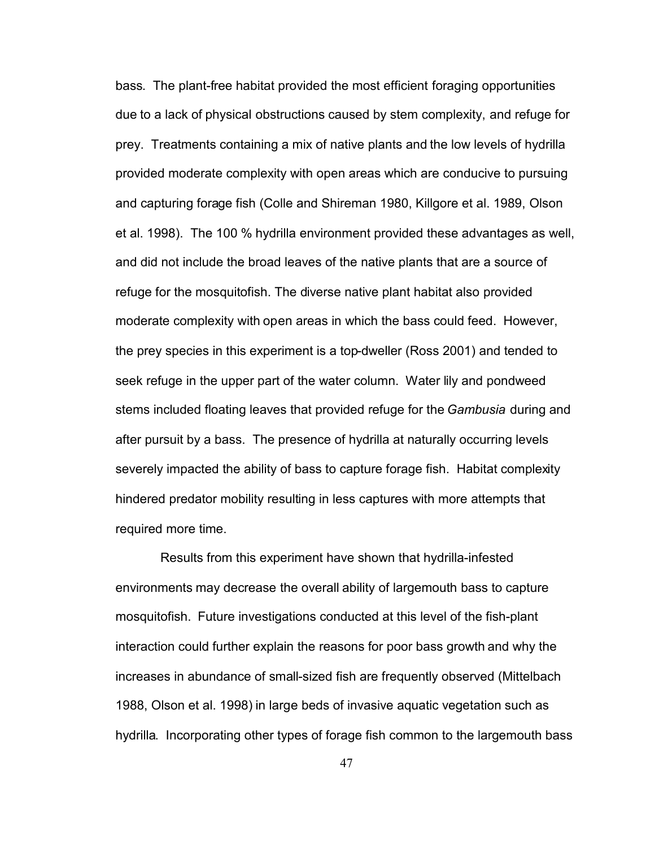bass. The plant-free habitat provided the most efficient foraging opportunities due to a lack of physical obstructions caused by stem complexity, and refuge for prey. Treatments containing a mix of native plants and the low levels of hydrilla provided moderate complexity with open areas which are conducive to pursuing and capturing forage fish (Colle and Shireman 1980, Killgore et al. 1989, Olson et al. 1998). The 100 % hydrilla environment provided these advantages as well, and did not include the broad leaves of the native plants that are a source of refuge for the mosquitofish. The diverse native plant habitat also provided moderate complexity with open areas in which the bass could feed. However, the prey species in this experiment is a top-dweller (Ross 2001) and tended to seek refuge in the upper part of the water column. Water lily and pondweed stems included floating leaves that provided refuge for the *Gambusia* during and after pursuit by a bass. The presence of hydrilla at naturally occurring levels severely impacted the ability of bass to capture forage fish. Habitat complexity hindered predator mobility resulting in less captures with more attempts that required more time.

Results from this experiment have shown that hydrilla-infested environments may decrease the overall ability of largemouth bass to capture mosquitofish. Future investigations conducted at this level of the fish-plant interaction could further explain the reasons for poor bass growth and why the increases in abundance of small-sized fish are frequently observed (Mittelbach 1988, Olson et al. 1998) in large beds of invasive aquatic vegetation such as hydrilla. Incorporating other types of forage fish common to the largemouth bass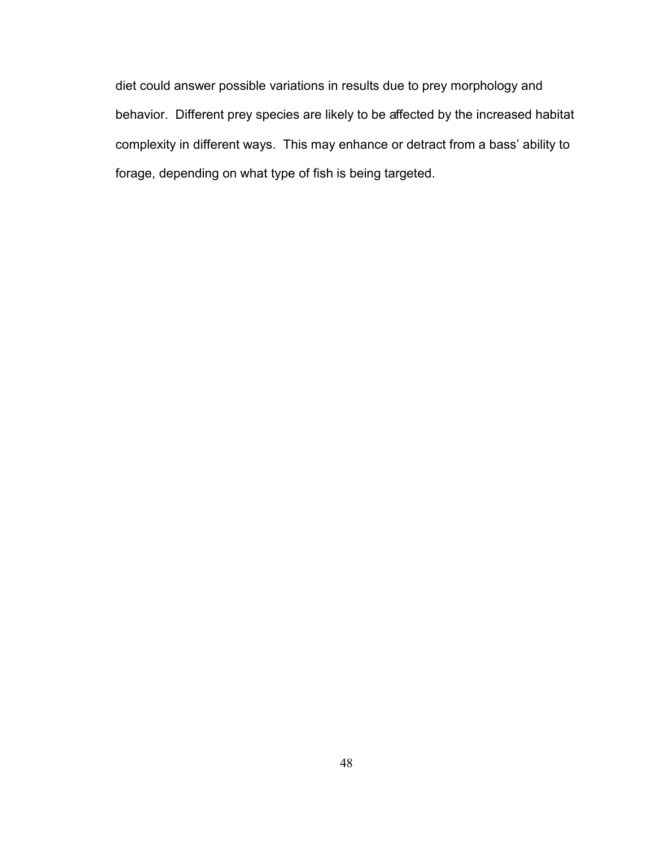diet could answer possible variations in results due to prey morphology and behavior. Different prey species are likely to be affected by the increased habitat complexity in different ways. This may enhance or detract from a bass' ability to forage, depending on what type of fish is being targeted.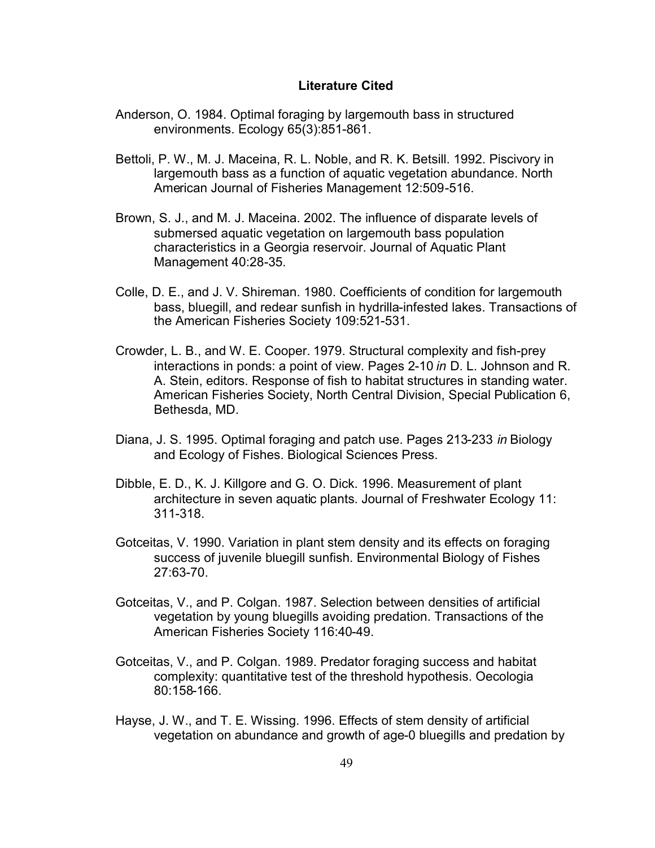#### **Literature Cited**

- Anderson, O. 1984. Optimal foraging by largemouth bass in structured environments. Ecology 65(3):851-861.
- Bettoli, P. W., M. J. Maceina, R. L. Noble, and R. K. Betsill. 1992. Piscivory in largemouth bass as a function of aquatic vegetation abundance. North American Journal of Fisheries Management 12:509-516.
- Brown, S. J., and M. J. Maceina. 2002. The influence of disparate levels of submersed aquatic vegetation on largemouth bass population characteristics in a Georgia reservoir. Journal of Aquatic Plant Management 40:28-35.
- Colle, D. E., and J. V. Shireman. 1980. Coefficients of condition for largemouth bass, bluegill, and redear sunfish in hydrilla-infested lakes. Transactions of the American Fisheries Society 109:521-531.
- Crowder, L. B., and W. E. Cooper. 1979. Structural complexity and fish-prey interactions in ponds: a point of view. Pages 2-10 *in* D. L. Johnson and R. A. Stein, editors. Response of fish to habitat structures in standing water. American Fisheries Society, North Central Division, Special Publication 6, Bethesda, MD.
- Diana, J. S. 1995. Optimal foraging and patch use. Pages 213-233 *in* Biology and Ecology of Fishes. Biological Sciences Press.
- Dibble, E. D., K. J. Killgore and G. O. Dick. 1996. Measurement of plant architecture in seven aquatic plants. Journal of Freshwater Ecology 11: 311-318.
- Gotceitas, V. 1990. Variation in plant stem density and its effects on foraging success of juvenile bluegill sunfish. Environmental Biology of Fishes 27:63-70.
- Gotceitas, V., and P. Colgan. 1987. Selection between densities of artificial vegetation by young bluegills avoiding predation. Transactions of the American Fisheries Society 116:40-49.
- Gotceitas, V., and P. Colgan. 1989. Predator foraging success and habitat complexity: quantitative test of the threshold hypothesis. Oecologia 80:158-166.
- Hayse, J. W., and T. E. Wissing. 1996. Effects of stem density of artificial vegetation on abundance and growth of age-0 bluegills and predation by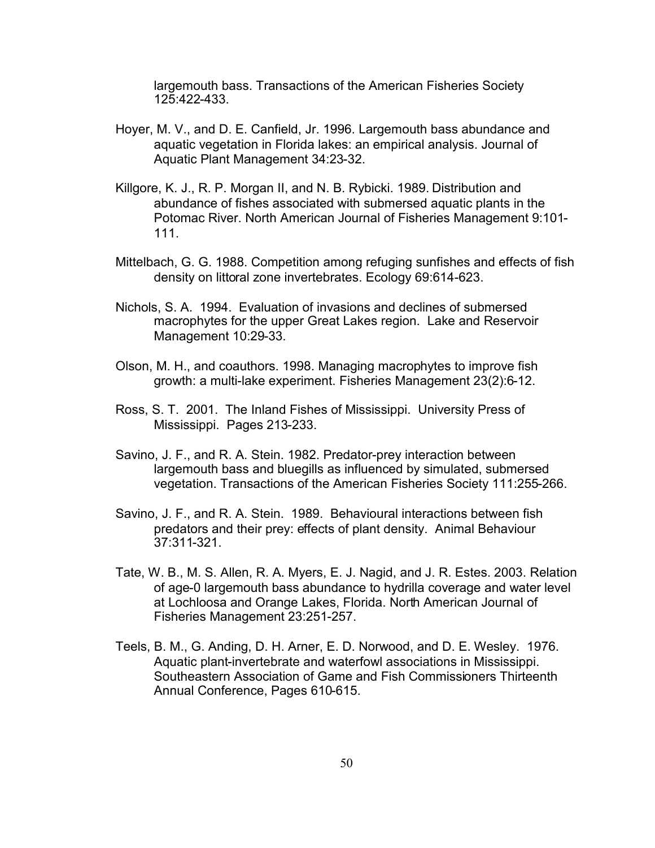largemouth bass. Transactions of the American Fisheries Society 125:422-433.

- Hoyer, M. V., and D. E. Canfield, Jr. 1996. Largemouth bass abundance and aquatic vegetation in Florida lakes: an empirical analysis. Journal of Aquatic Plant Management 34:23-32.
- Killgore, K. J., R. P. Morgan II, and N. B. Rybicki. 1989. Distribution and abundance of fishes associated with submersed aquatic plants in the Potomac River. North American Journal of Fisheries Management 9:101- 111.
- Mittelbach, G. G. 1988. Competition among refuging sunfishes and effects of fish density on littoral zone invertebrates. Ecology 69:614-623.
- Nichols, S. A. 1994. Evaluation of invasions and declines of submersed macrophytes for the upper Great Lakes region. Lake and Reservoir Management 10:29-33.
- Olson, M. H., and coauthors. 1998. Managing macrophytes to improve fish growth: a multi-lake experiment. Fisheries Management 23(2):6-12.
- Ross, S. T. 2001. The Inland Fishes of Mississippi. University Press of Mississippi. Pages 213-233.
- Savino, J. F., and R. A. Stein. 1982. Predator-prey interaction between largemouth bass and bluegills as influenced by simulated, submersed vegetation. Transactions of the American Fisheries Society 111:255-266.
- Savino, J. F., and R. A. Stein. 1989. Behavioural interactions between fish predators and their prey: effects of plant density. Animal Behaviour 37:311-321.
- Tate, W. B., M. S. Allen, R. A. Myers, E. J. Nagid, and J. R. Estes. 2003. Relation of age-0 largemouth bass abundance to hydrilla coverage and water level at Lochloosa and Orange Lakes, Florida. North American Journal of Fisheries Management 23:251-257.
- Teels, B. M., G. Anding, D. H. Arner, E. D. Norwood, and D. E. Wesley. 1976. Aquatic plant-invertebrate and waterfowl associations in Mississippi. Southeastern Association of Game and Fish Commissioners Thirteenth Annual Conference, Pages 610-615.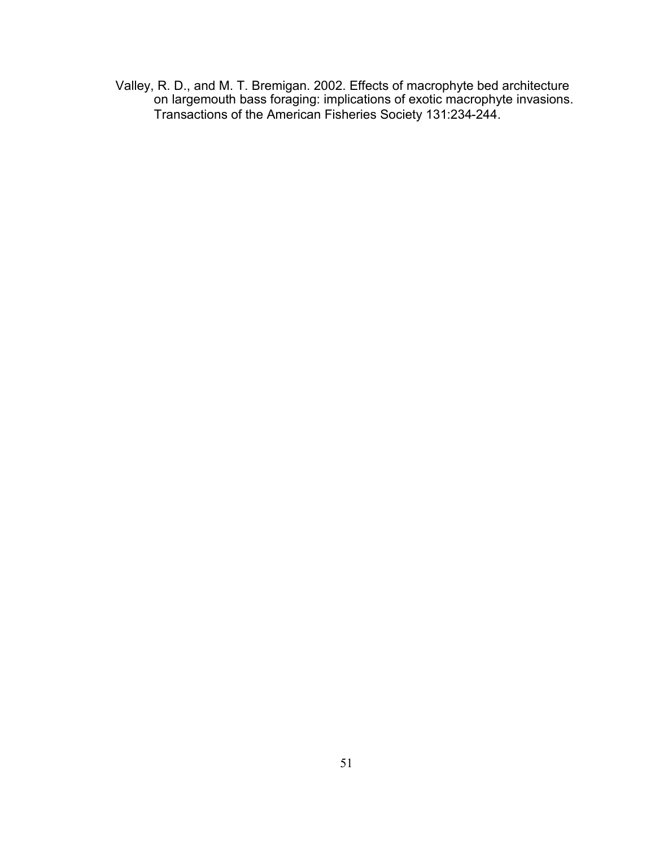Valley, R. D., and M. T. Bremigan. 2002. Effects of macrophyte bed architecture on largemouth bass foraging: implications of exotic macrophyte invasions. Transactions of the American Fisheries Society 131:234-244.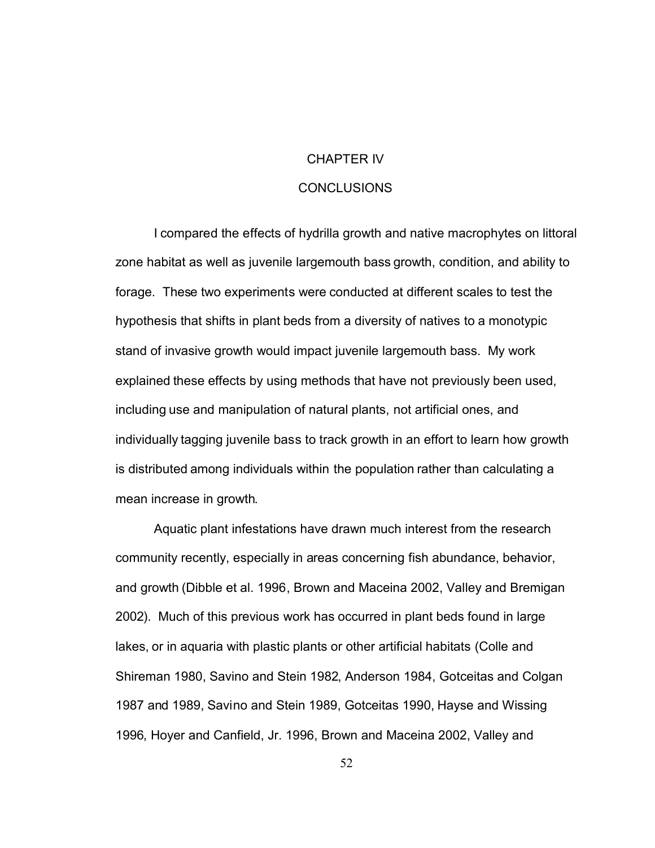### CHAPTER IV

#### CONCLUSIONS

I compared the effects of hydrilla growth and native macrophytes on littoral zone habitat as well as juvenile largemouth bass growth, condition, and ability to forage. These two experiments were conducted at different scales to test the hypothesis that shifts in plant beds from a diversity of natives to a monotypic stand of invasive growth would impact juvenile largemouth bass. My work explained these effects by using methods that have not previously been used, including use and manipulation of natural plants, not artificial ones, and individually tagging juvenile bass to track growth in an effort to learn how growth is distributed among individuals within the population rather than calculating a mean increase in growth.

Aquatic plant infestations have drawn much interest from the research community recently, especially in areas concerning fish abundance, behavior, and growth (Dibble et al. 1996, Brown and Maceina 2002, Valley and Bremigan 2002). Much of this previous work has occurred in plant beds found in large lakes, or in aquaria with plastic plants or other artificial habitats (Colle and Shireman 1980, Savino and Stein 1982, Anderson 1984, Gotceitas and Colgan 1987 and 1989, Savino and Stein 1989, Gotceitas 1990, Hayse and Wissing 1996, Hoyer and Canfield, Jr. 1996, Brown and Maceina 2002, Valley and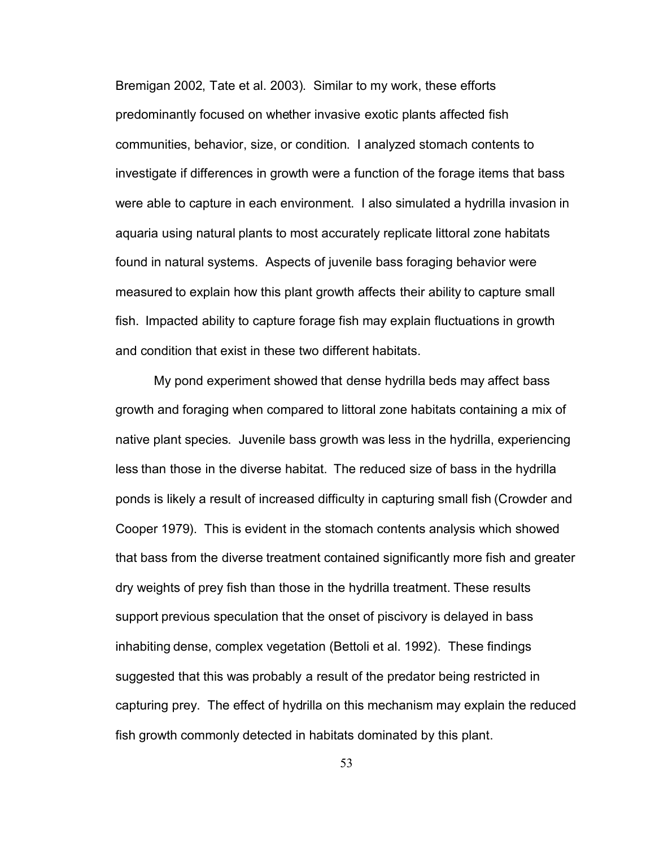Bremigan 2002, Tate et al. 2003). Similar to my work, these efforts predominantly focused on whether invasive exotic plants affected fish communities, behavior, size, or condition. I analyzed stomach contents to investigate if differences in growth were a function of the forage items that bass were able to capture in each environment. I also simulated a hydrilla invasion in aquaria using natural plants to most accurately replicate littoral zone habitats found in natural systems. Aspects of juvenile bass foraging behavior were measured to explain how this plant growth affects their ability to capture small fish. Impacted ability to capture forage fish may explain fluctuations in growth and condition that exist in these two different habitats.

My pond experiment showed that dense hydrilla beds may affect bass growth and foraging when compared to littoral zone habitats containing a mix of native plant species. Juvenile bass growth was less in the hydrilla, experiencing less than those in the diverse habitat. The reduced size of bass in the hydrilla ponds is likely a result of increased difficulty in capturing small fish (Crowder and Cooper 1979). This is evident in the stomach contents analysis which showed that bass from the diverse treatment contained significantly more fish and greater dry weights of prey fish than those in the hydrilla treatment. These results support previous speculation that the onset of piscivory is delayed in bass inhabiting dense, complex vegetation (Bettoli et al. 1992). These findings suggested that this was probably a result of the predator being restricted in capturing prey. The effect of hydrilla on this mechanism may explain the reduced fish growth commonly detected in habitats dominated by this plant.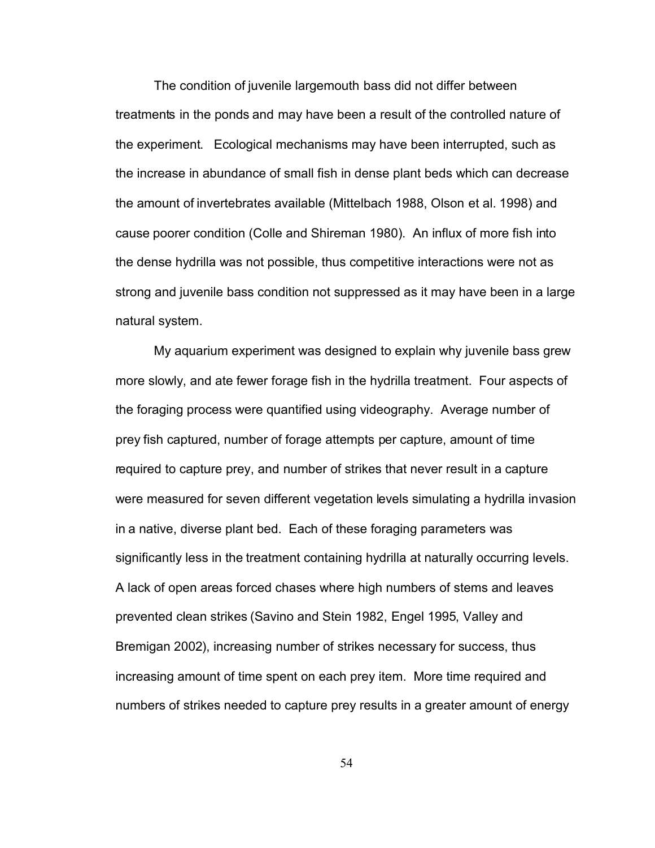The condition of juvenile largemouth bass did not differ between treatments in the ponds and may have been a result of the controlled nature of the experiment. Ecological mechanisms may have been interrupted, such as the increase in abundance of small fish in dense plant beds which can decrease the amount of invertebrates available (Mittelbach 1988, Olson et al. 1998) and cause poorer condition (Colle and Shireman 1980). An influx of more fish into the dense hydrilla was not possible, thus competitive interactions were not as strong and juvenile bass condition not suppressed as it may have been in a large natural system.

My aquarium experiment was designed to explain why juvenile bass grew more slowly, and ate fewer forage fish in the hydrilla treatment. Four aspects of the foraging process were quantified using videography. Average number of prey fish captured, number of forage attempts per capture, amount of time required to capture prey, and number of strikes that never result in a capture were measured for seven different vegetation levels simulating a hydrilla invasion in a native, diverse plant bed. Each of these foraging parameters was significantly less in the treatment containing hydrilla at naturally occurring levels. A lack of open areas forced chases where high numbers of stems and leaves prevented clean strikes (Savino and Stein 1982, Engel 1995, Valley and Bremigan 2002), increasing number of strikes necessary for success, thus increasing amount of time spent on each prey item. More time required and numbers of strikes needed to capture prey results in a greater amount of energy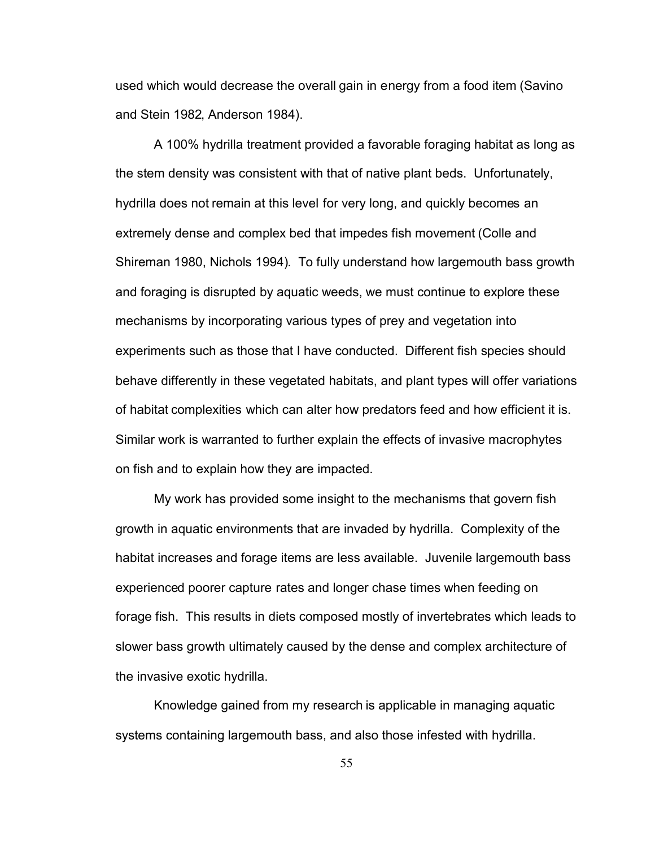used which would decrease the overall gain in energy from a food item (Savino and Stein 1982, Anderson 1984).

A 100% hydrilla treatment provided a favorable foraging habitat as long as the stem density was consistent with that of native plant beds. Unfortunately, hydrilla does not remain at this level for very long, and quickly becomes an extremely dense and complex bed that impedes fish movement (Colle and Shireman 1980, Nichols 1994). To fully understand how largemouth bass growth and foraging is disrupted by aquatic weeds, we must continue to explore these mechanisms by incorporating various types of prey and vegetation into experiments such as those that I have conducted. Different fish species should behave differently in these vegetated habitats, and plant types will offer variations of habitat complexities which can alter how predators feed and how efficient it is. Similar work is warranted to further explain the effects of invasive macrophytes on fish and to explain how they are impacted.

My work has provided some insight to the mechanisms that govern fish growth in aquatic environments that are invaded by hydrilla. Complexity of the habitat increases and forage items are less available. Juvenile largemouth bass experienced poorer capture rates and longer chase times when feeding on forage fish. This results in diets composed mostly of invertebrates which leads to slower bass growth ultimately caused by the dense and complex architecture of the invasive exotic hydrilla.

Knowledge gained from my research is applicable in managing aquatic systems containing largemouth bass, and also those infested with hydrilla.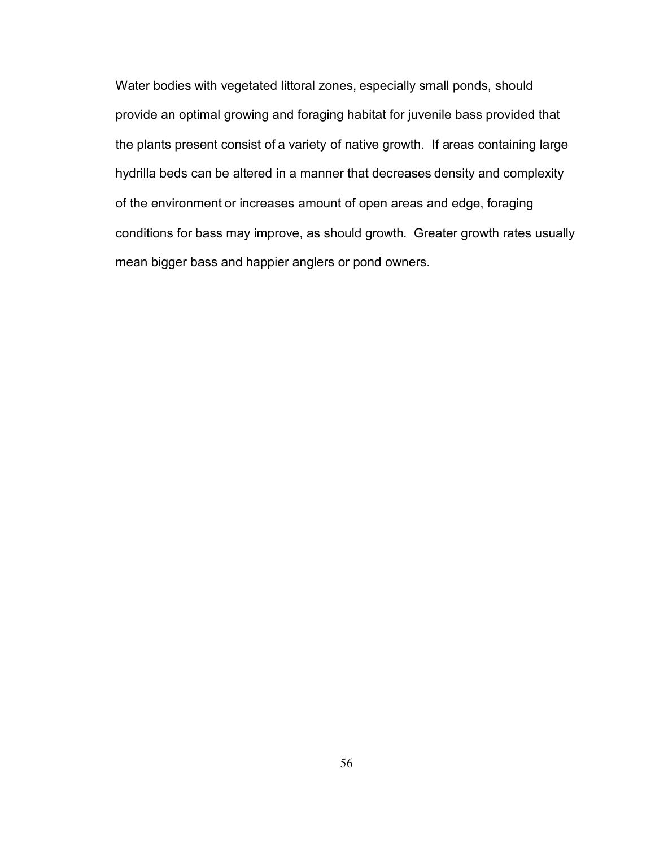Water bodies with vegetated littoral zones, especially small ponds, should provide an optimal growing and foraging habitat for juvenile bass provided that the plants present consist of a variety of native growth. If areas containing large hydrilla beds can be altered in a manner that decreases density and complexity of the environment or increases amount of open areas and edge, foraging conditions for bass may improve, as should growth. Greater growth rates usually mean bigger bass and happier anglers or pond owners.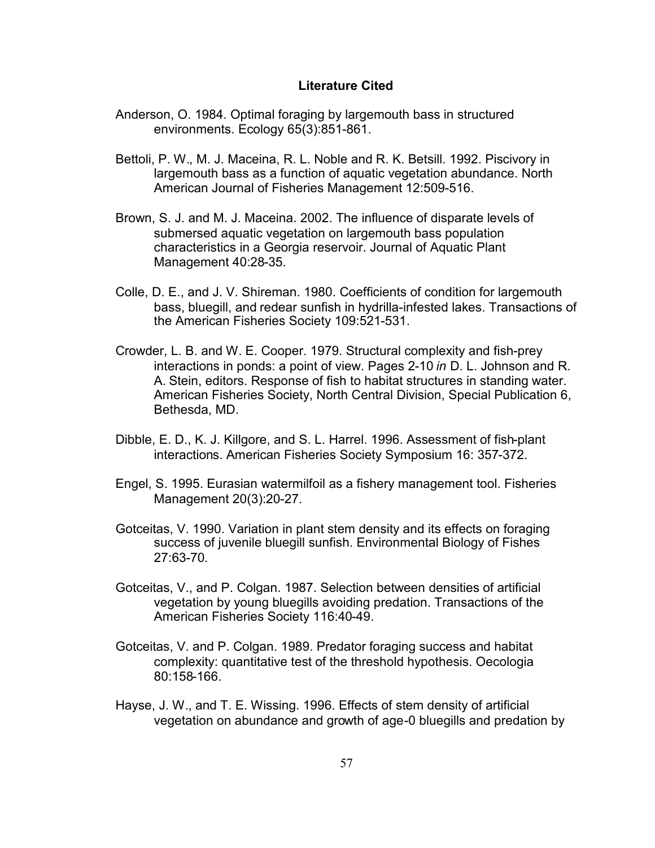#### **Literature Cited**

- Anderson, O. 1984. Optimal foraging by largemouth bass in structured environments. Ecology 65(3):851-861.
- Bettoli, P. W., M. J. Maceina, R. L. Noble and R. K. Betsill. 1992. Piscivory in largemouth bass as a function of aquatic vegetation abundance. North American Journal of Fisheries Management 12:509-516.
- Brown, S. J. and M. J. Maceina. 2002. The influence of disparate levels of submersed aquatic vegetation on largemouth bass population characteristics in a Georgia reservoir. Journal of Aquatic Plant Management 40:28-35.
- Colle, D. E., and J. V. Shireman. 1980. Coefficients of condition for largemouth bass, bluegill, and redear sunfish in hydrilla-infested lakes. Transactions of the American Fisheries Society 109:521-531.
- Crowder, L. B. and W. E. Cooper. 1979. Structural complexity and fish-prey interactions in ponds: a point of view. Pages 2-10 *in* D. L. Johnson and R. A. Stein, editors. Response of fish to habitat structures in standing water. American Fisheries Society, North Central Division, Special Publication 6, Bethesda, MD.
- Dibble, E. D., K. J. Killgore, and S. L. Harrel. 1996. Assessment of fish-plant interactions. American Fisheries Society Symposium 16: 357-372.
- Engel, S. 1995. Eurasian watermilfoil as a fishery management tool. Fisheries Management 20(3):20-27.
- Gotceitas, V. 1990. Variation in plant stem density and its effects on foraging success of juvenile bluegill sunfish. Environmental Biology of Fishes 27:63-70.
- Gotceitas, V., and P. Colgan. 1987. Selection between densities of artificial vegetation by young bluegills avoiding predation. Transactions of the American Fisheries Society 116:40-49.
- Gotceitas, V. and P. Colgan. 1989. Predator foraging success and habitat complexity: quantitative test of the threshold hypothesis. Oecologia 80:158-166.
- Hayse, J. W., and T. E. Wissing. 1996. Effects of stem density of artificial vegetation on abundance and growth of age-0 bluegills and predation by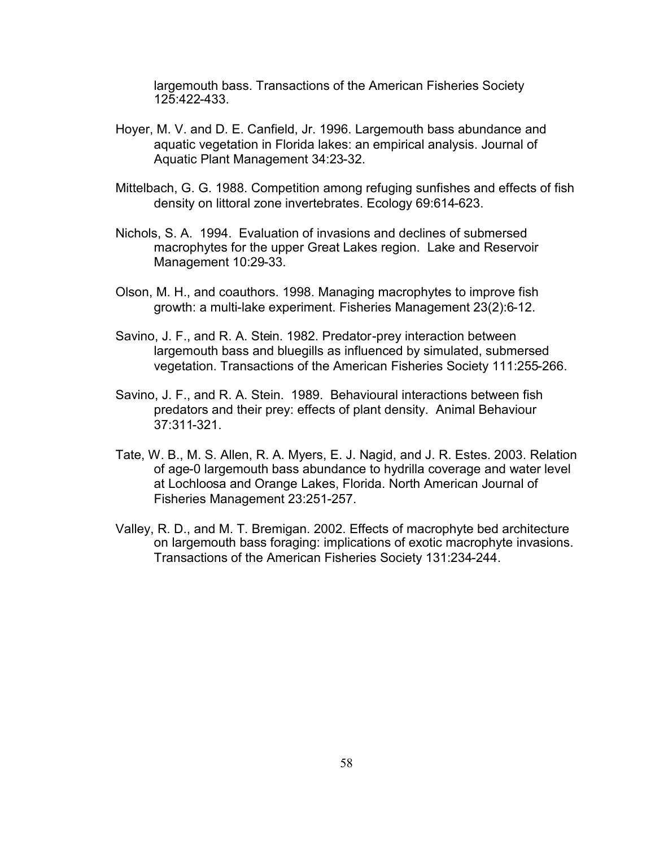largemouth bass. Transactions of the American Fisheries Society 125:422-433.

- Hoyer, M. V. and D. E. Canfield, Jr. 1996. Largemouth bass abundance and aquatic vegetation in Florida lakes: an empirical analysis. Journal of Aquatic Plant Management 34:23-32.
- Mittelbach, G. G. 1988. Competition among refuging sunfishes and effects of fish density on littoral zone invertebrates. Ecology 69:614-623.
- Nichols, S. A. 1994. Evaluation of invasions and declines of submersed macrophytes for the upper Great Lakes region. Lake and Reservoir Management 10:29-33.
- Olson, M. H., and coauthors. 1998. Managing macrophytes to improve fish growth: a multi-lake experiment. Fisheries Management 23(2):6-12.
- Savino, J. F., and R. A. Stein. 1982. Predator-prey interaction between largemouth bass and bluegills as influenced by simulated, submersed vegetation. Transactions of the American Fisheries Society 111:255-266.
- Savino, J. F., and R. A. Stein. 1989. Behavioural interactions between fish predators and their prey: effects of plant density. Animal Behaviour 37:311-321.
- Tate, W. B., M. S. Allen, R. A. Myers, E. J. Nagid, and J. R. Estes. 2003. Relation of age-0 largemouth bass abundance to hydrilla coverage and water level at Lochloosa and Orange Lakes, Florida. North American Journal of Fisheries Management 23:251-257.
- Valley, R. D., and M. T. Bremigan. 2002. Effects of macrophyte bed architecture on largemouth bass foraging: implications of exotic macrophyte invasions. Transactions of the American Fisheries Society 131:234-244.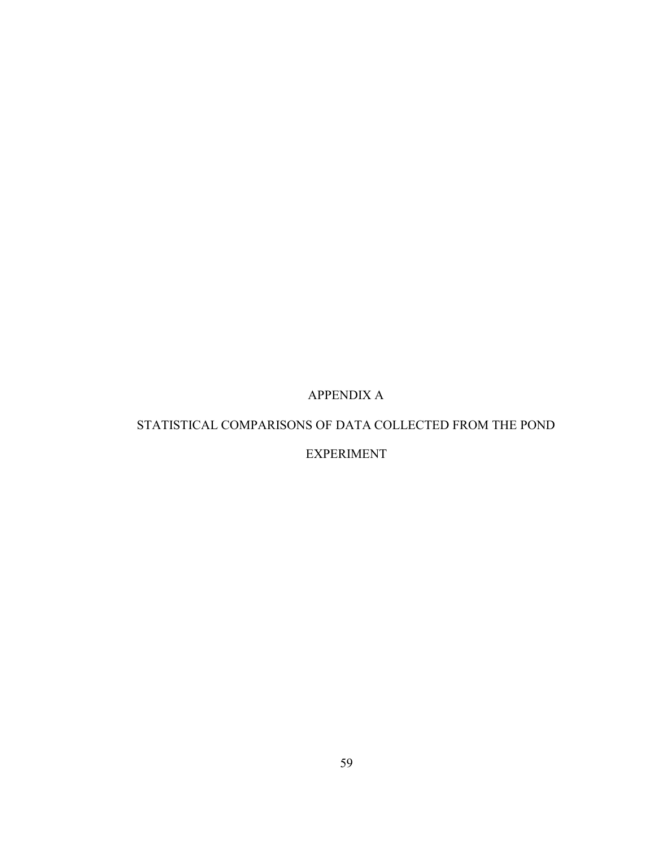# APPENDIX A

# STATISTICAL COMPARISONS OF DATA COLLECTED FROM THE POND

## EXPERIMENT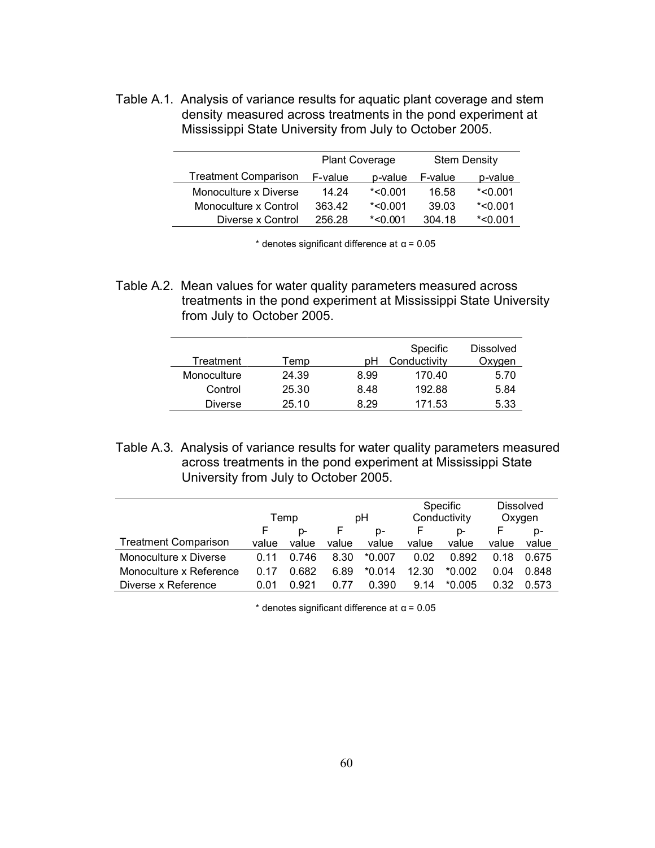Table A.1. Analysis of variance results for aquatic plant coverage and stem density measured across treatments in the pond experiment at Mississippi State University from July to October 2005.

|                             | <b>Plant Coverage</b> |               |         | <b>Stem Density</b> |
|-----------------------------|-----------------------|---------------|---------|---------------------|
| <b>Treatment Comparison</b> | F-value               | p-value       | F-value | p-value             |
| Monoculture x Diverse       | 14.24                 | $*$ <0.001    | 16.58   | $*$ <0.001          |
| Monoculture x Control       | 363.42                | $*$ <0.001    | 39.03   | $*$ <0.001          |
| Diverse x Control           | 256.28                | $*$ < $0.001$ | 304.18  | $*$ <0.001          |

 $*$  denotes significant difference at  $\alpha$  = 0.05

Table A.2. Mean values for water quality parameters measured across treatments in the pond experiment at Mississippi State University from July to October 2005.

|                |       |      | Specific     | <b>Dissolved</b> |
|----------------|-------|------|--------------|------------------|
| Treatment      | Temp  | рH   | Conductivity | Oxygen           |
| Monoculture    | 24.39 | 8.99 | 170.40       | 5.70             |
| Control        | 25.30 | 8.48 | 192.88       | 5.84             |
| <b>Diverse</b> | 25.10 | 8.29 | 171.53       | 5.33             |

Table A.3. Analysis of variance results for water quality parameters measured across treatments in the pond experiment at Mississippi State University from July to October 2005.

|                             |       |       |       |          |              | Specific |        | <b>Dissolved</b> |
|-----------------------------|-------|-------|-------|----------|--------------|----------|--------|------------------|
|                             | Temp  |       | рH    |          | Conductivity |          | Oxygen |                  |
|                             | F     | D-    |       | D-       |              | p-       |        | p-               |
| <b>Treatment Comparison</b> | value | value | value | value    | value        | value    | value  | value            |
| Monoculture x Diverse       | O 11  | 0.746 | 8.30  | $*0.007$ | 0.02         | 0.892    | 0.18   | 0.675            |
| Monoculture x Reference     | በ 17  | 0.682 | 6.89  | $*0.014$ | 12.30        | $*0.002$ | 0.04   | 0.848            |
| Diverse x Reference         | 0.01  | 0.921 | 0.77  | 0.390    | 9.14         | $*0.005$ | 0.32   | 0.573            |

\* denotes significant difference at α = 0.05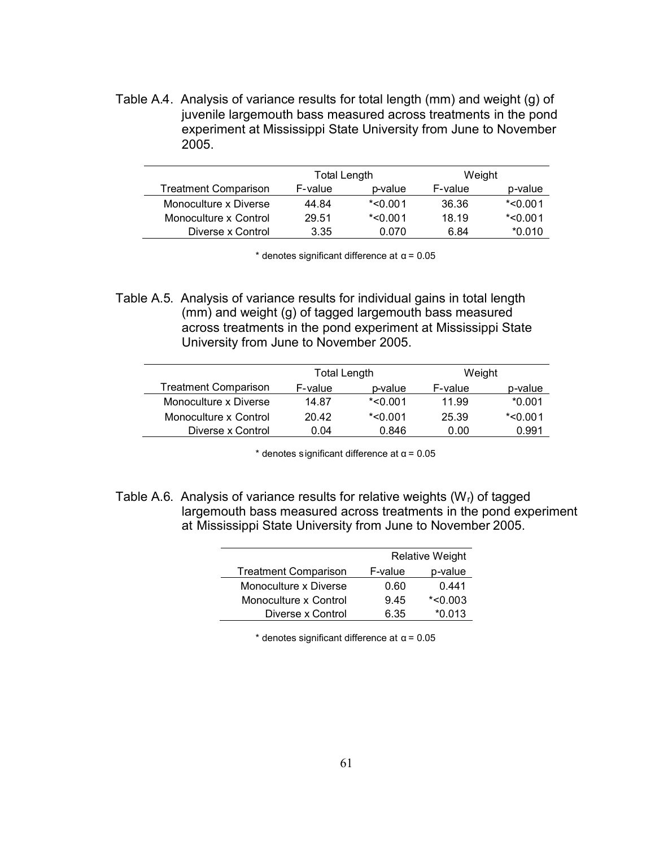Table A.4. Analysis of variance results for total length (mm) and weight (g) of juvenile largemouth bass measured across treatments in the pond experiment at Mississippi State University from June to November 2005.

|                             | Total Length |            | Weight  |            |
|-----------------------------|--------------|------------|---------|------------|
| <b>Treatment Comparison</b> | F-value      | p-value    | F-value | p-value    |
| Monoculture x Diverse       | 44.84        | $*$ <0.001 | 36.36   | $*$ <0.001 |
| Monoculture x Control       | 29.51        | $*$ <0.001 | 18.19   | $*$ <0.001 |
| Diverse x Control           | 3.35         | 0.070      | 6.84    | $*0.010$   |

 $*$  denotes significant difference at  $\alpha$  = 0.05

Table A.5. Analysis of variance results for individual gains in total length (mm) and weight (g) of tagged largemouth bass measured across treatments in the pond experiment at Mississippi State University from June to November 2005.

|                             | Total Length |            | Weight  |            |
|-----------------------------|--------------|------------|---------|------------|
| <b>Treatment Comparison</b> | F-value      | p-value    | F-value | p-value    |
| Monoculture x Diverse       | 14.87        | $*$ <0.001 | 11.99   | $*0.001$   |
| Monoculture x Control       | 20.42        | $*$ <0.001 | 25.39   | $*$ <0.001 |
| Diverse x Control           | 0.04         | 0.846      | 0.00    | 0.991      |

 $*$  denotes significant difference at  $\alpha$  = 0.05

Table A.6. Analysis of variance results for relative weights  $(W<sub>r</sub>)$  of tagged largemouth bass measured across treatments in the pond experiment at Mississippi State University from June to November 2005.

|                             |         | <b>Relative Weight</b> |  |  |
|-----------------------------|---------|------------------------|--|--|
| <b>Treatment Comparison</b> | F-value | p-value                |  |  |
| Monoculture x Diverse       | 0.60    | 0.441                  |  |  |
| Monoculture x Control       | 9.45    | $*$ <0.003             |  |  |
| Diverse x Control           | 6.35    | $*0.013$               |  |  |

 $*$  denotes significant difference at  $\alpha$  = 0.05